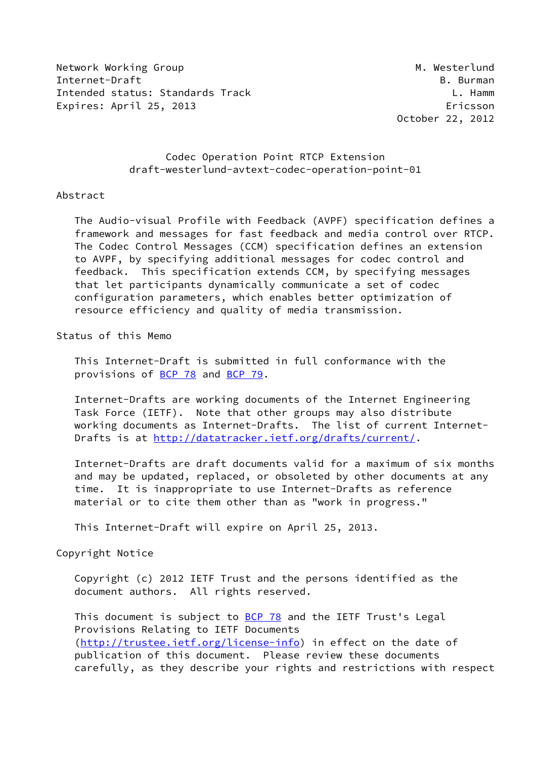Network Working Group Metwork Working Group Metwork Mesterlund Internet-Draft B. Burman Intended status: Standards Track L. Hamm Expires: April 25, 2013 **Expires: April 25, 2013** 

October 22, 2012

## Codec Operation Point RTCP Extension draft-westerlund-avtext-codec-operation-point-01

### Abstract

 The Audio-visual Profile with Feedback (AVPF) specification defines a framework and messages for fast feedback and media control over RTCP. The Codec Control Messages (CCM) specification defines an extension to AVPF, by specifying additional messages for codec control and feedback. This specification extends CCM, by specifying messages that let participants dynamically communicate a set of codec configuration parameters, which enables better optimization of resource efficiency and quality of media transmission.

## Status of this Memo

 This Internet-Draft is submitted in full conformance with the provisions of [BCP 78](https://datatracker.ietf.org/doc/pdf/bcp78) and [BCP 79](https://datatracker.ietf.org/doc/pdf/bcp79).

 Internet-Drafts are working documents of the Internet Engineering Task Force (IETF). Note that other groups may also distribute working documents as Internet-Drafts. The list of current Internet- Drafts is at<http://datatracker.ietf.org/drafts/current/>.

 Internet-Drafts are draft documents valid for a maximum of six months and may be updated, replaced, or obsoleted by other documents at any time. It is inappropriate to use Internet-Drafts as reference material or to cite them other than as "work in progress."

This Internet-Draft will expire on April 25, 2013.

#### Copyright Notice

 Copyright (c) 2012 IETF Trust and the persons identified as the document authors. All rights reserved.

This document is subject to **[BCP 78](https://datatracker.ietf.org/doc/pdf/bcp78)** and the IETF Trust's Legal Provisions Relating to IETF Documents [\(http://trustee.ietf.org/license-info](http://trustee.ietf.org/license-info)) in effect on the date of publication of this document. Please review these documents carefully, as they describe your rights and restrictions with respect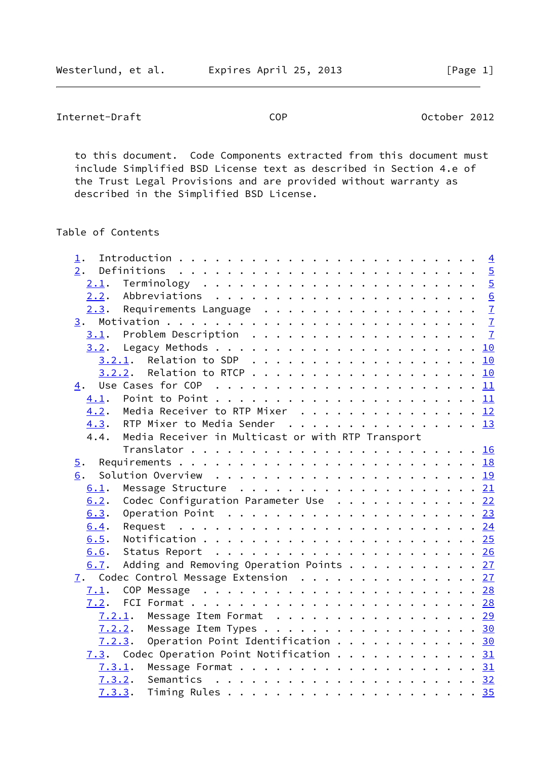Internet-Draft COP COP October 2012

 to this document. Code Components extracted from this document must include Simplified BSD License text as described in Section 4.e of the Trust Legal Provisions and are provided without warranty as described in the Simplified BSD License.

# Table of Contents

| 1.               |        |                                                                                            |  |  |  |  |  |  |  |  |  |  |  |
|------------------|--------|--------------------------------------------------------------------------------------------|--|--|--|--|--|--|--|--|--|--|--|
| 2.               |        |                                                                                            |  |  |  |  |  |  |  |  |  |  |  |
| 2.1.             |        |                                                                                            |  |  |  |  |  |  |  |  |  |  |  |
|                  |        |                                                                                            |  |  |  |  |  |  |  |  |  |  |  |
|                  |        |                                                                                            |  |  |  |  |  |  |  |  |  |  |  |
|                  |        |                                                                                            |  |  |  |  |  |  |  |  |  |  |  |
|                  |        |                                                                                            |  |  |  |  |  |  |  |  |  |  |  |
|                  |        |                                                                                            |  |  |  |  |  |  |  |  |  |  |  |
|                  |        | $3.2.1$ . Relation to SDP 10                                                               |  |  |  |  |  |  |  |  |  |  |  |
|                  | 3.2.2. |                                                                                            |  |  |  |  |  |  |  |  |  |  |  |
| 4.               |        |                                                                                            |  |  |  |  |  |  |  |  |  |  |  |
| 4.1.             |        |                                                                                            |  |  |  |  |  |  |  |  |  |  |  |
| 4.2.             |        | Media Receiver to RTP Mixer 12                                                             |  |  |  |  |  |  |  |  |  |  |  |
| 4.3.             |        | RTP Mixer to Media Sender 13                                                               |  |  |  |  |  |  |  |  |  |  |  |
| 4.4.             |        | Media Receiver in Multicast or with RTP Transport                                          |  |  |  |  |  |  |  |  |  |  |  |
|                  |        |                                                                                            |  |  |  |  |  |  |  |  |  |  |  |
| $\overline{5}$ . |        |                                                                                            |  |  |  |  |  |  |  |  |  |  |  |
| 6.               |        |                                                                                            |  |  |  |  |  |  |  |  |  |  |  |
| 6.1.             |        |                                                                                            |  |  |  |  |  |  |  |  |  |  |  |
| 6.2.             |        | Codec Configuration Parameter Use $\ldots$ 22                                              |  |  |  |  |  |  |  |  |  |  |  |
| 6.3.             |        |                                                                                            |  |  |  |  |  |  |  |  |  |  |  |
| 6.4.             |        |                                                                                            |  |  |  |  |  |  |  |  |  |  |  |
| 6.5.             |        |                                                                                            |  |  |  |  |  |  |  |  |  |  |  |
| 6.6.             |        |                                                                                            |  |  |  |  |  |  |  |  |  |  |  |
| 6.7.             |        | Adding and Removing Operation Points 27                                                    |  |  |  |  |  |  |  |  |  |  |  |
|                  |        | 7. Codec Control Message Extension 27                                                      |  |  |  |  |  |  |  |  |  |  |  |
| 7.1.             |        | COP Message $\ldots \ldots \ldots \ldots \ldots \ldots \ldots \ldots \ldots \frac{28}{28}$ |  |  |  |  |  |  |  |  |  |  |  |
|                  |        |                                                                                            |  |  |  |  |  |  |  |  |  |  |  |
|                  |        | 7.2.1. Message Item Format 29                                                              |  |  |  |  |  |  |  |  |  |  |  |
|                  |        | 7.2.2. Message Item Types 30                                                               |  |  |  |  |  |  |  |  |  |  |  |
|                  | 7.2.3. | Operation Point Identification 30                                                          |  |  |  |  |  |  |  |  |  |  |  |
|                  |        | 7.3. Codec Operation Point Notification 31                                                 |  |  |  |  |  |  |  |  |  |  |  |
|                  |        |                                                                                            |  |  |  |  |  |  |  |  |  |  |  |
|                  | 7.3.2. |                                                                                            |  |  |  |  |  |  |  |  |  |  |  |
|                  | 7.3.3. |                                                                                            |  |  |  |  |  |  |  |  |  |  |  |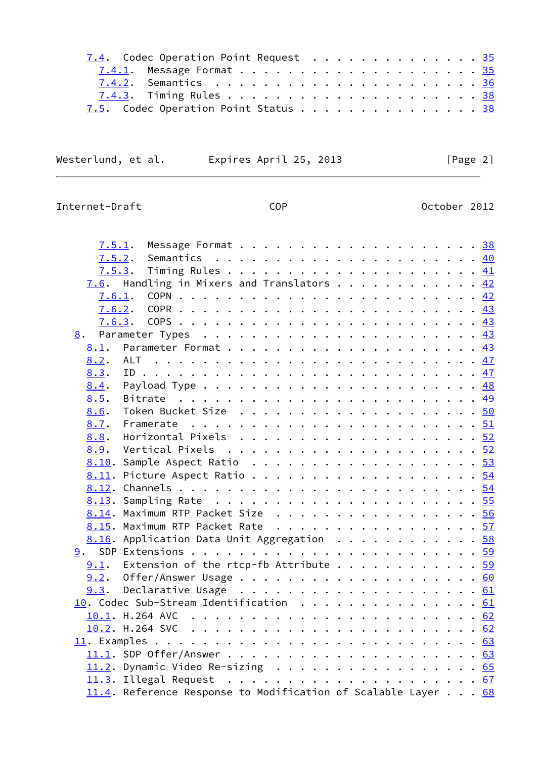|  |  |  |  |  |  |  | 7.4. Codec Operation Point Request 35<br>7.5. Codec Operation Point Status 38 |
|--|--|--|--|--|--|--|-------------------------------------------------------------------------------|

Westerlund, et al. Expires April 25, 2013 [Page 2]

Internet-Draft COP COP CODE CORPUTER COLORED CORPUTERS OCTOBER 2012

| Message Format $\ldots$ 38<br>7.5.1.                                                            |  |  |  |  |
|-------------------------------------------------------------------------------------------------|--|--|--|--|
| 7.5.2.                                                                                          |  |  |  |  |
|                                                                                                 |  |  |  |  |
| 7.6. Handling in Mixers and Translators $\frac{42}{3}$                                          |  |  |  |  |
| 7.6.1.                                                                                          |  |  |  |  |
| 7.6.2.                                                                                          |  |  |  |  |
|                                                                                                 |  |  |  |  |
|                                                                                                 |  |  |  |  |
| 8.1.                                                                                            |  |  |  |  |
| 8.2.                                                                                            |  |  |  |  |
| 8.3.                                                                                            |  |  |  |  |
|                                                                                                 |  |  |  |  |
| 8.5.                                                                                            |  |  |  |  |
| 8.6.                                                                                            |  |  |  |  |
| 8.7.<br>Framerate $\ldots \ldots \ldots \ldots \ldots \ldots \ldots \ldots \ldots \frac{51}{2}$ |  |  |  |  |
| 8.8.                                                                                            |  |  |  |  |
|                                                                                                 |  |  |  |  |
| 8.10. Sample Aspect Ratio 53                                                                    |  |  |  |  |
| 8.11. Picture Aspect Ratio 54                                                                   |  |  |  |  |
|                                                                                                 |  |  |  |  |
|                                                                                                 |  |  |  |  |
| 8.14. Maximum RTP Packet Size 56                                                                |  |  |  |  |
| 8.15. Maximum RTP Packet Rate 57                                                                |  |  |  |  |
| 8.16. Application Data Unit Aggregation 58                                                      |  |  |  |  |
|                                                                                                 |  |  |  |  |
| Extension of the rtcp-fb Attribute 59<br>9.1.                                                   |  |  |  |  |
|                                                                                                 |  |  |  |  |
|                                                                                                 |  |  |  |  |
| 10. Codec Sub-Stream Identification 61                                                          |  |  |  |  |
|                                                                                                 |  |  |  |  |
|                                                                                                 |  |  |  |  |
|                                                                                                 |  |  |  |  |
|                                                                                                 |  |  |  |  |
| 11.2. Dynamic Video Re-sizing 65                                                                |  |  |  |  |
|                                                                                                 |  |  |  |  |
| 11.4. Reference Response to Modification of Scalable Layer 68                                   |  |  |  |  |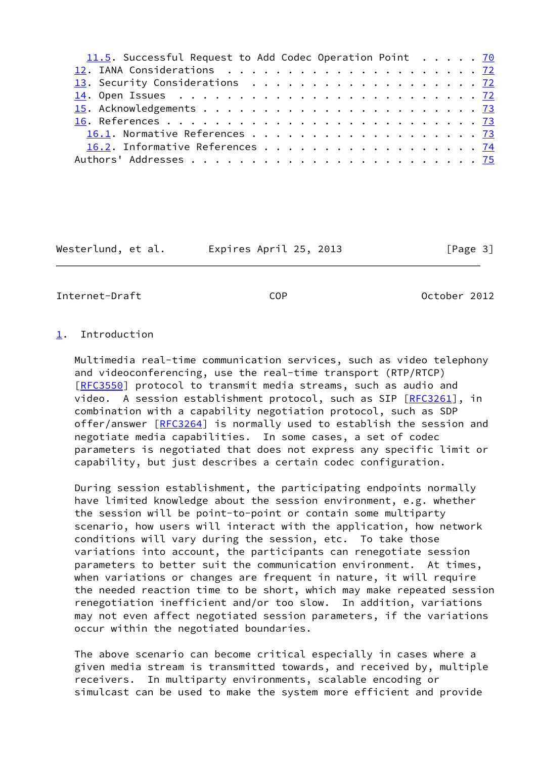| 11.5. Successful Request to Add Codec Operation Point $\cdots$ 70<br>16.2. Informative References 74 |  |  |  |  |
|------------------------------------------------------------------------------------------------------|--|--|--|--|
|                                                                                                      |  |  |  |  |
|                                                                                                      |  |  |  |  |
|                                                                                                      |  |  |  |  |
|                                                                                                      |  |  |  |  |
|                                                                                                      |  |  |  |  |
|                                                                                                      |  |  |  |  |
|                                                                                                      |  |  |  |  |
|                                                                                                      |  |  |  |  |
|                                                                                                      |  |  |  |  |

Westerlund, et al. Expires April 25, 2013 [Page 3]

<span id="page-3-1"></span>Internet-Draft COP October 2012

# <span id="page-3-0"></span>[1](#page-3-0). Introduction

 Multimedia real-time communication services, such as video telephony and videoconferencing, use the real-time transport (RTP/RTCP) [\[RFC3550](https://datatracker.ietf.org/doc/pdf/rfc3550)] protocol to transmit media streams, such as audio and video. A session establishment protocol, such as SIP [[RFC3261](https://datatracker.ietf.org/doc/pdf/rfc3261)], in combination with a capability negotiation protocol, such as SDP offer/answer [\[RFC3264](https://datatracker.ietf.org/doc/pdf/rfc3264)] is normally used to establish the session and negotiate media capabilities. In some cases, a set of codec parameters is negotiated that does not express any specific limit or capability, but just describes a certain codec configuration.

 During session establishment, the participating endpoints normally have limited knowledge about the session environment, e.g. whether the session will be point-to-point or contain some multiparty scenario, how users will interact with the application, how network conditions will vary during the session, etc. To take those variations into account, the participants can renegotiate session parameters to better suit the communication environment. At times, when variations or changes are frequent in nature, it will require the needed reaction time to be short, which may make repeated session renegotiation inefficient and/or too slow. In addition, variations may not even affect negotiated session parameters, if the variations occur within the negotiated boundaries.

 The above scenario can become critical especially in cases where a given media stream is transmitted towards, and received by, multiple receivers. In multiparty environments, scalable encoding or simulcast can be used to make the system more efficient and provide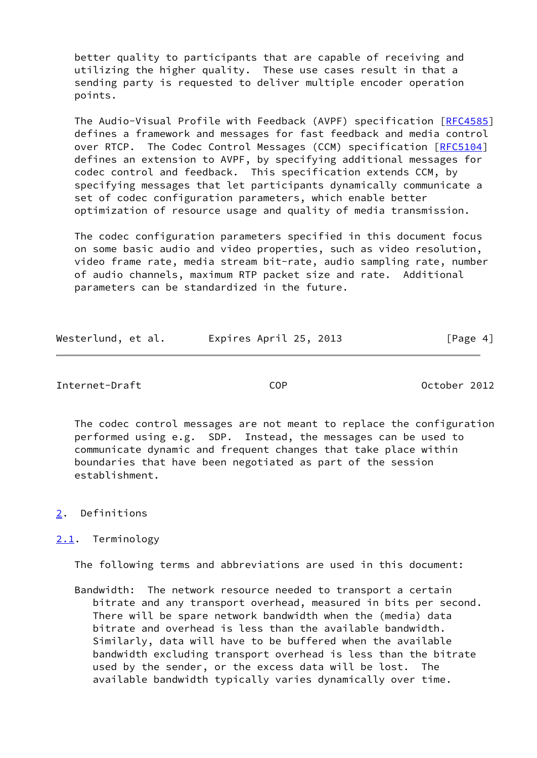better quality to participants that are capable of receiving and utilizing the higher quality. These use cases result in that a sending party is requested to deliver multiple encoder operation points.

 The Audio-Visual Profile with Feedback (AVPF) specification [\[RFC4585](https://datatracker.ietf.org/doc/pdf/rfc4585)] defines a framework and messages for fast feedback and media control over RTCP. The Codec Control Messages (CCM) specification [[RFC5104\]](https://datatracker.ietf.org/doc/pdf/rfc5104) defines an extension to AVPF, by specifying additional messages for codec control and feedback. This specification extends CCM, by specifying messages that let participants dynamically communicate a set of codec configuration parameters, which enable better optimization of resource usage and quality of media transmission.

 The codec configuration parameters specified in this document focus on some basic audio and video properties, such as video resolution, video frame rate, media stream bit-rate, audio sampling rate, number of audio channels, maximum RTP packet size and rate. Additional parameters can be standardized in the future.

| Westerlund, et al. |  | Expires April 25, 2013 |  | [Page 4] |  |
|--------------------|--|------------------------|--|----------|--|
|                    |  |                        |  |          |  |

## <span id="page-4-1"></span>Internet-Draft COP October 2012

 The codec control messages are not meant to replace the configuration performed using e.g. SDP. Instead, the messages can be used to communicate dynamic and frequent changes that take place within boundaries that have been negotiated as part of the session establishment.

## <span id="page-4-0"></span>[2](#page-4-0). Definitions

## <span id="page-4-2"></span>[2.1](#page-4-2). Terminology

The following terms and abbreviations are used in this document:

 Bandwidth: The network resource needed to transport a certain bitrate and any transport overhead, measured in bits per second. There will be spare network bandwidth when the (media) data bitrate and overhead is less than the available bandwidth. Similarly, data will have to be buffered when the available bandwidth excluding transport overhead is less than the bitrate used by the sender, or the excess data will be lost. The available bandwidth typically varies dynamically over time.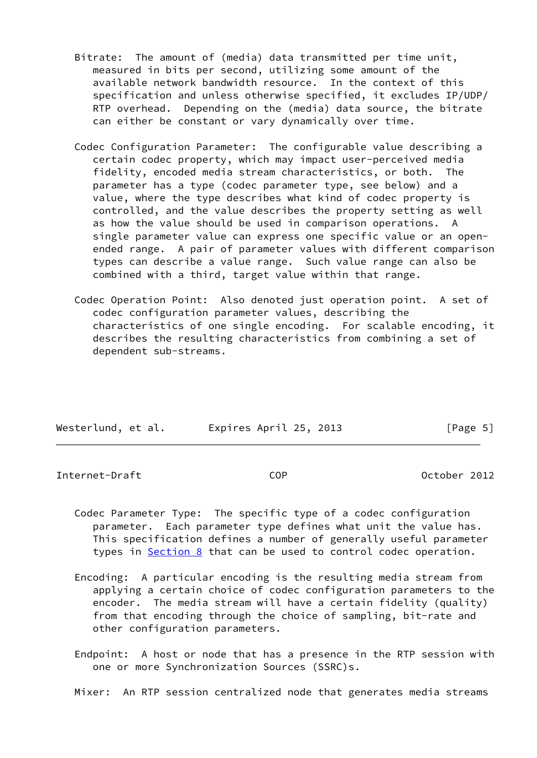- Bitrate: The amount of (media) data transmitted per time unit, measured in bits per second, utilizing some amount of the available network bandwidth resource. In the context of this specification and unless otherwise specified, it excludes IP/UDP/ RTP overhead. Depending on the (media) data source, the bitrate can either be constant or vary dynamically over time.
- Codec Configuration Parameter: The configurable value describing a certain codec property, which may impact user-perceived media fidelity, encoded media stream characteristics, or both. The parameter has a type (codec parameter type, see below) and a value, where the type describes what kind of codec property is controlled, and the value describes the property setting as well as how the value should be used in comparison operations. A single parameter value can express one specific value or an open ended range. A pair of parameter values with different comparison types can describe a value range. Such value range can also be combined with a third, target value within that range.
- Codec Operation Point: Also denoted just operation point. A set of codec configuration parameter values, describing the characteristics of one single encoding. For scalable encoding, it describes the resulting characteristics from combining a set of dependent sub-streams.

| Westerlund, et al. | Expires April 25, 2013 | [Page 5] |
|--------------------|------------------------|----------|

<span id="page-5-0"></span>Internet-Draft COP October 2012

- Codec Parameter Type: The specific type of a codec configuration parameter. Each parameter type defines what unit the value has. This specification defines a number of generally useful parameter types in **Section 8** that can be used to control codec operation.
- Encoding: A particular encoding is the resulting media stream from applying a certain choice of codec configuration parameters to the encoder. The media stream will have a certain fidelity (quality) from that encoding through the choice of sampling, bit-rate and other configuration parameters.
- Endpoint: A host or node that has a presence in the RTP session with one or more Synchronization Sources (SSRC)s.

Mixer: An RTP session centralized node that generates media streams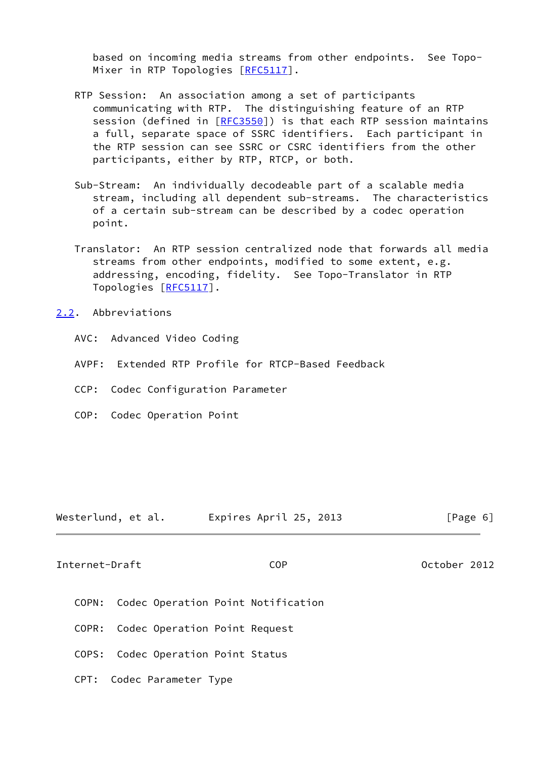based on incoming media streams from other endpoints. See Topo- Mixer in RTP Topologies [[RFC5117\]](https://datatracker.ietf.org/doc/pdf/rfc5117).

- RTP Session: An association among a set of participants communicating with RTP. The distinguishing feature of an RTP session (defined in [\[RFC3550](https://datatracker.ietf.org/doc/pdf/rfc3550)]) is that each RTP session maintains a full, separate space of SSRC identifiers. Each participant in the RTP session can see SSRC or CSRC identifiers from the other participants, either by RTP, RTCP, or both.
- Sub-Stream: An individually decodeable part of a scalable media stream, including all dependent sub-streams. The characteristics of a certain sub-stream can be described by a codec operation point.
- Translator: An RTP session centralized node that forwards all media streams from other endpoints, modified to some extent, e.g. addressing, encoding, fidelity. See Topo-Translator in RTP Topologies [[RFC5117](https://datatracker.ietf.org/doc/pdf/rfc5117)].

## <span id="page-6-0"></span>[2.2](#page-6-0). Abbreviations

- AVC: Advanced Video Coding
- AVPF: Extended RTP Profile for RTCP-Based Feedback
- CCP: Codec Configuration Parameter
- COP: Codec Operation Point

| Westerlund, et al. | Expires April 25, 2013 | [Page 6] |  |
|--------------------|------------------------|----------|--|
|                    |                        |          |  |

<span id="page-6-1"></span>Internet-Draft COP October 2012

- COPN: Codec Operation Point Notification
- COPR: Codec Operation Point Request
- COPS: Codec Operation Point Status
- CPT: Codec Parameter Type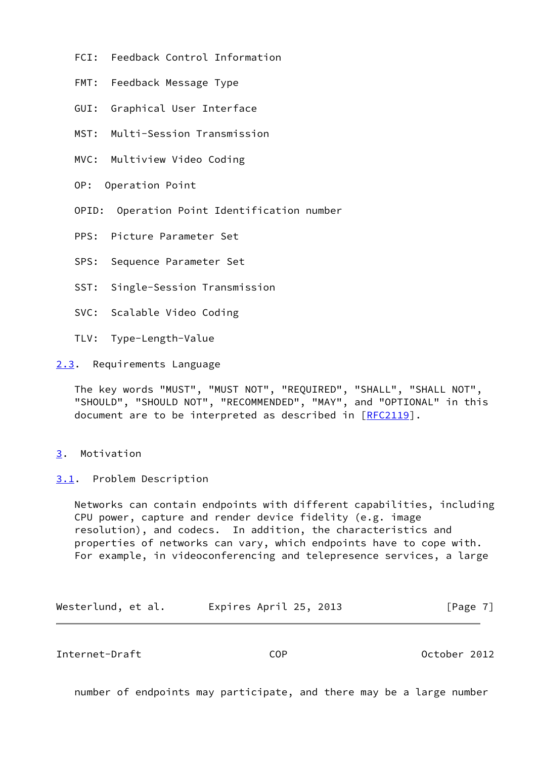- FCI: Feedback Control Information
- FMT: Feedback Message Type
- GUI: Graphical User Interface
- MST: Multi-Session Transmission
- MVC: Multiview Video Coding
- OP: Operation Point
- OPID: Operation Point Identification number
- PPS: Picture Parameter Set
- SPS: Sequence Parameter Set
- SST: Single-Session Transmission
- SVC: Scalable Video Coding
- TLV: Type-Length-Value

<span id="page-7-0"></span>[2.3](#page-7-0). Requirements Language

 The key words "MUST", "MUST NOT", "REQUIRED", "SHALL", "SHALL NOT", "SHOULD", "SHOULD NOT", "RECOMMENDED", "MAY", and "OPTIONAL" in this document are to be interpreted as described in [\[RFC2119](https://datatracker.ietf.org/doc/pdf/rfc2119)].

## <span id="page-7-1"></span>[3](#page-7-1). Motivation

<span id="page-7-2"></span>[3.1](#page-7-2). Problem Description

 Networks can contain endpoints with different capabilities, including CPU power, capture and render device fidelity (e.g. image resolution), and codecs. In addition, the characteristics and properties of networks can vary, which endpoints have to cope with. For example, in videoconferencing and telepresence services, a large

| Westerlund, et al. | Expires April 25, 2013 | [Page 7] |
|--------------------|------------------------|----------|
|--------------------|------------------------|----------|

Internet-Draft COP October 2012

number of endpoints may participate, and there may be a large number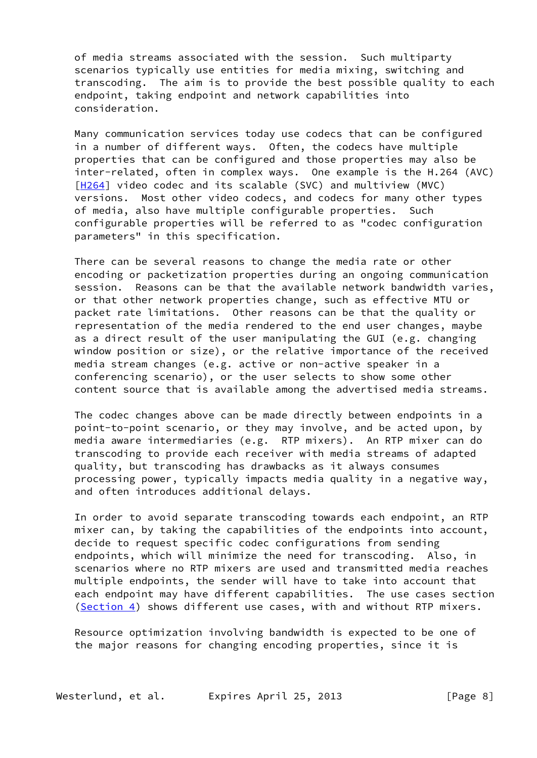of media streams associated with the session. Such multiparty scenarios typically use entities for media mixing, switching and transcoding. The aim is to provide the best possible quality to each endpoint, taking endpoint and network capabilities into consideration.

 Many communication services today use codecs that can be configured in a number of different ways. Often, the codecs have multiple properties that can be configured and those properties may also be inter-related, often in complex ways. One example is the H.264 (AVC) [\[H264](#page-82-2)] video codec and its scalable (SVC) and multiview (MVC) versions. Most other video codecs, and codecs for many other types of media, also have multiple configurable properties. Such configurable properties will be referred to as "codec configuration parameters" in this specification.

 There can be several reasons to change the media rate or other encoding or packetization properties during an ongoing communication session. Reasons can be that the available network bandwidth varies, or that other network properties change, such as effective MTU or packet rate limitations. Other reasons can be that the quality or representation of the media rendered to the end user changes, maybe as a direct result of the user manipulating the GUI (e.g. changing window position or size), or the relative importance of the received media stream changes (e.g. active or non-active speaker in a conferencing scenario), or the user selects to show some other content source that is available among the advertised media streams.

 The codec changes above can be made directly between endpoints in a point-to-point scenario, or they may involve, and be acted upon, by media aware intermediaries (e.g. RTP mixers). An RTP mixer can do transcoding to provide each receiver with media streams of adapted quality, but transcoding has drawbacks as it always consumes processing power, typically impacts media quality in a negative way, and often introduces additional delays.

 In order to avoid separate transcoding towards each endpoint, an RTP mixer can, by taking the capabilities of the endpoints into account, decide to request specific codec configurations from sending endpoints, which will minimize the need for transcoding. Also, in scenarios where no RTP mixers are used and transmitted media reaches multiple endpoints, the sender will have to take into account that each endpoint may have different capabilities. The use cases section [\(Section 4](#page-11-0)) shows different use cases, with and without RTP mixers.

 Resource optimization involving bandwidth is expected to be one of the major reasons for changing encoding properties, since it is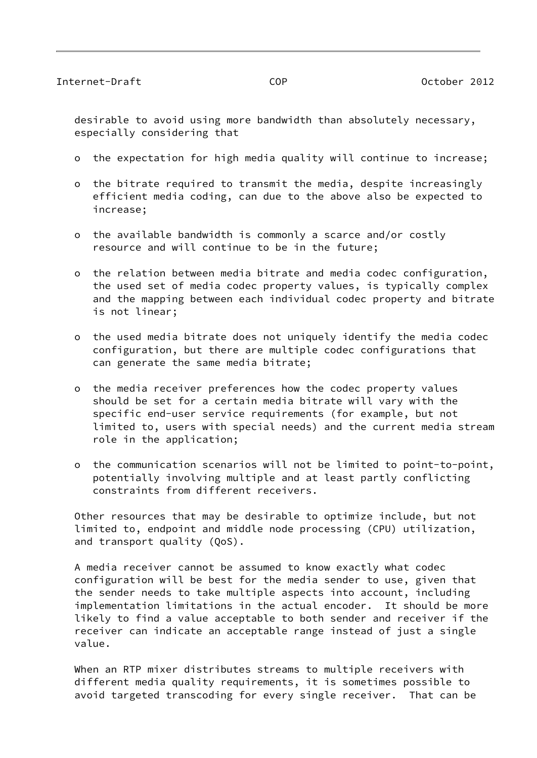desirable to avoid using more bandwidth than absolutely necessary, especially considering that

- o the expectation for high media quality will continue to increase;
- o the bitrate required to transmit the media, despite increasingly efficient media coding, can due to the above also be expected to increase;
- o the available bandwidth is commonly a scarce and/or costly resource and will continue to be in the future;
- o the relation between media bitrate and media codec configuration, the used set of media codec property values, is typically complex and the mapping between each individual codec property and bitrate is not linear;
- o the used media bitrate does not uniquely identify the media codec configuration, but there are multiple codec configurations that can generate the same media bitrate;
- o the media receiver preferences how the codec property values should be set for a certain media bitrate will vary with the specific end-user service requirements (for example, but not limited to, users with special needs) and the current media stream role in the application;
- o the communication scenarios will not be limited to point-to-point, potentially involving multiple and at least partly conflicting constraints from different receivers.

 Other resources that may be desirable to optimize include, but not limited to, endpoint and middle node processing (CPU) utilization, and transport quality (QoS).

 A media receiver cannot be assumed to know exactly what codec configuration will be best for the media sender to use, given that the sender needs to take multiple aspects into account, including implementation limitations in the actual encoder. It should be more likely to find a value acceptable to both sender and receiver if the receiver can indicate an acceptable range instead of just a single value.

 When an RTP mixer distributes streams to multiple receivers with different media quality requirements, it is sometimes possible to avoid targeted transcoding for every single receiver. That can be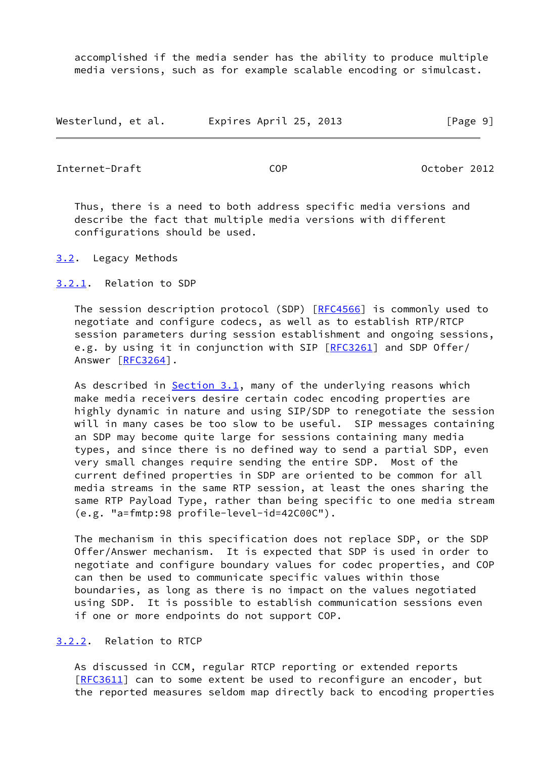accomplished if the media sender has the ability to produce multiple media versions, such as for example scalable encoding or simulcast.

| Westerlund, et al. | Expires April 25, 2013 | [Page 9] |
|--------------------|------------------------|----------|
|--------------------|------------------------|----------|

<span id="page-10-1"></span>Internet-Draft COP October 2012

 Thus, there is a need to both address specific media versions and describe the fact that multiple media versions with different configurations should be used.

- <span id="page-10-0"></span>[3.2](#page-10-0). Legacy Methods
- <span id="page-10-2"></span>[3.2.1](#page-10-2). Relation to SDP

 The session description protocol (SDP) [\[RFC4566](https://datatracker.ietf.org/doc/pdf/rfc4566)] is commonly used to negotiate and configure codecs, as well as to establish RTP/RTCP session parameters during session establishment and ongoing sessions, e.g. by using it in conjunction with SIP [\[RFC3261](https://datatracker.ietf.org/doc/pdf/rfc3261)] and SDP Offer/ Answer [\[RFC3264](https://datatracker.ietf.org/doc/pdf/rfc3264)].

 As described in [Section 3.1](#page-7-2), many of the underlying reasons which make media receivers desire certain codec encoding properties are highly dynamic in nature and using SIP/SDP to renegotiate the session will in many cases be too slow to be useful. SIP messages containing an SDP may become quite large for sessions containing many media types, and since there is no defined way to send a partial SDP, even very small changes require sending the entire SDP. Most of the current defined properties in SDP are oriented to be common for all media streams in the same RTP session, at least the ones sharing the same RTP Payload Type, rather than being specific to one media stream (e.g. "a=fmtp:98 profile-level-id=42C00C").

 The mechanism in this specification does not replace SDP, or the SDP Offer/Answer mechanism. It is expected that SDP is used in order to negotiate and configure boundary values for codec properties, and COP can then be used to communicate specific values within those boundaries, as long as there is no impact on the values negotiated using SDP. It is possible to establish communication sessions even if one or more endpoints do not support COP.

## <span id="page-10-3"></span>[3.2.2](#page-10-3). Relation to RTCP

 As discussed in CCM, regular RTCP reporting or extended reports [\[RFC3611](https://datatracker.ietf.org/doc/pdf/rfc3611)] can to some extent be used to reconfigure an encoder, but the reported measures seldom map directly back to encoding properties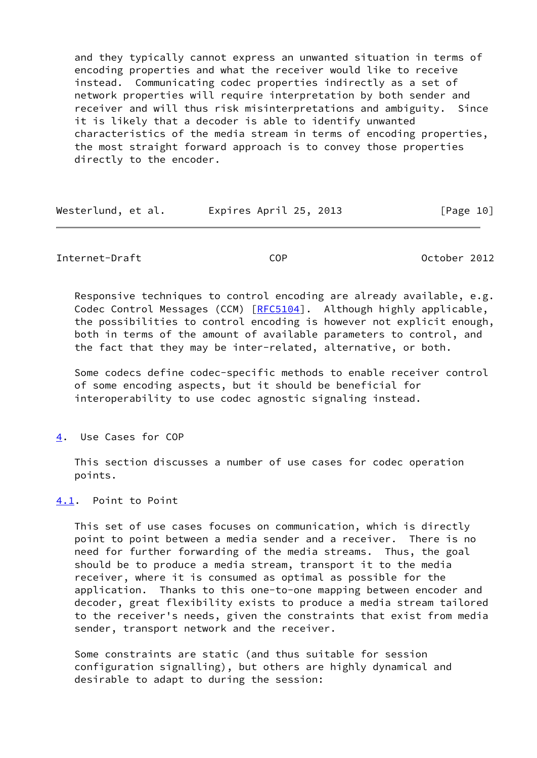and they typically cannot express an unwanted situation in terms of encoding properties and what the receiver would like to receive instead. Communicating codec properties indirectly as a set of network properties will require interpretation by both sender and receiver and will thus risk misinterpretations and ambiguity. Since it is likely that a decoder is able to identify unwanted characteristics of the media stream in terms of encoding properties, the most straight forward approach is to convey those properties directly to the encoder.

| Westerlund, et al. | Expires April 25, 2013 | [Page 10] |
|--------------------|------------------------|-----------|
|--------------------|------------------------|-----------|

<span id="page-11-1"></span>Internet-Draft COP October 2012

 Responsive techniques to control encoding are already available, e.g. Codec Control Messages (CCM) [\[RFC5104](https://datatracker.ietf.org/doc/pdf/rfc5104)]. Although highly applicable, the possibilities to control encoding is however not explicit enough, both in terms of the amount of available parameters to control, and the fact that they may be inter-related, alternative, or both.

 Some codecs define codec-specific methods to enable receiver control of some encoding aspects, but it should be beneficial for interoperability to use codec agnostic signaling instead.

<span id="page-11-0"></span>[4](#page-11-0). Use Cases for COP

 This section discusses a number of use cases for codec operation points.

<span id="page-11-2"></span>[4.1](#page-11-2). Point to Point

 This set of use cases focuses on communication, which is directly point to point between a media sender and a receiver. There is no need for further forwarding of the media streams. Thus, the goal should be to produce a media stream, transport it to the media receiver, where it is consumed as optimal as possible for the application. Thanks to this one-to-one mapping between encoder and decoder, great flexibility exists to produce a media stream tailored to the receiver's needs, given the constraints that exist from media sender, transport network and the receiver.

 Some constraints are static (and thus suitable for session configuration signalling), but others are highly dynamical and desirable to adapt to during the session: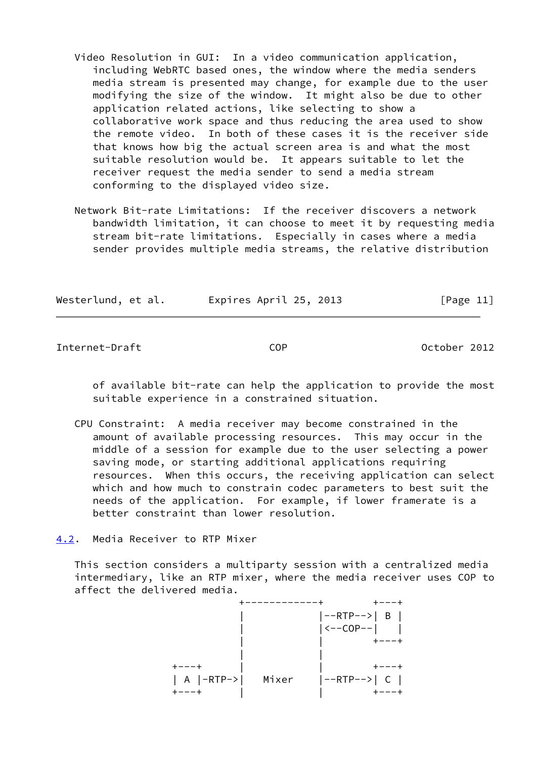- Video Resolution in GUI: In a video communication application, including WebRTC based ones, the window where the media senders media stream is presented may change, for example due to the user modifying the size of the window. It might also be due to other application related actions, like selecting to show a collaborative work space and thus reducing the area used to show the remote video. In both of these cases it is the receiver side that knows how big the actual screen area is and what the most suitable resolution would be. It appears suitable to let the receiver request the media sender to send a media stream conforming to the displayed video size.
- Network Bit-rate Limitations: If the receiver discovers a network bandwidth limitation, it can choose to meet it by requesting media stream bit-rate limitations. Especially in cases where a media sender provides multiple media streams, the relative distribution

|  | Westerlund, et al. | Expires April 25, 2013 | [Page $11$ ] |
|--|--------------------|------------------------|--------------|
|--|--------------------|------------------------|--------------|

<span id="page-12-1"></span>Internet-Draft COP October 2012

 of available bit-rate can help the application to provide the most suitable experience in a constrained situation.

- CPU Constraint: A media receiver may become constrained in the amount of available processing resources. This may occur in the middle of a session for example due to the user selecting a power saving mode, or starting additional applications requiring resources. When this occurs, the receiving application can select which and how much to constrain codec parameters to best suit the needs of the application. For example, if lower framerate is a better constraint than lower resolution.
- <span id="page-12-0"></span>[4.2](#page-12-0). Media Receiver to RTP Mixer

 This section considers a multiparty session with a centralized media intermediary, like an RTP mixer, where the media receiver uses COP to affect the delivered media.

|  | $ -RTP--> B $                 |
|--|-------------------------------|
|  | $\vert$ <--COP-- $\vert$      |
|  |                               |
|  |                               |
|  |                               |
|  | A  -RTP->  Mixer  --RTP-->  C |
|  |                               |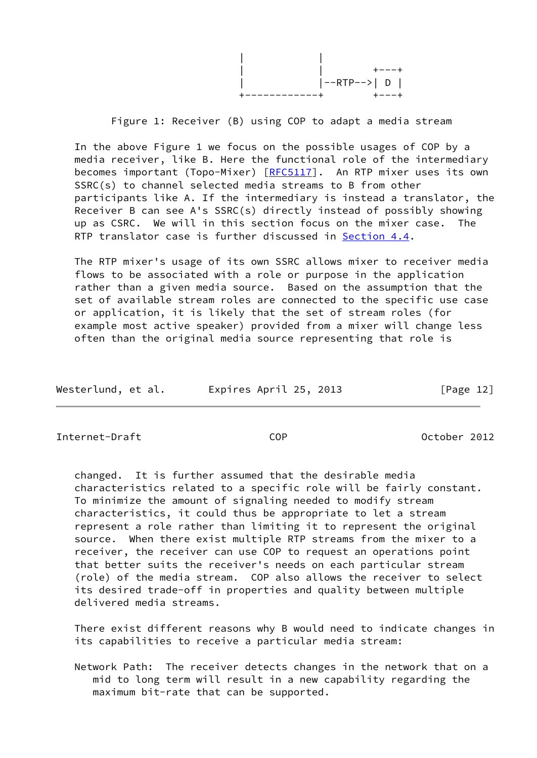|  | ーーーエ            |
|--|-----------------|
|  | $ -RTP-->  D  $ |
|  |                 |

Figure 1: Receiver (B) using COP to adapt a media stream

 In the above Figure 1 we focus on the possible usages of COP by a media receiver, like B. Here the functional role of the intermediary becomes important (Topo-Mixer) [\[RFC5117](https://datatracker.ietf.org/doc/pdf/rfc5117)]. An RTP mixer uses its own SSRC(s) to channel selected media streams to B from other participants like A. If the intermediary is instead a translator, the Receiver B can see A's SSRC(s) directly instead of possibly showing up as CSRC. We will in this section focus on the mixer case. The RTP translator case is further discussed in [Section 4.4.](#page-17-1)

 The RTP mixer's usage of its own SSRC allows mixer to receiver media flows to be associated with a role or purpose in the application rather than a given media source. Based on the assumption that the set of available stream roles are connected to the specific use case or application, it is likely that the set of stream roles (for example most active speaker) provided from a mixer will change less often than the original media source representing that role is

| Expires April 25, 2013<br>Westerlund, et al. |  | [Page 12] |
|----------------------------------------------|--|-----------|
|----------------------------------------------|--|-----------|

<span id="page-13-0"></span>Internet-Draft COP October 2012

 changed. It is further assumed that the desirable media characteristics related to a specific role will be fairly constant. To minimize the amount of signaling needed to modify stream characteristics, it could thus be appropriate to let a stream represent a role rather than limiting it to represent the original source. When there exist multiple RTP streams from the mixer to a receiver, the receiver can use COP to request an operations point that better suits the receiver's needs on each particular stream (role) of the media stream. COP also allows the receiver to select its desired trade-off in properties and quality between multiple delivered media streams.

 There exist different reasons why B would need to indicate changes in its capabilities to receive a particular media stream:

 Network Path: The receiver detects changes in the network that on a mid to long term will result in a new capability regarding the maximum bit-rate that can be supported.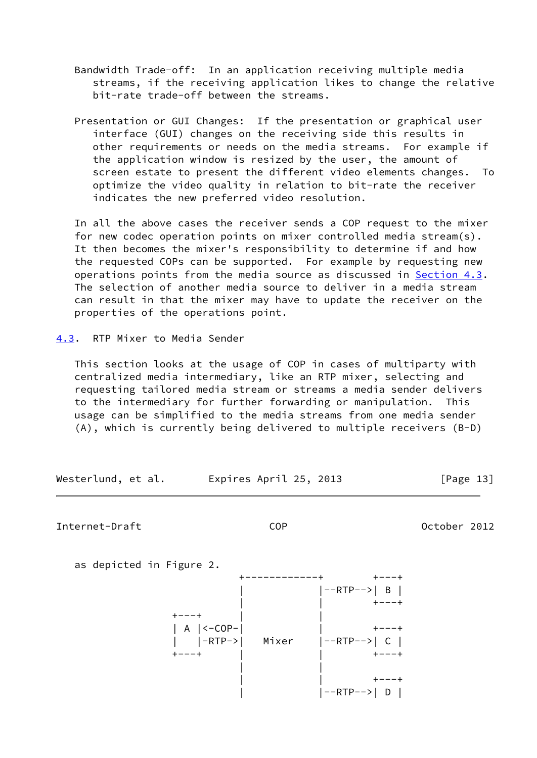- Bandwidth Trade-off: In an application receiving multiple media streams, if the receiving application likes to change the relative bit-rate trade-off between the streams.
- Presentation or GUI Changes: If the presentation or graphical user interface (GUI) changes on the receiving side this results in other requirements or needs on the media streams. For example if the application window is resized by the user, the amount of screen estate to present the different video elements changes. To optimize the video quality in relation to bit-rate the receiver indicates the new preferred video resolution.

 In all the above cases the receiver sends a COP request to the mixer for new codec operation points on mixer controlled media stream(s). It then becomes the mixer's responsibility to determine if and how the requested COPs can be supported. For example by requesting new operations points from the media source as discussed in [Section 4.3](#page-14-0). The selection of another media source to deliver in a media stream can result in that the mixer may have to update the receiver on the properties of the operations point.

<span id="page-14-0"></span>[4.3](#page-14-0). RTP Mixer to Media Sender

 This section looks at the usage of COP in cases of multiparty with centralized media intermediary, like an RTP mixer, selecting and requesting tailored media stream or streams a media sender delivers to the intermediary for further forwarding or manipulation. This usage can be simplified to the media streams from one media sender (A), which is currently being delivered to multiple receivers (B-D)

Westerlund, et al. Expires April 25, 2013 [Page 13]

Internet-Draft COP October 2012

as depicted in Figure 2.

 +------------+ +---+ | |--RTP-->| B | | | +---+  $+---+$ | A |<-COP-|  $\qquad \qquad$  |  $\qquad \qquad$  +---+ | |-RTP->| Mixer |--RTP-->| C | +---+ | | +---+ | | | | +---+  $|-RTP-->| D |$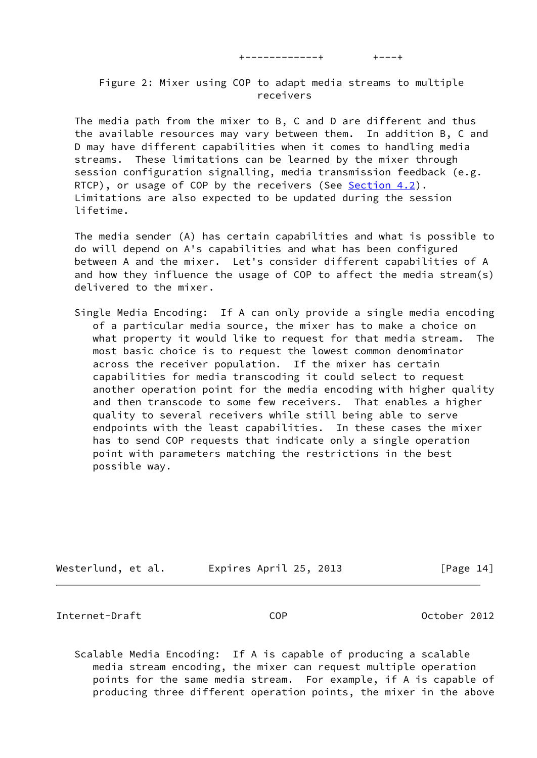+------------+ +---+

 Figure 2: Mixer using COP to adapt media streams to multiple receivers

 The media path from the mixer to B, C and D are different and thus the available resources may vary between them. In addition B, C and D may have different capabilities when it comes to handling media streams. These limitations can be learned by the mixer through session configuration signalling, media transmission feedback (e.g. RTCP), or usage of COP by the receivers (See [Section 4.2](#page-12-0)). Limitations are also expected to be updated during the session lifetime.

 The media sender (A) has certain capabilities and what is possible to do will depend on A's capabilities and what has been configured between A and the mixer. Let's consider different capabilities of A and how they influence the usage of COP to affect the media stream(s) delivered to the mixer.

 Single Media Encoding: If A can only provide a single media encoding of a particular media source, the mixer has to make a choice on what property it would like to request for that media stream. The most basic choice is to request the lowest common denominator across the receiver population. If the mixer has certain capabilities for media transcoding it could select to request another operation point for the media encoding with higher quality and then transcode to some few receivers. That enables a higher quality to several receivers while still being able to serve endpoints with the least capabilities. In these cases the mixer has to send COP requests that indicate only a single operation point with parameters matching the restrictions in the best possible way.

| Westerlund, et al. | Expires April 25, 2013 | [Page 14] |
|--------------------|------------------------|-----------|
|--------------------|------------------------|-----------|

Internet-Draft COP October 2012

 Scalable Media Encoding: If A is capable of producing a scalable media stream encoding, the mixer can request multiple operation points for the same media stream. For example, if A is capable of producing three different operation points, the mixer in the above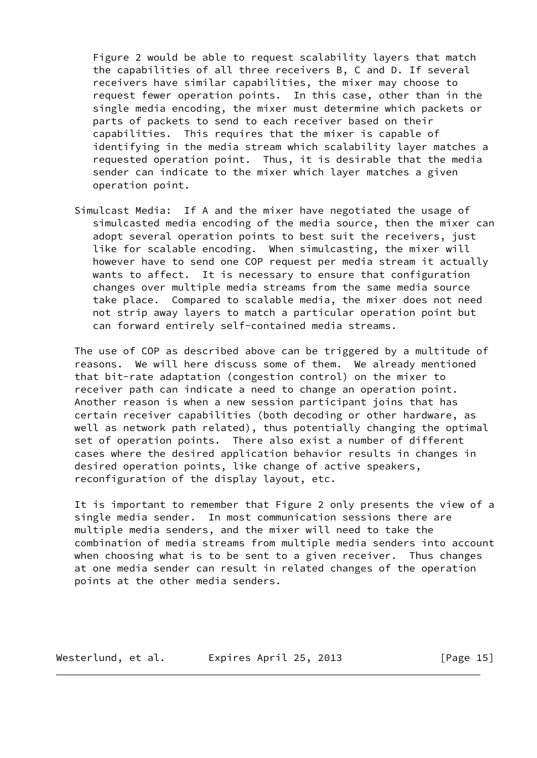Figure 2 would be able to request scalability layers that match the capabilities of all three receivers B, C and D. If several receivers have similar capabilities, the mixer may choose to request fewer operation points. In this case, other than in the single media encoding, the mixer must determine which packets or parts of packets to send to each receiver based on their capabilities. This requires that the mixer is capable of identifying in the media stream which scalability layer matches a requested operation point. Thus, it is desirable that the media sender can indicate to the mixer which layer matches a given operation point.

 Simulcast Media: If A and the mixer have negotiated the usage of simulcasted media encoding of the media source, then the mixer can adopt several operation points to best suit the receivers, just like for scalable encoding. When simulcasting, the mixer will however have to send one COP request per media stream it actually wants to affect. It is necessary to ensure that configuration changes over multiple media streams from the same media source take place. Compared to scalable media, the mixer does not need not strip away layers to match a particular operation point but can forward entirely self-contained media streams.

 The use of COP as described above can be triggered by a multitude of reasons. We will here discuss some of them. We already mentioned that bit-rate adaptation (congestion control) on the mixer to receiver path can indicate a need to change an operation point. Another reason is when a new session participant joins that has certain receiver capabilities (both decoding or other hardware, as well as network path related), thus potentially changing the optimal set of operation points. There also exist a number of different cases where the desired application behavior results in changes in desired operation points, like change of active speakers, reconfiguration of the display layout, etc.

 It is important to remember that Figure 2 only presents the view of a single media sender. In most communication sessions there are multiple media senders, and the mixer will need to take the combination of media streams from multiple media senders into account when choosing what is to be sent to a given receiver. Thus changes at one media sender can result in related changes of the operation points at the other media senders.

Westerlund, et al. Expires April 25, 2013 [Page 15]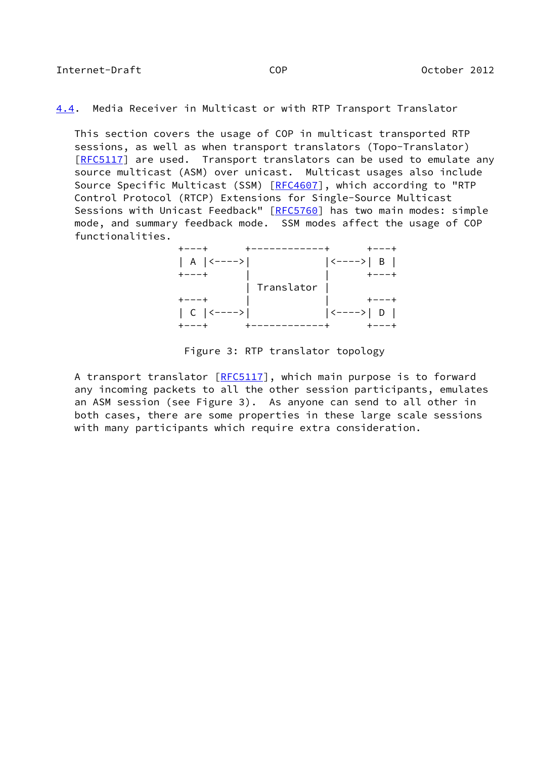<span id="page-17-1"></span><span id="page-17-0"></span>[4.4](#page-17-1). Media Receiver in Multicast or with RTP Transport Translator

 This section covers the usage of COP in multicast transported RTP sessions, as well as when transport translators (Topo-Translator) [\[RFC5117](https://datatracker.ietf.org/doc/pdf/rfc5117)] are used. Transport translators can be used to emulate any source multicast (ASM) over unicast. Multicast usages also include Source Specific Multicast (SSM) [\[RFC4607](https://datatracker.ietf.org/doc/pdf/rfc4607)], which according to "RTP Control Protocol (RTCP) Extensions for Single-Source Multicast Sessions with Unicast Feedback" [\[RFC5760](https://datatracker.ietf.org/doc/pdf/rfc5760)] has two main modes: simple mode, and summary feedback mode. SSM modes affect the usage of COP functionalities.

 +---+ +------------+ +---+ | A |<---->| |<---->| B | +---+ | | +---+ | Translator | +---+ | | +---+ | C |<---->| |<---->| D | +---+ +------------+ +---+

#### Figure 3: RTP translator topology

A transport translator [\[RFC5117](https://datatracker.ietf.org/doc/pdf/rfc5117)], which main purpose is to forward any incoming packets to all the other session participants, emulates an ASM session (see Figure 3). As anyone can send to all other in both cases, there are some properties in these large scale sessions with many participants which require extra consideration.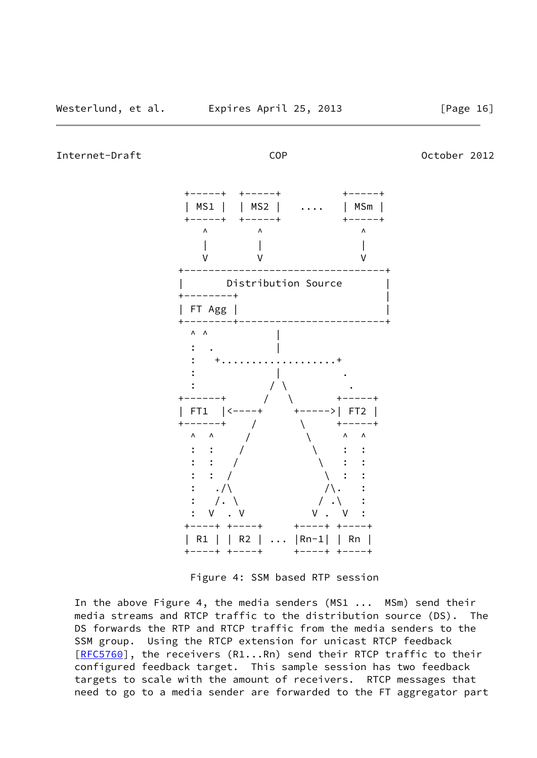Internet-Draft COP October 2012



Figure 4: SSM based RTP session

 In the above Figure 4, the media senders (MS1 ... MSm) send their media streams and RTCP traffic to the distribution source (DS). The DS forwards the RTP and RTCP traffic from the media senders to the SSM group. Using the RTCP extension for unicast RTCP feedback [\[RFC5760](https://datatracker.ietf.org/doc/pdf/rfc5760)], the receivers (R1...Rn) send their RTCP traffic to their configured feedback target. This sample session has two feedback targets to scale with the amount of receivers. RTCP messages that need to go to a media sender are forwarded to the FT aggregator part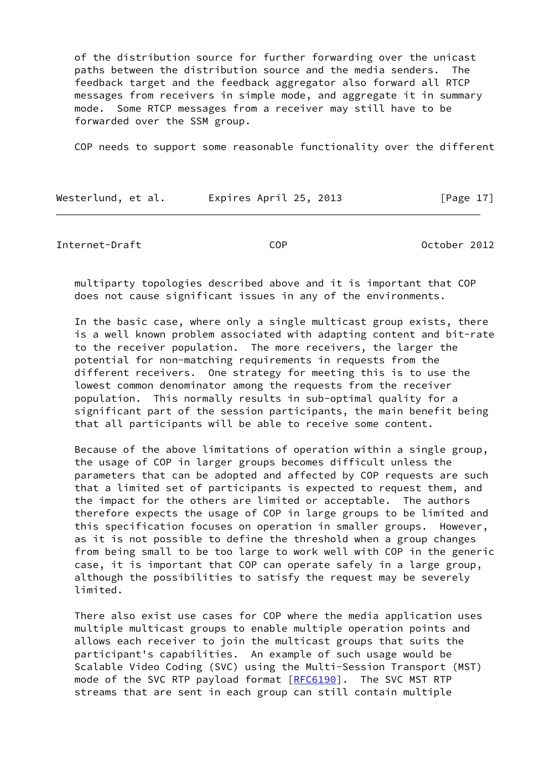of the distribution source for further forwarding over the unicast paths between the distribution source and the media senders. The feedback target and the feedback aggregator also forward all RTCP messages from receivers in simple mode, and aggregate it in summary mode. Some RTCP messages from a receiver may still have to be forwarded over the SSM group.

COP needs to support some reasonable functionality over the different

| Westerlund, et al. | Expires April 25, 2013 | [Page $17$ ] |
|--------------------|------------------------|--------------|
|--------------------|------------------------|--------------|

<span id="page-19-0"></span>Internet-Draft COP October 2012

 multiparty topologies described above and it is important that COP does not cause significant issues in any of the environments.

 In the basic case, where only a single multicast group exists, there is a well known problem associated with adapting content and bit-rate to the receiver population. The more receivers, the larger the potential for non-matching requirements in requests from the different receivers. One strategy for meeting this is to use the lowest common denominator among the requests from the receiver population. This normally results in sub-optimal quality for a significant part of the session participants, the main benefit being that all participants will be able to receive some content.

 Because of the above limitations of operation within a single group, the usage of COP in larger groups becomes difficult unless the parameters that can be adopted and affected by COP requests are such that a limited set of participants is expected to request them, and the impact for the others are limited or acceptable. The authors therefore expects the usage of COP in large groups to be limited and this specification focuses on operation in smaller groups. However, as it is not possible to define the threshold when a group changes from being small to be too large to work well with COP in the generic case, it is important that COP can operate safely in a large group, although the possibilities to satisfy the request may be severely limited.

 There also exist use cases for COP where the media application uses multiple multicast groups to enable multiple operation points and allows each receiver to join the multicast groups that suits the participant's capabilities. An example of such usage would be Scalable Video Coding (SVC) using the Multi-Session Transport (MST) mode of the SVC RTP payload format [[RFC6190\]](https://datatracker.ietf.org/doc/pdf/rfc6190). The SVC MST RTP streams that are sent in each group can still contain multiple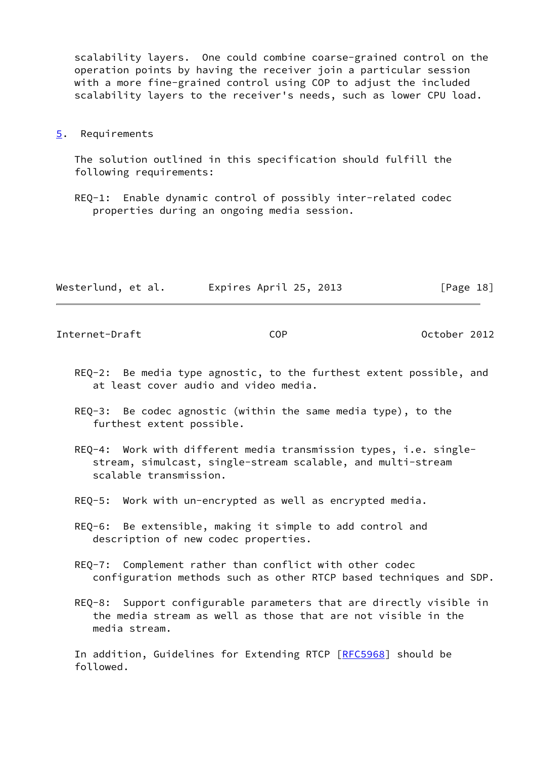scalability layers. One could combine coarse-grained control on the operation points by having the receiver join a particular session with a more fine-grained control using COP to adjust the included scalability layers to the receiver's needs, such as lower CPU load.

#### <span id="page-20-0"></span>[5](#page-20-0). Requirements

 The solution outlined in this specification should fulfill the following requirements:

 REQ-1: Enable dynamic control of possibly inter-related codec properties during an ongoing media session.

| Westerlund, et al. | Expires April 25, 2013 | [Page 18] |
|--------------------|------------------------|-----------|
|--------------------|------------------------|-----------|

<span id="page-20-1"></span>Internet-Draft COP October 2012

- REQ-2: Be media type agnostic, to the furthest extent possible, and at least cover audio and video media.
- REQ-3: Be codec agnostic (within the same media type), to the furthest extent possible.
- REQ-4: Work with different media transmission types, i.e. single stream, simulcast, single-stream scalable, and multi-stream scalable transmission.
- REQ-5: Work with un-encrypted as well as encrypted media.
- REQ-6: Be extensible, making it simple to add control and description of new codec properties.
- REQ-7: Complement rather than conflict with other codec configuration methods such as other RTCP based techniques and SDP.
- REQ-8: Support configurable parameters that are directly visible in the media stream as well as those that are not visible in the media stream.

 In addition, Guidelines for Extending RTCP [[RFC5968\]](https://datatracker.ietf.org/doc/pdf/rfc5968) should be followed.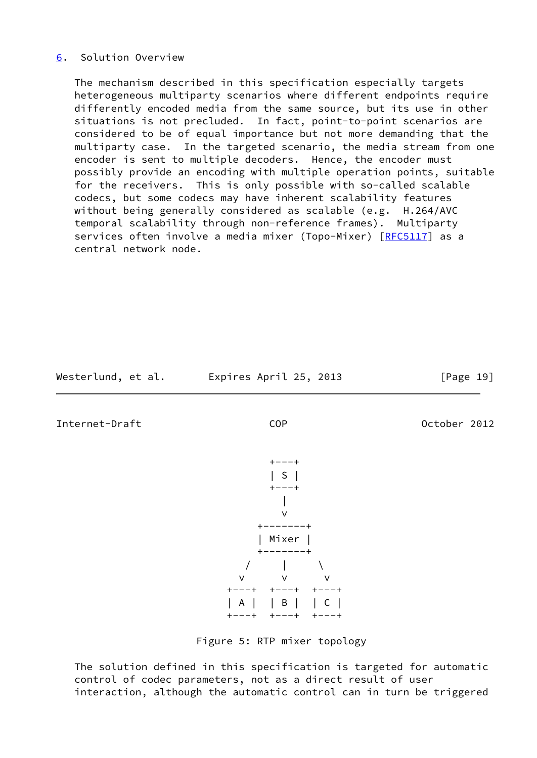## <span id="page-21-0"></span>[6](#page-21-0). Solution Overview

 The mechanism described in this specification especially targets heterogeneous multiparty scenarios where different endpoints require differently encoded media from the same source, but its use in other situations is not precluded. In fact, point-to-point scenarios are considered to be of equal importance but not more demanding that the multiparty case. In the targeted scenario, the media stream from one encoder is sent to multiple decoders. Hence, the encoder must possibly provide an encoding with multiple operation points, suitable for the receivers. This is only possible with so-called scalable codecs, but some codecs may have inherent scalability features without being generally considered as scalable (e.g. H.264/AVC temporal scalability through non-reference frames). Multiparty services often involve a media mixer (Topo-Mixer) [[RFC5117](https://datatracker.ietf.org/doc/pdf/rfc5117)] as a central network node.

Westerlund, et al. Expires April 25, 2013 [Page 19]

Internet-Draft COP October 2012

+---+



Figure 5: RTP mixer topology

 The solution defined in this specification is targeted for automatic control of codec parameters, not as a direct result of user interaction, although the automatic control can in turn be triggered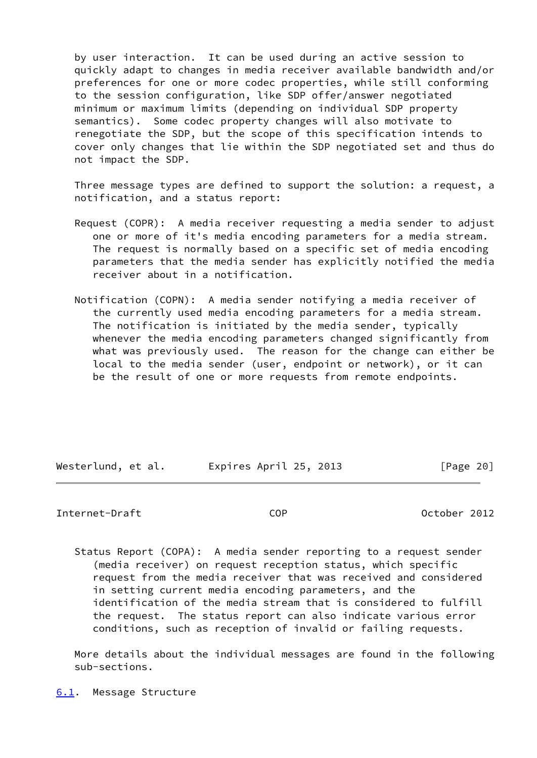by user interaction. It can be used during an active session to quickly adapt to changes in media receiver available bandwidth and/or preferences for one or more codec properties, while still conforming to the session configuration, like SDP offer/answer negotiated minimum or maximum limits (depending on individual SDP property semantics). Some codec property changes will also motivate to renegotiate the SDP, but the scope of this specification intends to cover only changes that lie within the SDP negotiated set and thus do not impact the SDP.

 Three message types are defined to support the solution: a request, a notification, and a status report:

- Request (COPR): A media receiver requesting a media sender to adjust one or more of it's media encoding parameters for a media stream. The request is normally based on a specific set of media encoding parameters that the media sender has explicitly notified the media receiver about in a notification.
- Notification (COPN): A media sender notifying a media receiver of the currently used media encoding parameters for a media stream. The notification is initiated by the media sender, typically whenever the media encoding parameters changed significantly from what was previously used. The reason for the change can either be local to the media sender (user, endpoint or network), or it can be the result of one or more requests from remote endpoints.

| Westerlund, et al. |  | Expires April 25, 2013 |  | [Page 20] |  |
|--------------------|--|------------------------|--|-----------|--|
|                    |  |                        |  |           |  |

#### <span id="page-22-1"></span>Internet-Draft COP October 2012

 Status Report (COPA): A media sender reporting to a request sender (media receiver) on request reception status, which specific request from the media receiver that was received and considered in setting current media encoding parameters, and the identification of the media stream that is considered to fulfill the request. The status report can also indicate various error conditions, such as reception of invalid or failing requests.

<span id="page-22-0"></span> More details about the individual messages are found in the following sub-sections.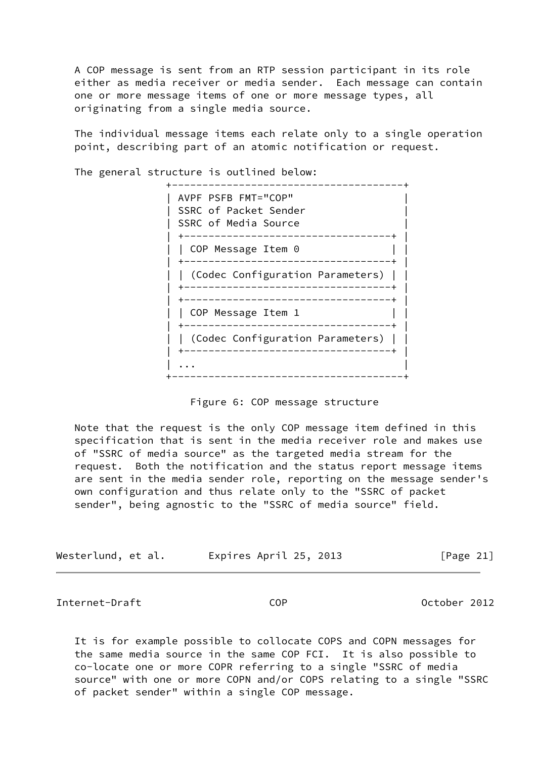A COP message is sent from an RTP session participant in its role either as media receiver or media sender. Each message can contain one or more message items of one or more message types, all originating from a single media source.

 The individual message items each relate only to a single operation point, describing part of an atomic notification or request.

| AVPF PSFB FMT="COP"<br>SSRC of Packet Sender<br>SSRC of Media Source |
|----------------------------------------------------------------------|
|                                                                      |
| COP Message Item 0                                                   |
|                                                                      |
| (Codec Configuration Parameters)                                     |
|                                                                      |
| ----------------------                                               |
| COP Message Item 1                                                   |
|                                                                      |
| (Codec Configuration Parameters)                                     |
|                                                                      |
|                                                                      |
|                                                                      |

The general structure is outlined below:

## Figure 6: COP message structure

 Note that the request is the only COP message item defined in this specification that is sent in the media receiver role and makes use of "SSRC of media source" as the targeted media stream for the request. Both the notification and the status report message items are sent in the media sender role, reporting on the message sender's own configuration and thus relate only to the "SSRC of packet sender", being agnostic to the "SSRC of media source" field.

| Westerlund, et al. | Expires April 25, 2013 | [Page 21] |
|--------------------|------------------------|-----------|
|--------------------|------------------------|-----------|

<span id="page-23-0"></span>Internet-Draft COP October 2012

 It is for example possible to collocate COPS and COPN messages for the same media source in the same COP FCI. It is also possible to co-locate one or more COPR referring to a single "SSRC of media source" with one or more COPN and/or COPS relating to a single "SSRC of packet sender" within a single COP message.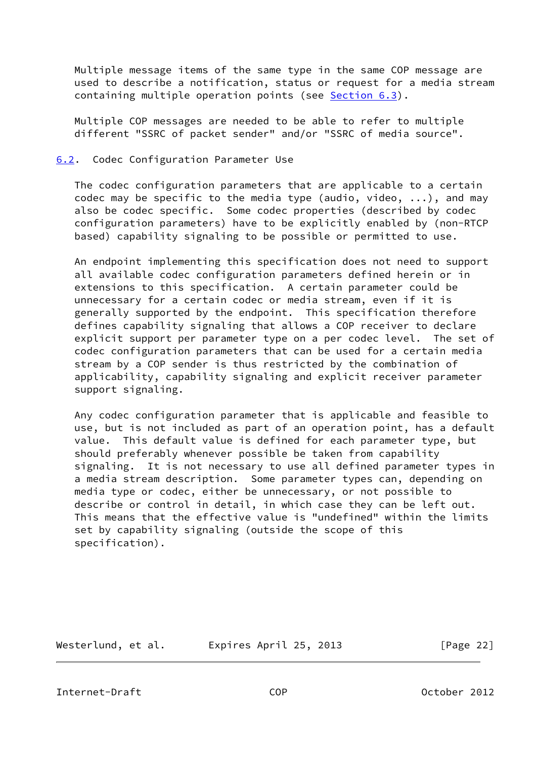Multiple message items of the same type in the same COP message are used to describe a notification, status or request for a media stream containing multiple operation points (see [Section 6.3](#page-25-0)).

 Multiple COP messages are needed to be able to refer to multiple different "SSRC of packet sender" and/or "SSRC of media source".

#### <span id="page-24-0"></span>[6.2](#page-24-0). Codec Configuration Parameter Use

 The codec configuration parameters that are applicable to a certain codec may be specific to the media type (audio, video, ...), and may also be codec specific. Some codec properties (described by codec configuration parameters) have to be explicitly enabled by (non-RTCP based) capability signaling to be possible or permitted to use.

 An endpoint implementing this specification does not need to support all available codec configuration parameters defined herein or in extensions to this specification. A certain parameter could be unnecessary for a certain codec or media stream, even if it is generally supported by the endpoint. This specification therefore defines capability signaling that allows a COP receiver to declare explicit support per parameter type on a per codec level. The set of codec configuration parameters that can be used for a certain media stream by a COP sender is thus restricted by the combination of applicability, capability signaling and explicit receiver parameter support signaling.

 Any codec configuration parameter that is applicable and feasible to use, but is not included as part of an operation point, has a default value. This default value is defined for each parameter type, but should preferably whenever possible be taken from capability signaling. It is not necessary to use all defined parameter types in a media stream description. Some parameter types can, depending on media type or codec, either be unnecessary, or not possible to describe or control in detail, in which case they can be left out. This means that the effective value is "undefined" within the limits set by capability signaling (outside the scope of this specification).

Westerlund, et al. Expires April 25, 2013 [Page 22]

<span id="page-24-1"></span>Internet-Draft COP October 2012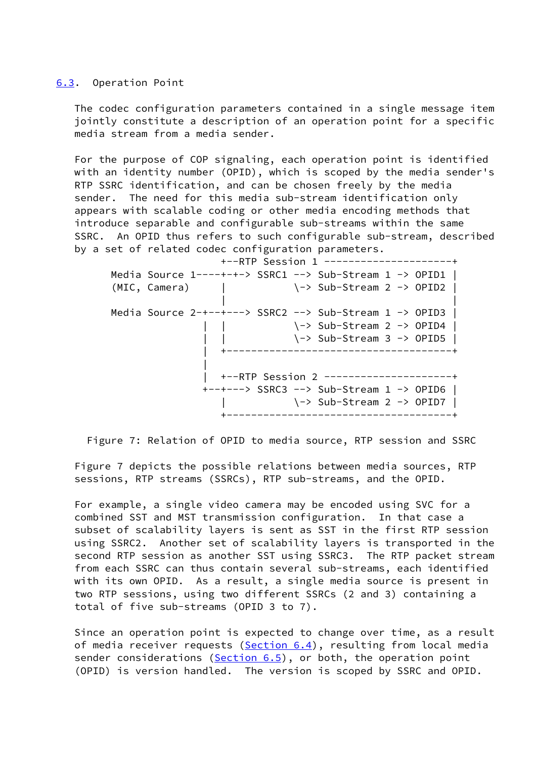#### <span id="page-25-0"></span>[6.3](#page-25-0). Operation Point

 The codec configuration parameters contained in a single message item jointly constitute a description of an operation point for a specific media stream from a media sender.

 For the purpose of COP signaling, each operation point is identified with an identity number (OPID), which is scoped by the media sender's RTP SSRC identification, and can be chosen freely by the media sender. The need for this media sub-stream identification only appears with scalable coding or other media encoding methods that introduce separable and configurable sub-streams within the same SSRC. An OPID thus refers to such configurable sub-stream, described by a set of related codec configuration parameters.

 +--RTP Session 1 ---------------------+ Media Source 1----+-+-> SSRC1 --> Sub-Stream 1 -> OPID1 |  $(MIC, Camera)$  |  $\rightarrow Sub-Stream 2 \rightarrow OPID2$  | | | Media Source 2-+--+---> SSRC2 --> Sub-Stream 1 -> OPID3 | | | \-> Sub-Stream 2 -> OPID4 | | | \-> Sub-Stream 3 -> OPID5 | | +-------------------------------------+ | | +--RTP Session 2 ---------------------+ +--+---> SSRC3 --> Sub-Stream 1 -> OPID6 | | \-> Sub-Stream 2 -> OPID7 | +-------------------------------------+

Figure 7: Relation of OPID to media source, RTP session and SSRC

 Figure 7 depicts the possible relations between media sources, RTP sessions, RTP streams (SSRCs), RTP sub-streams, and the OPID.

 For example, a single video camera may be encoded using SVC for a combined SST and MST transmission configuration. In that case a subset of scalability layers is sent as SST in the first RTP session using SSRC2. Another set of scalability layers is transported in the second RTP session as another SST using SSRC3. The RTP packet stream from each SSRC can thus contain several sub-streams, each identified with its own OPID. As a result, a single media source is present in two RTP sessions, using two different SSRCs (2 and 3) containing a total of five sub-streams (OPID 3 to 7).

 Since an operation point is expected to change over time, as a result of media receiver requests ([Section 6.4\)](#page-26-0), resulting from local media sender considerations ( $Section 6.5$ ), or both, the operation point (OPID) is version handled. The version is scoped by SSRC and OPID.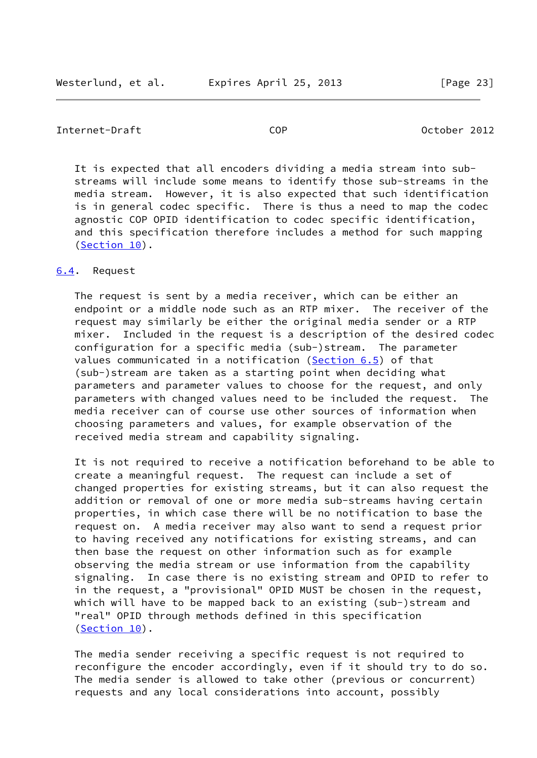### <span id="page-26-1"></span>Internet-Draft COP October 2012

 It is expected that all encoders dividing a media stream into sub streams will include some means to identify those sub-streams in the media stream. However, it is also expected that such identification is in general codec specific. There is thus a need to map the codec agnostic COP OPID identification to codec specific identification, and this specification therefore includes a method for such mapping [\(Section 10\)](#page-68-2).

### <span id="page-26-0"></span>[6.4](#page-26-0). Request

 The request is sent by a media receiver, which can be either an endpoint or a middle node such as an RTP mixer. The receiver of the request may similarly be either the original media sender or a RTP mixer. Included in the request is a description of the desired codec configuration for a specific media (sub-)stream. The parameter values communicated in a notification ([Section 6.5](#page-27-0)) of that (sub-)stream are taken as a starting point when deciding what parameters and parameter values to choose for the request, and only parameters with changed values need to be included the request. The media receiver can of course use other sources of information when choosing parameters and values, for example observation of the received media stream and capability signaling.

 It is not required to receive a notification beforehand to be able to create a meaningful request. The request can include a set of changed properties for existing streams, but it can also request the addition or removal of one or more media sub-streams having certain properties, in which case there will be no notification to base the request on. A media receiver may also want to send a request prior to having received any notifications for existing streams, and can then base the request on other information such as for example observing the media stream or use information from the capability signaling. In case there is no existing stream and OPID to refer to in the request, a "provisional" OPID MUST be chosen in the request, which will have to be mapped back to an existing (sub-)stream and "real" OPID through methods defined in this specification [\(Section 10\)](#page-68-2).

 The media sender receiving a specific request is not required to reconfigure the encoder accordingly, even if it should try to do so. The media sender is allowed to take other (previous or concurrent) requests and any local considerations into account, possibly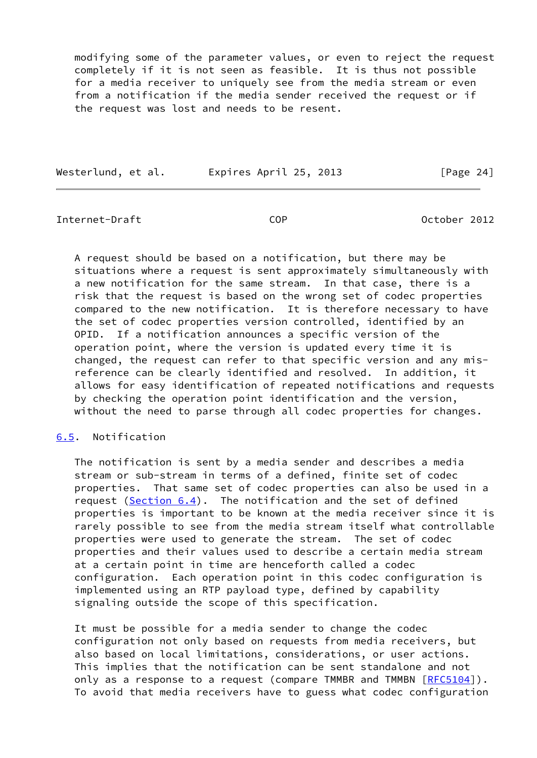modifying some of the parameter values, or even to reject the request completely if it is not seen as feasible. It is thus not possible for a media receiver to uniquely see from the media stream or even from a notification if the media sender received the request or if the request was lost and needs to be resent.

| Westerlund, et al. |  | Expires April 25, 2013 |  | [Page $24$ ] |  |
|--------------------|--|------------------------|--|--------------|--|
|                    |  |                        |  |              |  |

<span id="page-27-1"></span>Internet-Draft COP October 2012

 A request should be based on a notification, but there may be situations where a request is sent approximately simultaneously with a new notification for the same stream. In that case, there is a risk that the request is based on the wrong set of codec properties compared to the new notification. It is therefore necessary to have the set of codec properties version controlled, identified by an OPID. If a notification announces a specific version of the operation point, where the version is updated every time it is changed, the request can refer to that specific version and any mis reference can be clearly identified and resolved. In addition, it allows for easy identification of repeated notifications and requests by checking the operation point identification and the version, without the need to parse through all codec properties for changes.

## <span id="page-27-0"></span>[6.5](#page-27-0). Notification

 The notification is sent by a media sender and describes a media stream or sub-stream in terms of a defined, finite set of codec properties. That same set of codec properties can also be used in a request [\(Section 6.4](#page-26-0)). The notification and the set of defined properties is important to be known at the media receiver since it is rarely possible to see from the media stream itself what controllable properties were used to generate the stream. The set of codec properties and their values used to describe a certain media stream at a certain point in time are henceforth called a codec configuration. Each operation point in this codec configuration is implemented using an RTP payload type, defined by capability signaling outside the scope of this specification.

 It must be possible for a media sender to change the codec configuration not only based on requests from media receivers, but also based on local limitations, considerations, or user actions. This implies that the notification can be sent standalone and not only as a response to a request (compare TMMBR and TMMBN [\[RFC5104](https://datatracker.ietf.org/doc/pdf/rfc5104)]). To avoid that media receivers have to guess what codec configuration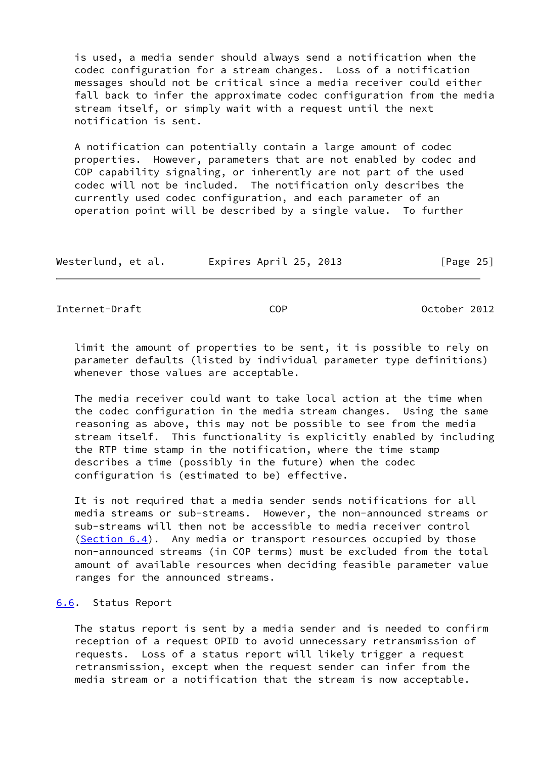is used, a media sender should always send a notification when the codec configuration for a stream changes. Loss of a notification messages should not be critical since a media receiver could either fall back to infer the approximate codec configuration from the media stream itself, or simply wait with a request until the next notification is sent.

 A notification can potentially contain a large amount of codec properties. However, parameters that are not enabled by codec and COP capability signaling, or inherently are not part of the used codec will not be included. The notification only describes the currently used codec configuration, and each parameter of an operation point will be described by a single value. To further

| Westerlund, et al. | Expires April 25, 2013 | [Page 25] |
|--------------------|------------------------|-----------|
|--------------------|------------------------|-----------|

<span id="page-28-1"></span>Internet-Draft COP October 2012

 limit the amount of properties to be sent, it is possible to rely on parameter defaults (listed by individual parameter type definitions) whenever those values are acceptable.

 The media receiver could want to take local action at the time when the codec configuration in the media stream changes. Using the same reasoning as above, this may not be possible to see from the media stream itself. This functionality is explicitly enabled by including the RTP time stamp in the notification, where the time stamp describes a time (possibly in the future) when the codec configuration is (estimated to be) effective.

 It is not required that a media sender sends notifications for all media streams or sub-streams. However, the non-announced streams or sub-streams will then not be accessible to media receiver control [\(Section 6.4](#page-26-0)). Any media or transport resources occupied by those non-announced streams (in COP terms) must be excluded from the total amount of available resources when deciding feasible parameter value ranges for the announced streams.

#### <span id="page-28-0"></span>[6.6](#page-28-0). Status Report

 The status report is sent by a media sender and is needed to confirm reception of a request OPID to avoid unnecessary retransmission of requests. Loss of a status report will likely trigger a request retransmission, except when the request sender can infer from the media stream or a notification that the stream is now acceptable.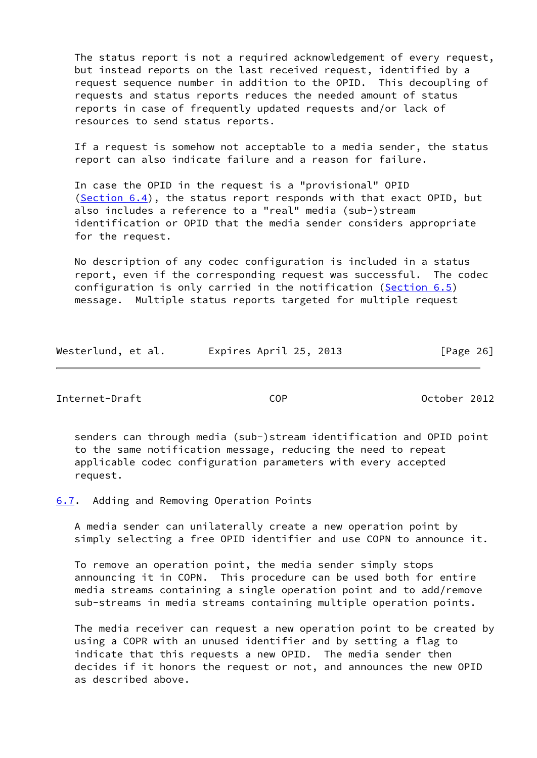The status report is not a required acknowledgement of every request, but instead reports on the last received request, identified by a request sequence number in addition to the OPID. This decoupling of requests and status reports reduces the needed amount of status reports in case of frequently updated requests and/or lack of resources to send status reports.

 If a request is somehow not acceptable to a media sender, the status report can also indicate failure and a reason for failure.

 In case the OPID in the request is a "provisional" OPID  $(Section 6.4)$  $(Section 6.4)$ , the status report responds with that exact OPID, but also includes a reference to a "real" media (sub-)stream identification or OPID that the media sender considers appropriate for the request.

 No description of any codec configuration is included in a status report, even if the corresponding request was successful. The codec configuration is only carried in the notification ([Section 6.5](#page-27-0)) message. Multiple status reports targeted for multiple request

| Expires April 25, 2013<br>Westerlund, et al. | [Page 26] |
|----------------------------------------------|-----------|
|----------------------------------------------|-----------|

<span id="page-29-1"></span>Internet-Draft COP October 2012

 senders can through media (sub-)stream identification and OPID point to the same notification message, reducing the need to repeat applicable codec configuration parameters with every accepted request.

<span id="page-29-0"></span>[6.7](#page-29-0). Adding and Removing Operation Points

 A media sender can unilaterally create a new operation point by simply selecting a free OPID identifier and use COPN to announce it.

 To remove an operation point, the media sender simply stops announcing it in COPN. This procedure can be used both for entire media streams containing a single operation point and to add/remove sub-streams in media streams containing multiple operation points.

 The media receiver can request a new operation point to be created by using a COPR with an unused identifier and by setting a flag to indicate that this requests a new OPID. The media sender then decides if it honors the request or not, and announces the new OPID as described above.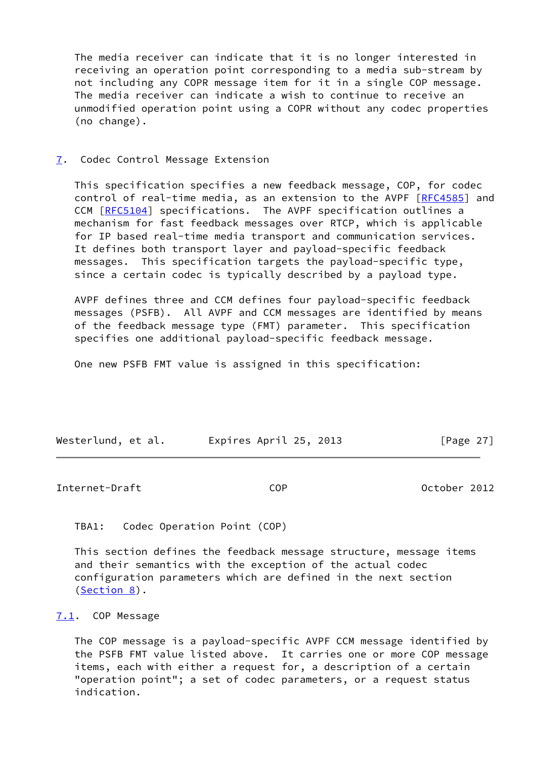The media receiver can indicate that it is no longer interested in receiving an operation point corresponding to a media sub-stream by not including any COPR message item for it in a single COP message. The media receiver can indicate a wish to continue to receive an unmodified operation point using a COPR without any codec properties (no change).

## <span id="page-30-0"></span>[7](#page-30-0). Codec Control Message Extension

 This specification specifies a new feedback message, COP, for codec control of real-time media, as an extension to the AVPF [\[RFC4585](https://datatracker.ietf.org/doc/pdf/rfc4585)] and CCM [\[RFC5104](https://datatracker.ietf.org/doc/pdf/rfc5104)] specifications. The AVPF specification outlines a mechanism for fast feedback messages over RTCP, which is applicable for IP based real-time media transport and communication services. It defines both transport layer and payload-specific feedback messages. This specification targets the payload-specific type, since a certain codec is typically described by a payload type.

 AVPF defines three and CCM defines four payload-specific feedback messages (PSFB). All AVPF and CCM messages are identified by means of the feedback message type (FMT) parameter. This specification specifies one additional payload-specific feedback message.

One new PSFB FMT value is assigned in this specification:

| Westerlund, et al. | Expires April 25, 2013 | [Page 27] |
|--------------------|------------------------|-----------|
|                    |                        |           |

<span id="page-30-2"></span>Internet-Draft COP October 2012

TBA1: Codec Operation Point (COP)

 This section defines the feedback message structure, message items and their semantics with the exception of the actual codec configuration parameters which are defined in the next section [\(Section 8](#page-48-1)).

## <span id="page-30-1"></span>[7.1](#page-30-1). COP Message

 The COP message is a payload-specific AVPF CCM message identified by the PSFB FMT value listed above. It carries one or more COP message items, each with either a request for, a description of a certain "operation point"; a set of codec parameters, or a request status indication.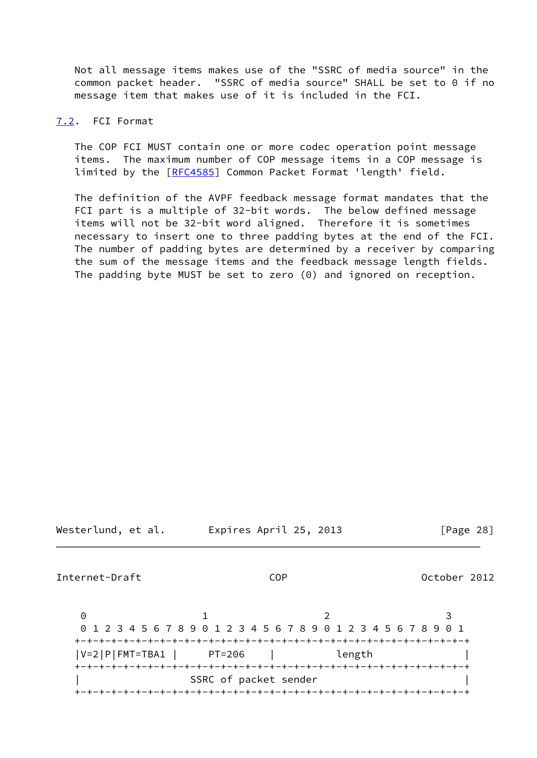Not all message items makes use of the "SSRC of media source" in the common packet header. "SSRC of media source" SHALL be set to 0 if no message item that makes use of it is included in the FCI.

## <span id="page-31-0"></span>[7.2](#page-31-0). FCI Format

 The COP FCI MUST contain one or more codec operation point message items. The maximum number of COP message items in a COP message is limited by the [\[RFC4585](https://datatracker.ietf.org/doc/pdf/rfc4585)] Common Packet Format 'length' field.

 The definition of the AVPF feedback message format mandates that the FCI part is a multiple of 32-bit words. The below defined message items will not be 32-bit word aligned. Therefore it is sometimes necessary to insert one to three padding bytes at the end of the FCI. The number of padding bytes are determined by a receiver by comparing the sum of the message items and the feedback message length fields. The padding byte MUST be set to zero (0) and ignored on reception.

Westerlund, et al. Expires April 25, 2013 [Page 28]

<span id="page-31-1"></span>Internet-Draft COP October 2012

0 1 2 3 0 1 2 3 4 5 6 7 8 9 0 1 2 3 4 5 6 7 8 9 0 1 2 3 4 5 6 7 8 9 0 1 +-+-+-+-+-+-+-+-+-+-+-+-+-+-+-+-+-+-+-+-+-+-+-+-+-+-+-+-+-+-+-+-+ |V=2|P|FMT=TBA1 | PT=206 | length | +-+-+-+-+-+-+-+-+-+-+-+-+-+-+-+-+-+-+-+-+-+-+-+-+-+-+-+-+-+-+-+-+ SSRC of packet sender +-+-+-+-+-+-+-+-+-+-+-+-+-+-+-+-+-+-+-+-+-+-+-+-+-+-+-+-+-+-+-+-+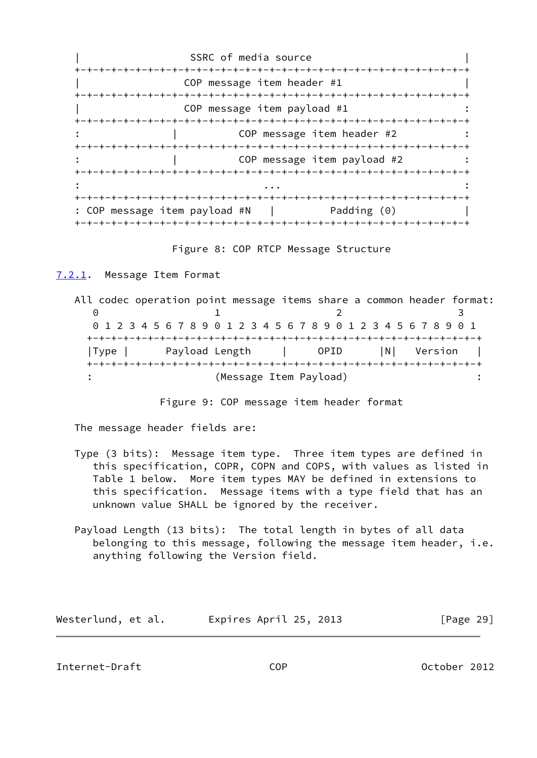SSRC of media source +-+-+-+-+-+-+-+-+-+-+-+-+-+-+-+-+-+-+-+-+-+-+-+-+-+-+-+-+-+-+-+-+ COP message item header #1 +-+-+-+-+-+-+-+-+-+-+-+-+-+-+-+-+-+-+-+-+-+-+-+-+-+-+-+-+-+-+-+-+ COP message item payload #1 +-+-+-+-+-+-+-+-+-+-+-+-+-+-+-+-+-+-+-+-+-+-+-+-+-+-+-+-+-+-+-+-+ COP message item header #2 +-+-+-+-+-+-+-+-+-+-+-+-+-+-+-+-+-+-+-+-+-+-+-+-+-+-+-+-+-+-+-+-+ COP message item payload #2 +-+-+-+-+-+-+-+-+-+-+-+-+-+-+-+-+-+-+-+-+-+-+-+-+-+-+-+-+-+-+-+-+ : ... : +-+-+-+-+-+-+-+-+-+-+-+-+-+-+-+-+-+-+-+-+-+-+-+-+-+-+-+-+-+-+-+-+ : COP message item payload #N | Padding (0) | +-+-+-+-+-+-+-+-+-+-+-+-+-+-+-+-+-+-+-+-+-+-+-+-+-+-+-+-+-+-+-+-+

Figure 8: COP RTCP Message Structure

<span id="page-32-0"></span>[7.2.1](#page-32-0). Message Item Format

 All codec operation point message items share a common header format: 0 1 2 3 0 1 2 3 4 5 6 7 8 9 0 1 2 3 4 5 6 7 8 9 0 1 2 3 4 5 6 7 8 9 0 1 +-+-+-+-+-+-+-+-+-+-+-+-+-+-+-+-+-+-+-+-+-+-+-+-+-+-+-+-+-+-+-+-+ |Type | Payload Length | OPID |N| Version | +-+-+-+-+-+-+-+-+-+-+-+-+-+-+-+-+-+-+-+-+-+-+-+-+-+-+-+-+-+-+-+-+ (Message Item Payload)

Figure 9: COP message item header format

The message header fields are:

- Type (3 bits): Message item type. Three item types are defined in this specification, COPR, COPN and COPS, with values as listed in Table 1 below. More item types MAY be defined in extensions to this specification. Message items with a type field that has an unknown value SHALL be ignored by the receiver.
- Payload Length (13 bits): The total length in bytes of all data belonging to this message, following the message item header, i.e. anything following the Version field.

| Westerlund, et al. | Expires April 25, 2013 | [Page 29] |
|--------------------|------------------------|-----------|
|--------------------|------------------------|-----------|

<span id="page-32-1"></span>Internet-Draft COP October 2012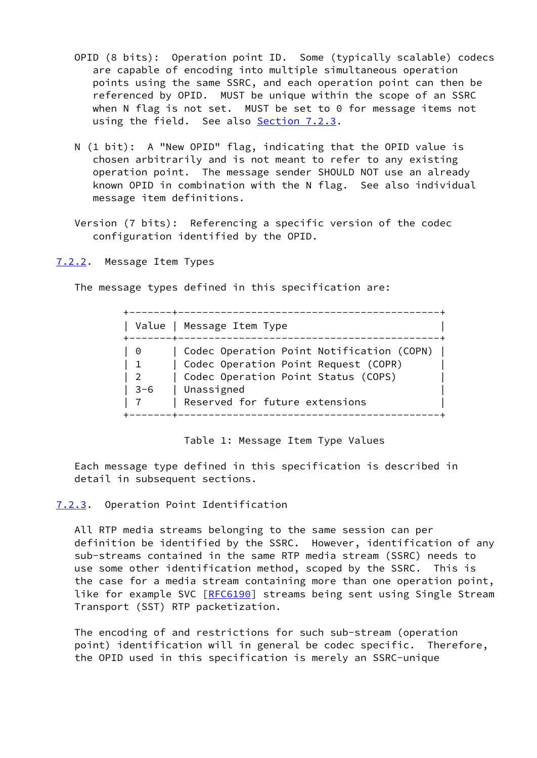- OPID (8 bits): Operation point ID. Some (typically scalable) codecs are capable of encoding into multiple simultaneous operation points using the same SSRC, and each operation point can then be referenced by OPID. MUST be unique within the scope of an SSRC when N flag is not set. MUST be set to 0 for message items not using the field. See also [Section 7.2.3.](#page-33-1)
- N (1 bit): A "New OPID" flag, indicating that the OPID value is chosen arbitrarily and is not meant to refer to any existing operation point. The message sender SHOULD NOT use an already known OPID in combination with the N flag. See also individual message item definitions.
- Version (7 bits): Referencing a specific version of the codec configuration identified by the OPID.

<span id="page-33-0"></span>[7.2.2](#page-33-0). Message Item Types

The message types defined in this specification are:

| Value                                            | Message Item Type                                                                                                                                                        |
|--------------------------------------------------|--------------------------------------------------------------------------------------------------------------------------------------------------------------------------|
| - 0<br>$\mathbf{1}$<br>$\overline{2}$<br>$3 - 6$ | Codec Operation Point Notification (COPN)<br>Codec Operation Point Request (COPR)<br>Codec Operation Point Status (COPS)<br>Unassigned<br>Reserved for future extensions |

Table 1: Message Item Type Values

 Each message type defined in this specification is described in detail in subsequent sections.

## <span id="page-33-1"></span>[7.2.3](#page-33-1). Operation Point Identification

 All RTP media streams belonging to the same session can per definition be identified by the SSRC. However, identification of any sub-streams contained in the same RTP media stream (SSRC) needs to use some other identification method, scoped by the SSRC. This is the case for a media stream containing more than one operation point, like for example SVC [\[RFC6190](https://datatracker.ietf.org/doc/pdf/rfc6190)] streams being sent using Single Stream Transport (SST) RTP packetization.

 The encoding of and restrictions for such sub-stream (operation point) identification will in general be codec specific. Therefore, the OPID used in this specification is merely an SSRC-unique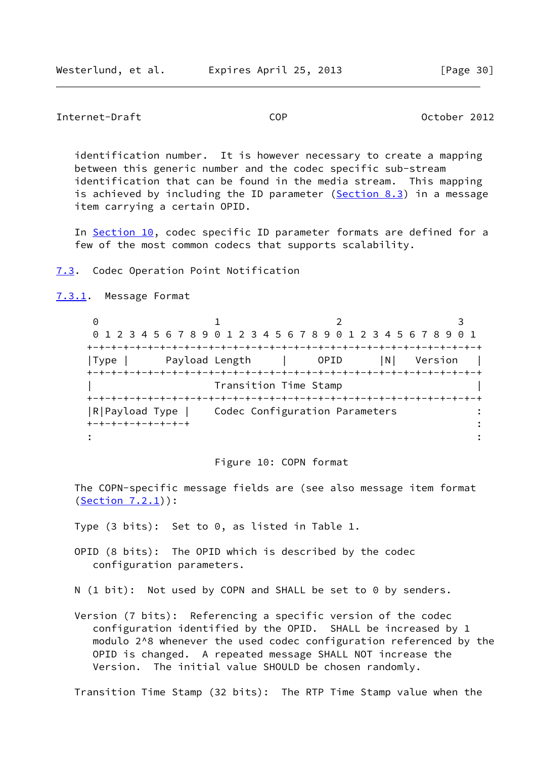<span id="page-34-1"></span>Internet-Draft COP October 2012

 identification number. It is however necessary to create a mapping between this generic number and the codec specific sub-stream identification that can be found in the media stream. This mapping is achieved by including the ID parameter ([Section 8.3](#page-53-0)) in a message item carrying a certain OPID.

In [Section 10,](#page-68-2) codec specific ID parameter formats are defined for a few of the most common codecs that supports scalability.

<span id="page-34-0"></span>[7.3](#page-34-0). Codec Operation Point Notification

<span id="page-34-2"></span>[7.3.1](#page-34-2). Message Format

0 1 2 3 0 1 2 3 4 5 6 7 8 9 0 1 2 3 4 5 6 7 8 9 0 1 2 3 4 5 6 7 8 9 0 1 +-+-+-+-+-+-+-+-+-+-+-+-+-+-+-+-+-+-+-+-+-+-+-+-+-+-+-+-+-+-+-+-+ |Type | Payload Length | OPID |N| Version | +-+-+-+-+-+-+-+-+-+-+-+-+-+-+-+-+-+-+-+-+-+-+-+-+-+-+-+-+-+-+-+-+ | Transition Time Stamp | +-+-+-+-+-+-+-+-+-+-+-+-+-+-+-+-+-+-+-+-+-+-+-+-+-+-+-+-+-+-+-+-+ |R|Payload Type | Codec Configuration Parameters : +-+-+-+-+-+-+-+-+ :  $\mathbf{r} = \mathbf{r} \cdot \mathbf{r}$  :  $\mathbf{r} = \mathbf{r} \cdot \mathbf{r}$  ,  $\mathbf{r} = \mathbf{r} \cdot \mathbf{r}$  ,  $\mathbf{r} = \mathbf{r} \cdot \mathbf{r}$  ,  $\mathbf{r} = \mathbf{r} \cdot \mathbf{r}$  ,  $\mathbf{r} = \mathbf{r} \cdot \mathbf{r}$  ,  $\mathbf{r} = \mathbf{r} \cdot \mathbf{r}$  ,  $\mathbf{r} = \mathbf{r} \cdot \mathbf{r}$  ,  $\mathbf{r} = \mathbf{r$ 

#### Figure 10: COPN format

 The COPN-specific message fields are (see also message item format [\(Section 7.2.1](#page-32-0))):

Type (3 bits): Set to 0, as listed in Table 1.

 OPID (8 bits): The OPID which is described by the codec configuration parameters.

N (1 bit): Not used by COPN and SHALL be set to 0 by senders.

 Version (7 bits): Referencing a specific version of the codec configuration identified by the OPID. SHALL be increased by 1 modulo 2^8 whenever the used codec configuration referenced by the OPID is changed. A repeated message SHALL NOT increase the Version. The initial value SHOULD be chosen randomly.

Transition Time Stamp (32 bits): The RTP Time Stamp value when the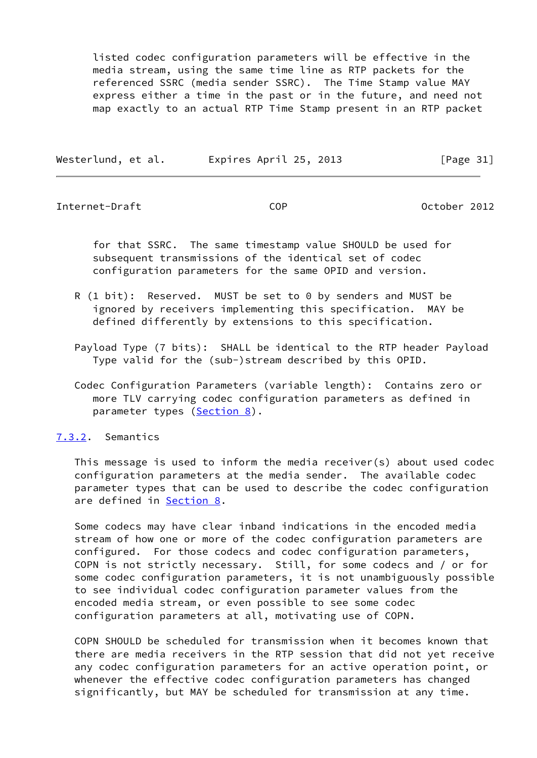listed codec configuration parameters will be effective in the media stream, using the same time line as RTP packets for the referenced SSRC (media sender SSRC). The Time Stamp value MAY express either a time in the past or in the future, and need not map exactly to an actual RTP Time Stamp present in an RTP packet

| Westerlund, et al. | Expires April 25, 2013 | [Page $31$ ] |
|--------------------|------------------------|--------------|

<span id="page-35-1"></span>Internet-Draft COP October 2012

 for that SSRC. The same timestamp value SHOULD be used for subsequent transmissions of the identical set of codec configuration parameters for the same OPID and version.

- R (1 bit): Reserved. MUST be set to 0 by senders and MUST be ignored by receivers implementing this specification. MAY be defined differently by extensions to this specification.
- Payload Type (7 bits): SHALL be identical to the RTP header Payload Type valid for the (sub-)stream described by this OPID.
- Codec Configuration Parameters (variable length): Contains zero or more TLV carrying codec configuration parameters as defined in parameter types ([Section 8\)](#page-48-1).

<span id="page-35-0"></span>[7.3.2](#page-35-0). Semantics

 This message is used to inform the media receiver(s) about used codec configuration parameters at the media sender. The available codec parameter types that can be used to describe the codec configuration are defined in **[Section 8.](#page-48-1)** 

 Some codecs may have clear inband indications in the encoded media stream of how one or more of the codec configuration parameters are configured. For those codecs and codec configuration parameters, COPN is not strictly necessary. Still, for some codecs and / or for some codec configuration parameters, it is not unambiguously possible to see individual codec configuration parameter values from the encoded media stream, or even possible to see some codec configuration parameters at all, motivating use of COPN.

 COPN SHOULD be scheduled for transmission when it becomes known that there are media receivers in the RTP session that did not yet receive any codec configuration parameters for an active operation point, or whenever the effective codec configuration parameters has changed significantly, but MAY be scheduled for transmission at any time.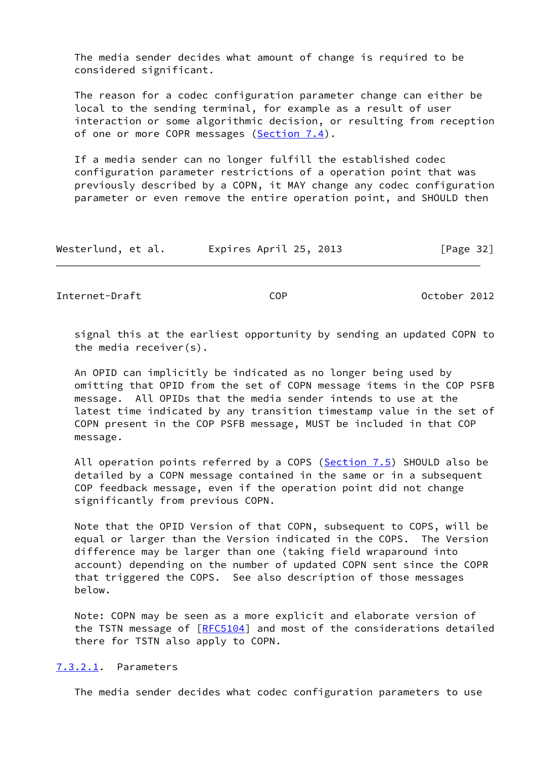The media sender decides what amount of change is required to be considered significant.

 The reason for a codec configuration parameter change can either be local to the sending terminal, for example as a result of user interaction or some algorithmic decision, or resulting from reception of one or more COPR messages [\(Section 7.4](#page-39-0)).

 If a media sender can no longer fulfill the established codec configuration parameter restrictions of a operation point that was previously described by a COPN, it MAY change any codec configuration parameter or even remove the entire operation point, and SHOULD then

| Westerlund, et al. | Expires April 25, 2013 | [Page 32] |
|--------------------|------------------------|-----------|
|--------------------|------------------------|-----------|

Internet-Draft COP October 2012

 signal this at the earliest opportunity by sending an updated COPN to the media receiver(s).

 An OPID can implicitly be indicated as no longer being used by omitting that OPID from the set of COPN message items in the COP PSFB message. All OPIDs that the media sender intends to use at the latest time indicated by any transition timestamp value in the set of COPN present in the COP PSFB message, MUST be included in that COP message.

 All operation points referred by a COPS [\(Section 7.5](#page-42-0)) SHOULD also be detailed by a COPN message contained in the same or in a subsequent COP feedback message, even if the operation point did not change significantly from previous COPN.

 Note that the OPID Version of that COPN, subsequent to COPS, will be equal or larger than the Version indicated in the COPS. The Version difference may be larger than one (taking field wraparound into account) depending on the number of updated COPN sent since the COPR that triggered the COPS. See also description of those messages below.

 Note: COPN may be seen as a more explicit and elaborate version of the TSTN message of [\[RFC5104](https://datatracker.ietf.org/doc/pdf/rfc5104)] and most of the considerations detailed there for TSTN also apply to COPN.

## <span id="page-36-0"></span>[7.3.2.1](#page-36-0). Parameters

The media sender decides what codec configuration parameters to use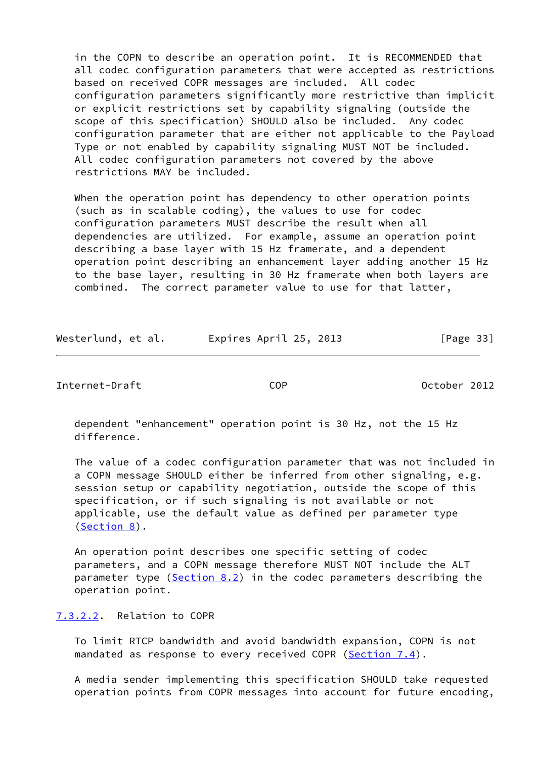in the COPN to describe an operation point. It is RECOMMENDED that all codec configuration parameters that were accepted as restrictions based on received COPR messages are included. All codec configuration parameters significantly more restrictive than implicit or explicit restrictions set by capability signaling (outside the scope of this specification) SHOULD also be included. Any codec configuration parameter that are either not applicable to the Payload Type or not enabled by capability signaling MUST NOT be included. All codec configuration parameters not covered by the above restrictions MAY be included.

 When the operation point has dependency to other operation points (such as in scalable coding), the values to use for codec configuration parameters MUST describe the result when all dependencies are utilized. For example, assume an operation point describing a base layer with 15 Hz framerate, and a dependent operation point describing an enhancement layer adding another 15 Hz to the base layer, resulting in 30 Hz framerate when both layers are combined. The correct parameter value to use for that latter,

| Westerlund, et al. | Expires April 25, 2013 | [Page 33] |
|--------------------|------------------------|-----------|
|                    |                        |           |

Internet-Draft COP October 2012

 dependent "enhancement" operation point is 30 Hz, not the 15 Hz difference.

 The value of a codec configuration parameter that was not included in a COPN message SHOULD either be inferred from other signaling, e.g. session setup or capability negotiation, outside the scope of this specification, or if such signaling is not available or not applicable, use the default value as defined per parameter type [\(Section 8](#page-48-0)).

 An operation point describes one specific setting of codec parameters, and a COPN message therefore MUST NOT include the ALT parameter type  $(Section 8.2)$  $(Section 8.2)$  in the codec parameters describing the operation point.

# <span id="page-37-0"></span>[7.3.2.2](#page-37-0). Relation to COPR

 To limit RTCP bandwidth and avoid bandwidth expansion, COPN is not mandated as response to every received COPR [\(Section 7.4](#page-39-0)).

 A media sender implementing this specification SHOULD take requested operation points from COPR messages into account for future encoding,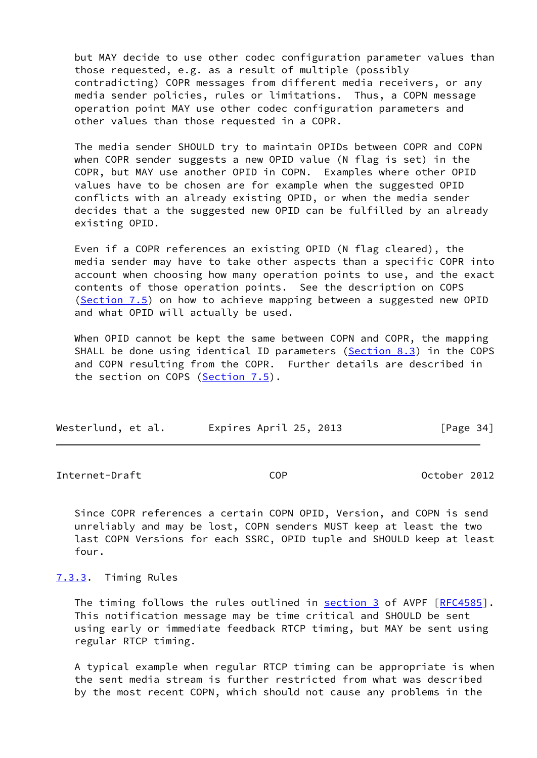but MAY decide to use other codec configuration parameter values than those requested, e.g. as a result of multiple (possibly contradicting) COPR messages from different media receivers, or any media sender policies, rules or limitations. Thus, a COPN message operation point MAY use other codec configuration parameters and other values than those requested in a COPR.

 The media sender SHOULD try to maintain OPIDs between COPR and COPN when COPR sender suggests a new OPID value (N flag is set) in the COPR, but MAY use another OPID in COPN. Examples where other OPID values have to be chosen are for example when the suggested OPID conflicts with an already existing OPID, or when the media sender decides that a the suggested new OPID can be fulfilled by an already existing OPID.

 Even if a COPR references an existing OPID (N flag cleared), the media sender may have to take other aspects than a specific COPR into account when choosing how many operation points to use, and the exact contents of those operation points. See the description on COPS [\(Section 7.5](#page-42-0)) on how to achieve mapping between a suggested new OPID and what OPID will actually be used.

 When OPID cannot be kept the same between COPN and COPR, the mapping SHALL be done using identical ID parameters [\(Section 8.3](#page-53-0)) in the COPS and COPN resulting from the COPR. Further details are described in the section on COPS [\(Section 7.5](#page-42-0)).

| Westerlund, et al. | Expires April 25, 2013 | [Page 34] |
|--------------------|------------------------|-----------|
|--------------------|------------------------|-----------|

Internet-Draft COP October 2012

 Since COPR references a certain COPN OPID, Version, and COPN is send unreliably and may be lost, COPN senders MUST keep at least the two last COPN Versions for each SSRC, OPID tuple and SHOULD keep at least four.

<span id="page-38-0"></span>[7.3.3](#page-38-0). Timing Rules

The timing follows the rules outlined in [section 3](#page-7-0) of AVPF [[RFC4585\]](https://datatracker.ietf.org/doc/pdf/rfc4585). This notification message may be time critical and SHOULD be sent using early or immediate feedback RTCP timing, but MAY be sent using regular RTCP timing.

 A typical example when regular RTCP timing can be appropriate is when the sent media stream is further restricted from what was described by the most recent COPN, which should not cause any problems in the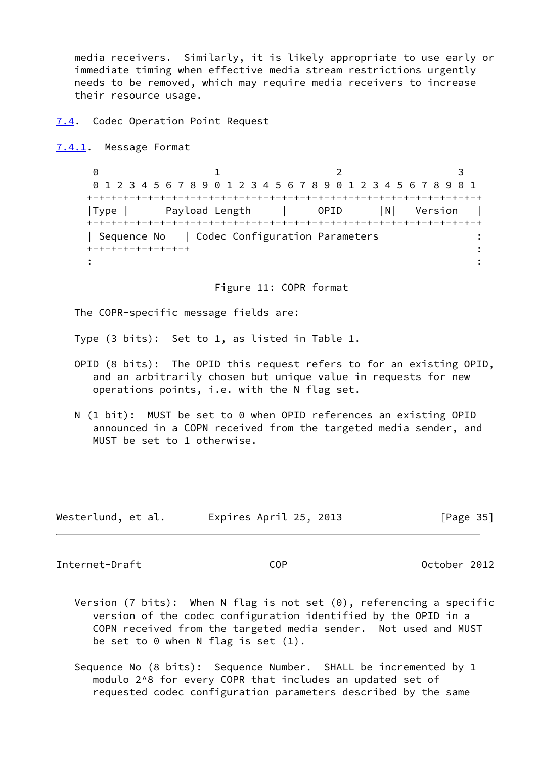media receivers. Similarly, it is likely appropriate to use early or immediate timing when effective media stream restrictions urgently needs to be removed, which may require media receivers to increase their resource usage.

<span id="page-39-0"></span>[7.4](#page-39-0). Codec Operation Point Request

<span id="page-39-1"></span>[7.4.1](#page-39-1). Message Format

0 1 2 3 0 1 2 3 4 5 6 7 8 9 0 1 2 3 4 5 6 7 8 9 0 1 2 3 4 5 6 7 8 9 0 1 +-+-+-+-+-+-+-+-+-+-+-+-+-+-+-+-+-+-+-+-+-+-+-+-+-+-+-+-+-+-+-+-+ |Type | Payload Length | OPID |N| Version | +-+-+-+-+-+-+-+-+-+-+-+-+-+-+-+-+-+-+-+-+-+-+-+-+-+-+-+-+-+-+-+-+ | Sequence No | Codec Configuration Parameters : +-+-+-+-+-+-+-+-+ :  $\mathbf{r} = \mathbf{r} \cdot \mathbf{r}$  :  $\mathbf{r} = \mathbf{r} \cdot \mathbf{r}$  ,  $\mathbf{r} = \mathbf{r} \cdot \mathbf{r}$  ,  $\mathbf{r} = \mathbf{r} \cdot \mathbf{r}$  ,  $\mathbf{r} = \mathbf{r} \cdot \mathbf{r}$  ,  $\mathbf{r} = \mathbf{r} \cdot \mathbf{r}$  ,  $\mathbf{r} = \mathbf{r} \cdot \mathbf{r}$  ,  $\mathbf{r} = \mathbf{r} \cdot \mathbf{r}$  ,  $\mathbf{r} = \mathbf{r$ 

Figure 11: COPR format

The COPR-specific message fields are:

Type (3 bits): Set to 1, as listed in Table 1.

- OPID (8 bits): The OPID this request refers to for an existing OPID, and an arbitrarily chosen but unique value in requests for new operations points, i.e. with the N flag set.
- N (1 bit): MUST be set to 0 when OPID references an existing OPID announced in a COPN received from the targeted media sender, and MUST be set to 1 otherwise.

| Westerlund, et al. | Expires April 25, 2013 | [Page 35] |
|--------------------|------------------------|-----------|
|--------------------|------------------------|-----------|

Internet-Draft COP October 2012

- Version (7 bits): When N flag is not set (0), referencing a specific version of the codec configuration identified by the OPID in a COPN received from the targeted media sender. Not used and MUST be set to  $0$  when N flag is set  $(1)$ .
- Sequence No (8 bits): Sequence Number. SHALL be incremented by 1 modulo 2^8 for every COPR that includes an updated set of requested codec configuration parameters described by the same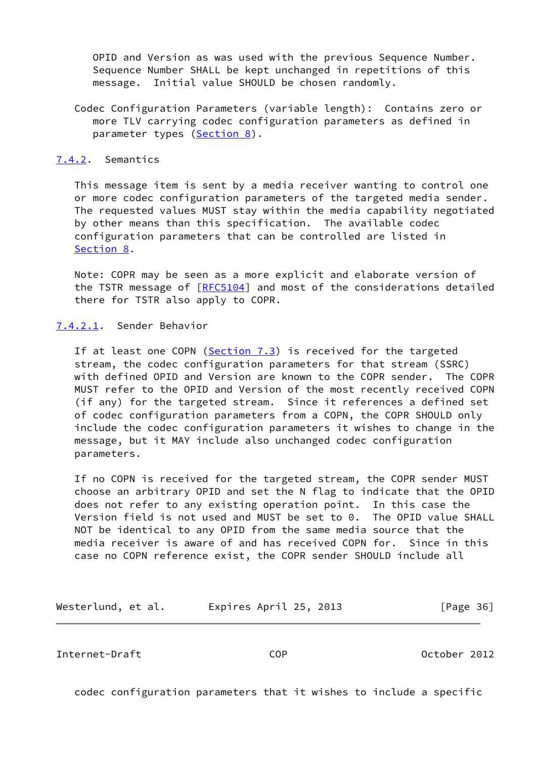OPID and Version as was used with the previous Sequence Number. Sequence Number SHALL be kept unchanged in repetitions of this message. Initial value SHOULD be chosen randomly.

 Codec Configuration Parameters (variable length): Contains zero or more TLV carrying codec configuration parameters as defined in parameter types ([Section 8\)](#page-48-0).

### <span id="page-40-0"></span>[7.4.2](#page-40-0). Semantics

 This message item is sent by a media receiver wanting to control one or more codec configuration parameters of the targeted media sender. The requested values MUST stay within the media capability negotiated by other means than this specification. The available codec configuration parameters that can be controlled are listed in [Section 8](#page-48-0).

 Note: COPR may be seen as a more explicit and elaborate version of the TSTR message of [\[RFC5104](https://datatracker.ietf.org/doc/pdf/rfc5104)] and most of the considerations detailed there for TSTR also apply to COPR.

# <span id="page-40-1"></span>[7.4.2.1](#page-40-1). Sender Behavior

If at least one COPN ( $Section 7.3$ ) is received for the targeted stream, the codec configuration parameters for that stream (SSRC) with defined OPID and Version are known to the COPR sender. The COPR MUST refer to the OPID and Version of the most recently received COPN (if any) for the targeted stream. Since it references a defined set of codec configuration parameters from a COPN, the COPR SHOULD only include the codec configuration parameters it wishes to change in the message, but it MAY include also unchanged codec configuration parameters.

 If no COPN is received for the targeted stream, the COPR sender MUST choose an arbitrary OPID and set the N flag to indicate that the OPID does not refer to any existing operation point. In this case the Version field is not used and MUST be set to 0. The OPID value SHALL NOT be identical to any OPID from the same media source that the media receiver is aware of and has received COPN for. Since in this case no COPN reference exist, the COPR sender SHOULD include all

Westerlund, et al. Expires April 25, 2013 [Page 36]

Internet-Draft COP October 2012

codec configuration parameters that it wishes to include a specific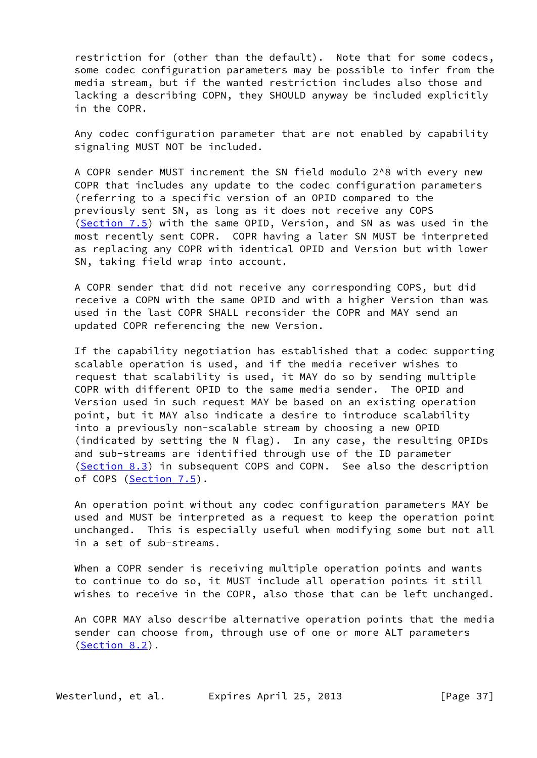restriction for (other than the default). Note that for some codecs, some codec configuration parameters may be possible to infer from the media stream, but if the wanted restriction includes also those and lacking a describing COPN, they SHOULD anyway be included explicitly in the COPR.

 Any codec configuration parameter that are not enabled by capability signaling MUST NOT be included.

 A COPR sender MUST increment the SN field modulo 2^8 with every new COPR that includes any update to the codec configuration parameters (referring to a specific version of an OPID compared to the previously sent SN, as long as it does not receive any COPS [\(Section 7.5](#page-42-0)) with the same OPID, Version, and SN as was used in the most recently sent COPR. COPR having a later SN MUST be interpreted as replacing any COPR with identical OPID and Version but with lower SN, taking field wrap into account.

 A COPR sender that did not receive any corresponding COPS, but did receive a COPN with the same OPID and with a higher Version than was used in the last COPR SHALL reconsider the COPR and MAY send an updated COPR referencing the new Version.

 If the capability negotiation has established that a codec supporting scalable operation is used, and if the media receiver wishes to request that scalability is used, it MAY do so by sending multiple COPR with different OPID to the same media sender. The OPID and Version used in such request MAY be based on an existing operation point, but it MAY also indicate a desire to introduce scalability into a previously non-scalable stream by choosing a new OPID (indicated by setting the N flag). In any case, the resulting OPIDs and sub-streams are identified through use of the ID parameter [\(Section 8.3](#page-53-0)) in subsequent COPS and COPN. See also the description of COPS [\(Section 7.5](#page-42-0)).

 An operation point without any codec configuration parameters MAY be used and MUST be interpreted as a request to keep the operation point unchanged. This is especially useful when modifying some but not all in a set of sub-streams.

 When a COPR sender is receiving multiple operation points and wants to continue to do so, it MUST include all operation points it still wishes to receive in the COPR, also those that can be left unchanged.

 An COPR MAY also describe alternative operation points that the media sender can choose from, through use of one or more ALT parameters [\(Section 8.2](#page-52-0)).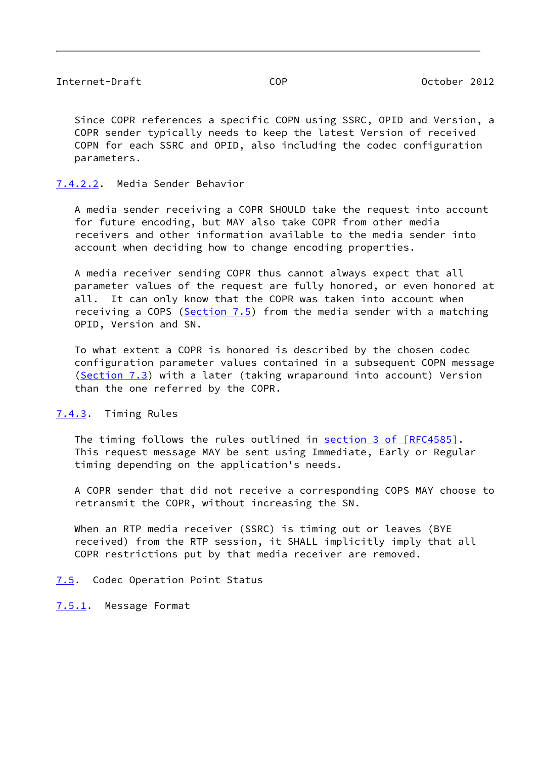Since COPR references a specific COPN using SSRC, OPID and Version, a COPR sender typically needs to keep the latest Version of received COPN for each SSRC and OPID, also including the codec configuration parameters.

# <span id="page-42-1"></span>[7.4.2.2](#page-42-1). Media Sender Behavior

 A media sender receiving a COPR SHOULD take the request into account for future encoding, but MAY also take COPR from other media receivers and other information available to the media sender into account when deciding how to change encoding properties.

 A media receiver sending COPR thus cannot always expect that all parameter values of the request are fully honored, or even honored at all. It can only know that the COPR was taken into account when receiving a COPS (Section  $7.5$ ) from the media sender with a matching OPID, Version and SN.

 To what extent a COPR is honored is described by the chosen codec configuration parameter values contained in a subsequent COPN message [\(Section 7.3](#page-34-0)) with a later (taking wraparound into account) Version than the one referred by the COPR.

# <span id="page-42-2"></span>[7.4.3](#page-42-2). Timing Rules

The timing follows the rules outlined in section [3 of \[RFC4585\]](https://datatracker.ietf.org/doc/pdf/rfc4585#section-3). This request message MAY be sent using Immediate, Early or Regular timing depending on the application's needs.

 A COPR sender that did not receive a corresponding COPS MAY choose to retransmit the COPR, without increasing the SN.

 When an RTP media receiver (SSRC) is timing out or leaves (BYE received) from the RTP session, it SHALL implicitly imply that all COPR restrictions put by that media receiver are removed.

# <span id="page-42-0"></span>[7.5](#page-42-0). Codec Operation Point Status

<span id="page-42-3"></span>[7.5.1](#page-42-3). Message Format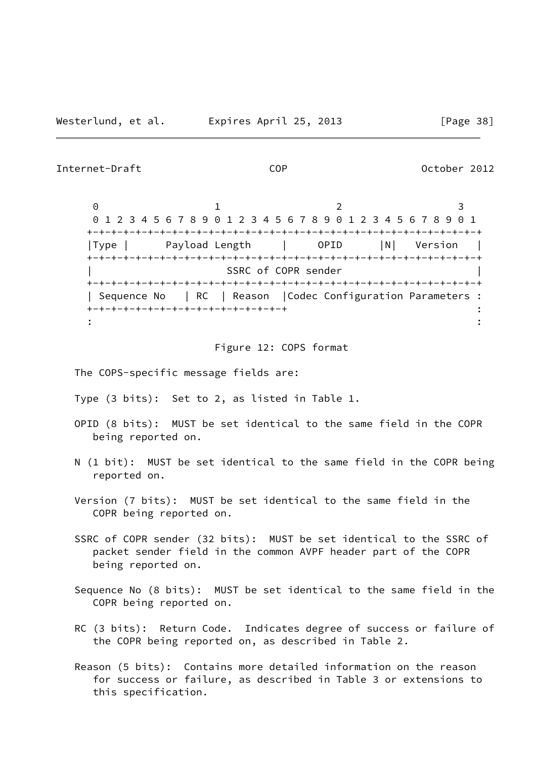## Internet-Draft COP October 2012

0 1 2 3 0 1 2 3 4 5 6 7 8 9 0 1 2 3 4 5 6 7 8 9 0 1 2 3 4 5 6 7 8 9 0 1 +-+-+-+-+-+-+-+-+-+-+-+-+-+-+-+-+-+-+-+-+-+-+-+-+-+-+-+-+-+-+-+-+ |Type | Payload Length | OPID |N| Version | +-+-+-+-+-+-+-+-+-+-+-+-+-+-+-+-+-+-+-+-+-+-+-+-+-+-+-+-+-+-+-+-+ SSRC of COPR sender +-+-+-+-+-+-+-+-+-+-+-+-+-+-+-+-+-+-+-+-+-+-+-+-+-+-+-+-+-+-+-+-+ | Sequence No | RC | Reason |Codec Configuration Parameters : +-+-+-+-+-+-+-+-+-+-+-+-+-+-+-+-+ :  $\mathbf{r} = \mathbf{r} \cdot \mathbf{r}$  :  $\mathbf{r} = \mathbf{r} \cdot \mathbf{r}$  ,  $\mathbf{r} = \mathbf{r} \cdot \mathbf{r}$  ,  $\mathbf{r} = \mathbf{r} \cdot \mathbf{r}$  ,  $\mathbf{r} = \mathbf{r} \cdot \mathbf{r}$  ,  $\mathbf{r} = \mathbf{r} \cdot \mathbf{r}$  ,  $\mathbf{r} = \mathbf{r} \cdot \mathbf{r}$  ,  $\mathbf{r} = \mathbf{r} \cdot \mathbf{r}$  ,  $\mathbf{r} = \mathbf{r$ 

### Figure 12: COPS format

- The COPS-specific message fields are:
- Type (3 bits): Set to 2, as listed in Table 1.
- OPID (8 bits): MUST be set identical to the same field in the COPR being reported on.
- N (1 bit): MUST be set identical to the same field in the COPR being reported on.
- Version (7 bits): MUST be set identical to the same field in the COPR being reported on.
- SSRC of COPR sender (32 bits): MUST be set identical to the SSRC of packet sender field in the common AVPF header part of the COPR being reported on.
- Sequence No (8 bits): MUST be set identical to the same field in the COPR being reported on.
- RC (3 bits): Return Code. Indicates degree of success or failure of the COPR being reported on, as described in Table 2.
- Reason (5 bits): Contains more detailed information on the reason for success or failure, as described in Table 3 or extensions to this specification.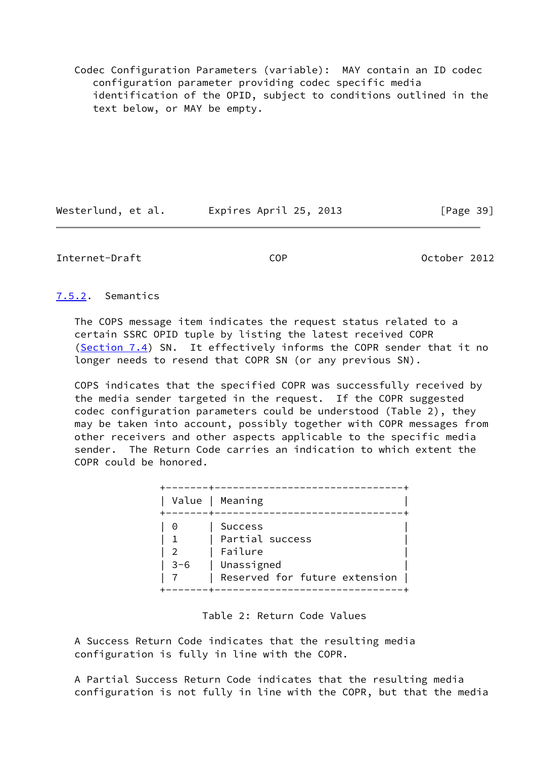Codec Configuration Parameters (variable): MAY contain an ID codec configuration parameter providing codec specific media identification of the OPID, subject to conditions outlined in the text below, or MAY be empty.

Westerlund, et al. Expires April 25, 2013 [Page 39]

# Internet-Draft COP October 2012

<span id="page-44-0"></span>[7.5.2](#page-44-0). Semantics

 The COPS message item indicates the request status related to a certain SSRC OPID tuple by listing the latest received COPR [\(Section 7.4](#page-39-0)) SN. It effectively informs the COPR sender that it no longer needs to resend that COPR SN (or any previous SN).

 COPS indicates that the specified COPR was successfully received by the media sender targeted in the request. If the COPR suggested codec configuration parameters could be understood (Table 2), they may be taken into account, possibly together with COPR messages from other receivers and other aspects applicable to the specific media sender. The Return Code carries an indication to which extent the COPR could be honored.

|          | Value   Meaning                                                                             |
|----------|---------------------------------------------------------------------------------------------|
| 0<br>3-6 | <b>Success</b><br>Partial success<br>Failure<br>Unassigned<br>Reserved for future extension |

# Table 2: Return Code Values

 A Success Return Code indicates that the resulting media configuration is fully in line with the COPR.

 A Partial Success Return Code indicates that the resulting media configuration is not fully in line with the COPR, but that the media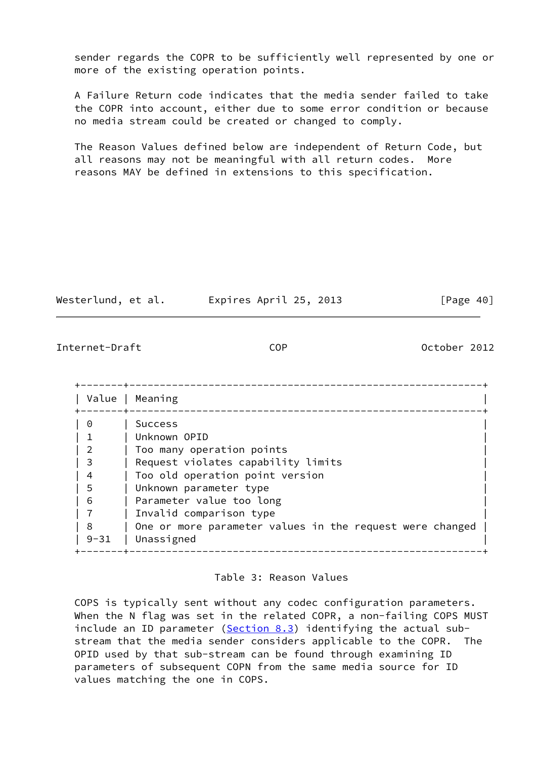sender regards the COPR to be sufficiently well represented by one or more of the existing operation points.

 A Failure Return code indicates that the media sender failed to take the COPR into account, either due to some error condition or because no media stream could be created or changed to comply.

 The Reason Values defined below are independent of Return Code, but all reasons may not be meaningful with all return codes. More reasons MAY be defined in extensions to this specification.

| Westerlund, et al. | Expires April 25, 2013 | [Page 40] |
|--------------------|------------------------|-----------|
|--------------------|------------------------|-----------|

# Internet-Draft COP October 2012

|          | Value   Meaning                                          |
|----------|----------------------------------------------------------|
| 0        | <b>Success</b>                                           |
|          | Unknown OPID                                             |
| 2        | Too many operation points                                |
| 3        | Request violates capability limits                       |
| 4        | Too old operation point version                          |
| 5        | Unknown parameter type                                   |
| 6        | Parameter value too long                                 |
|          | Invalid comparison type                                  |
| 8        | One or more parameter values in the request were changed |
| $9 - 31$ | Unassigned                                               |

# Table 3: Reason Values

 COPS is typically sent without any codec configuration parameters. When the N flag was set in the related COPR, a non-failing COPS MUST include an ID parameter ( $Section 8.3$ ) identifying the actual sub stream that the media sender considers applicable to the COPR. The OPID used by that sub-stream can be found through examining ID parameters of subsequent COPN from the same media source for ID values matching the one in COPS.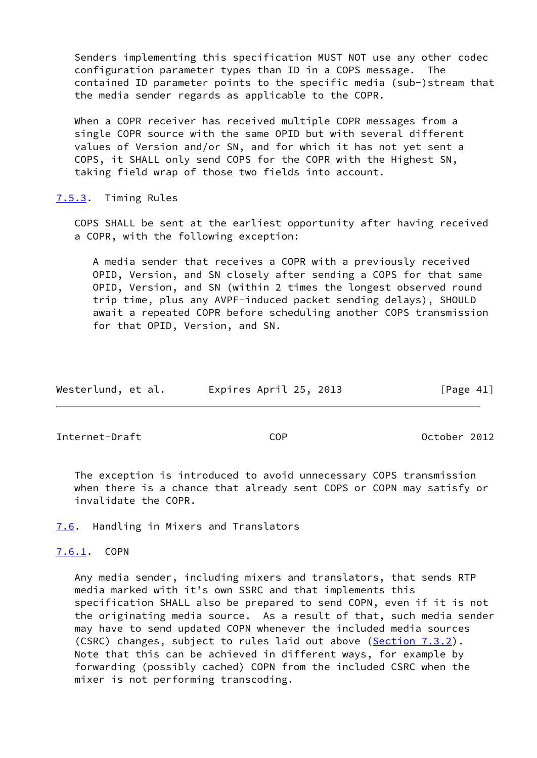Senders implementing this specification MUST NOT use any other codec configuration parameter types than ID in a COPS message. The contained ID parameter points to the specific media (sub-)stream that the media sender regards as applicable to the COPR.

 When a COPR receiver has received multiple COPR messages from a single COPR source with the same OPID but with several different values of Version and/or SN, and for which it has not yet sent a COPS, it SHALL only send COPS for the COPR with the Highest SN, taking field wrap of those two fields into account.

<span id="page-46-0"></span>[7.5.3](#page-46-0). Timing Rules

 COPS SHALL be sent at the earliest opportunity after having received a COPR, with the following exception:

 A media sender that receives a COPR with a previously received OPID, Version, and SN closely after sending a COPS for that same OPID, Version, and SN (within 2 times the longest observed round trip time, plus any AVPF-induced packet sending delays), SHOULD await a repeated COPR before scheduling another COPS transmission for that OPID, Version, and SN.

| Westerlund, et al. | Expires April 25, 2013 | [Page 41] |
|--------------------|------------------------|-----------|
|--------------------|------------------------|-----------|

Internet-Draft COP October 2012

 The exception is introduced to avoid unnecessary COPS transmission when there is a chance that already sent COPS or COPN may satisfy or invalidate the COPR.

<span id="page-46-1"></span>[7.6](#page-46-1). Handling in Mixers and Translators

<span id="page-46-2"></span>[7.6.1](#page-46-2). COPN

 Any media sender, including mixers and translators, that sends RTP media marked with it's own SSRC and that implements this specification SHALL also be prepared to send COPN, even if it is not the originating media source. As a result of that, such media sender may have to send updated COPN whenever the included media sources (CSRC) changes, subject to rules laid out above [\(Section 7.3.2](#page-35-0)). Note that this can be achieved in different ways, for example by forwarding (possibly cached) COPN from the included CSRC when the mixer is not performing transcoding.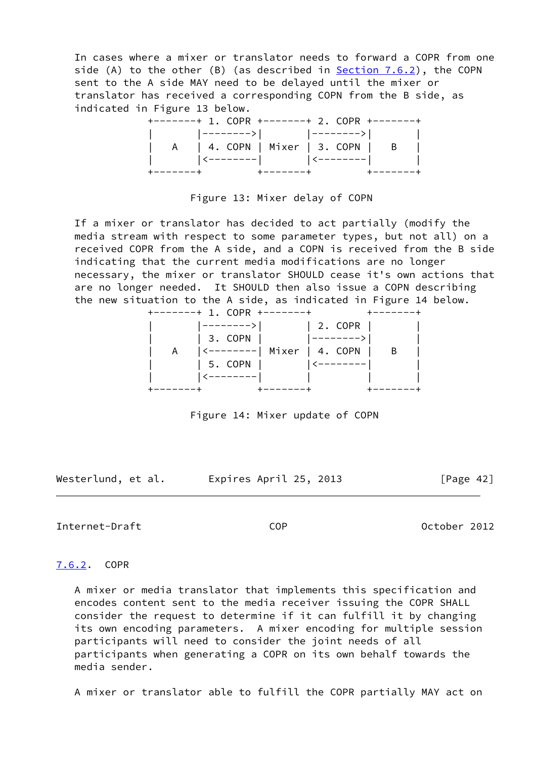In cases where a mixer or translator needs to forward a COPR from one side (A) to the other (B) (as described in **Section 7.6.2**), the COPN sent to the A side MAY need to be delayed until the mixer or translator has received a corresponding COPN from the B side, as indicated in Figure 13 below.

|                     | +-------+ 1. COPR +-------+ 2. COPR +-------+ |  |
|---------------------|-----------------------------------------------|--|
|                     | │ │ │-------->│ │ -------->│ │                |  |
|                     | A   4. COPN   Mixer   3. COPN   B             |  |
|                     | │ │ │ │<--------│ │ │<--------│ │ │           |  |
| $+ - - - - - - - +$ |                                               |  |

Figure 13: Mixer delay of COPN

 If a mixer or translator has decided to act partially (modify the media stream with respect to some parameter types, but not all) on a received COPR from the A side, and a COPN is received from the B side indicating that the current media modifications are no longer necessary, the mixer or translator SHOULD cease it's own actions that are no longer needed. It SHOULD then also issue a COPN describing the new situation to the A side, as indicated in Figure 14 below.



Figure 14: Mixer update of COPN

Westerlund, et al. Expires April 25, 2013 [Page 42]

Internet-Draft COP October 2012

# <span id="page-47-0"></span>[7.6.2](#page-47-0). COPR

 A mixer or media translator that implements this specification and encodes content sent to the media receiver issuing the COPR SHALL consider the request to determine if it can fulfill it by changing its own encoding parameters. A mixer encoding for multiple session participants will need to consider the joint needs of all participants when generating a COPR on its own behalf towards the media sender.

A mixer or translator able to fulfill the COPR partially MAY act on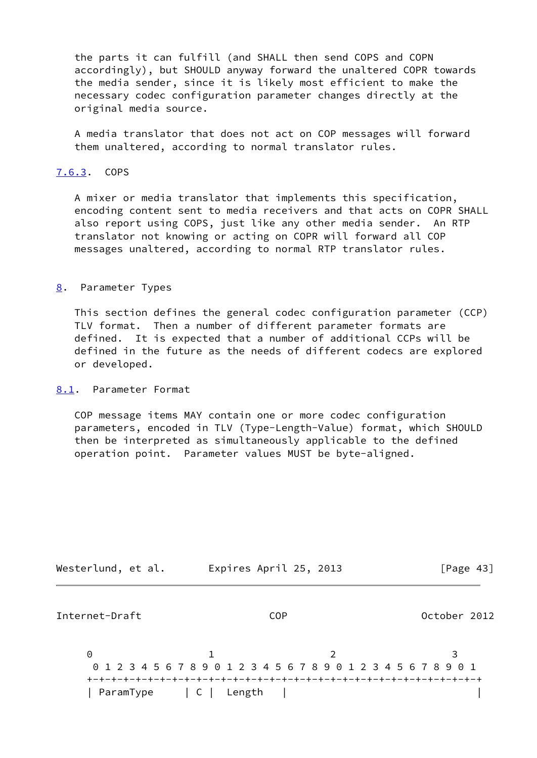the parts it can fulfill (and SHALL then send COPS and COPN accordingly), but SHOULD anyway forward the unaltered COPR towards the media sender, since it is likely most efficient to make the necessary codec configuration parameter changes directly at the original media source.

 A media translator that does not act on COP messages will forward them unaltered, according to normal translator rules.

# <span id="page-48-1"></span>[7.6.3](#page-48-1). COPS

 A mixer or media translator that implements this specification, encoding content sent to media receivers and that acts on COPR SHALL also report using COPS, just like any other media sender. An RTP translator not knowing or acting on COPR will forward all COP messages unaltered, according to normal RTP translator rules.

<span id="page-48-0"></span>[8](#page-48-0). Parameter Types

 This section defines the general codec configuration parameter (CCP) TLV format. Then a number of different parameter formats are defined. It is expected that a number of additional CCPs will be defined in the future as the needs of different codecs are explored or developed.

<span id="page-48-2"></span>[8.1](#page-48-2). Parameter Format

 COP message items MAY contain one or more codec configuration parameters, encoded in TLV (Type-Length-Value) format, which SHOULD then be interpreted as simultaneously applicable to the defined operation point. Parameter values MUST be byte-aligned.

| Westerlund, et al. | Expires April 25, 2013                                          | [Page $43$ ] |
|--------------------|-----------------------------------------------------------------|--------------|
| Internet-Draft     | <b>COP</b>                                                      | October 2012 |
| 0                  | 0 1 2 3 4 5 6 7 8 9 0 1 2 3 4 5 6 7 8 9 0 1 2 3 4 5 6 7 8 9 0 1 |              |
| ParamType          | C   Length                                                      |              |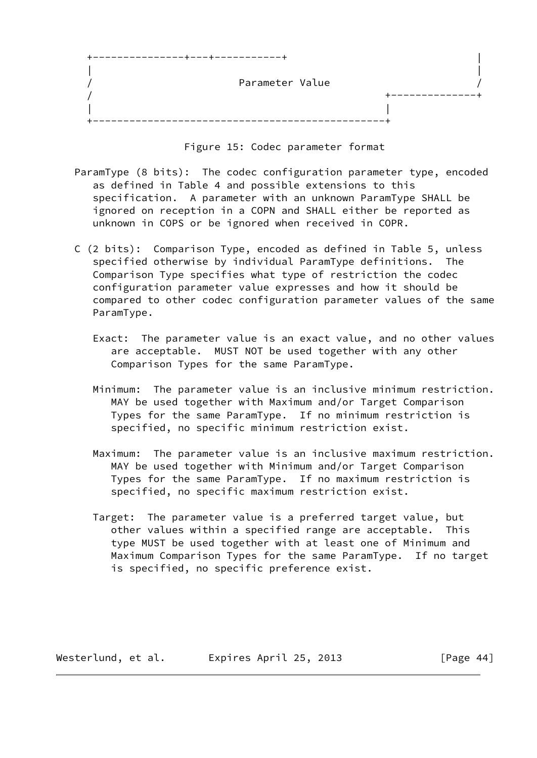| Parameter Value |  |
|-----------------|--|
|                 |  |
|                 |  |
|                 |  |

Figure 15: Codec parameter format

- ParamType (8 bits): The codec configuration parameter type, encoded as defined in Table 4 and possible extensions to this specification. A parameter with an unknown ParamType SHALL be ignored on reception in a COPN and SHALL either be reported as unknown in COPS or be ignored when received in COPR.
- C (2 bits): Comparison Type, encoded as defined in Table 5, unless specified otherwise by individual ParamType definitions. The Comparison Type specifies what type of restriction the codec configuration parameter value expresses and how it should be compared to other codec configuration parameter values of the same ParamType.
	- Exact: The parameter value is an exact value, and no other values are acceptable. MUST NOT be used together with any other Comparison Types for the same ParamType.
	- Minimum: The parameter value is an inclusive minimum restriction. MAY be used together with Maximum and/or Target Comparison Types for the same ParamType. If no minimum restriction is specified, no specific minimum restriction exist.
	- Maximum: The parameter value is an inclusive maximum restriction. MAY be used together with Minimum and/or Target Comparison Types for the same ParamType. If no maximum restriction is specified, no specific maximum restriction exist.
	- Target: The parameter value is a preferred target value, but other values within a specified range are acceptable. This type MUST be used together with at least one of Minimum and Maximum Comparison Types for the same ParamType. If no target is specified, no specific preference exist.

Westerlund, et al. Expires April 25, 2013 [Page 44]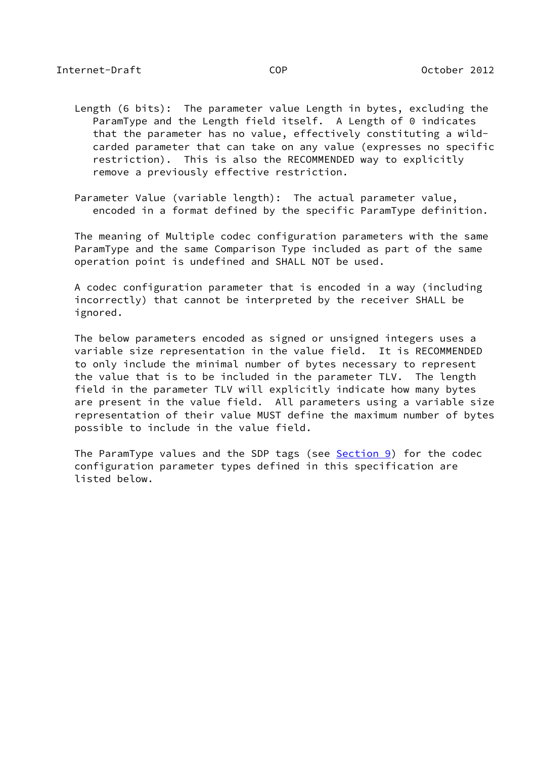- Length (6 bits): The parameter value Length in bytes, excluding the ParamType and the Length field itself. A Length of 0 indicates that the parameter has no value, effectively constituting a wild carded parameter that can take on any value (expresses no specific restriction). This is also the RECOMMENDED way to explicitly remove a previously effective restriction.
- Parameter Value (variable length): The actual parameter value, encoded in a format defined by the specific ParamType definition.

 The meaning of Multiple codec configuration parameters with the same ParamType and the same Comparison Type included as part of the same operation point is undefined and SHALL NOT be used.

 A codec configuration parameter that is encoded in a way (including incorrectly) that cannot be interpreted by the receiver SHALL be ignored.

 The below parameters encoded as signed or unsigned integers uses a variable size representation in the value field. It is RECOMMENDED to only include the minimal number of bytes necessary to represent the value that is to be included in the parameter TLV. The length field in the parameter TLV will explicitly indicate how many bytes are present in the value field. All parameters using a variable size representation of their value MUST define the maximum number of bytes possible to include in the value field.

The ParamType values and the SDP tags (see [Section 9\)](#page-66-0) for the codec configuration parameter types defined in this specification are listed below.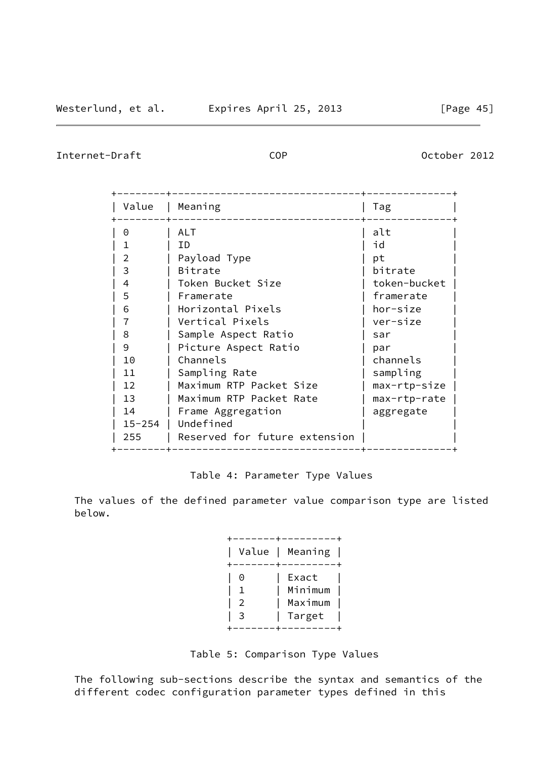Internet-Draft COP COP 0ctober 2012

| Value  | Meaning                       | Tag          |
|--------|-------------------------------|--------------|
| 0      | ALT                           | alt          |
|        | ΙD                            | id           |
| 2      | Payload Type                  | рt           |
| 3      | Bitrate                       | bitrate      |
| 4      | Token Bucket Size             | token-bucket |
| 5      | Framerate                     | framerate    |
| 6      | Horizontal Pixels             | hor-size     |
|        | Vertical Pixels               | ver-size     |
| 8      | Sample Aspect Ratio           | sar          |
| 9      | Picture Aspect Ratio          | par          |
| 10     | Channels                      | channels     |
| 11     | Sampling Rate                 | sampling     |
| 12     | Maximum RTP Packet Size       | max-rtp-size |
| 13     | Maximum RTP Packet Rate       | max-rtp-rate |
| 14     | Frame Aggregation             | aggregate    |
| 15-254 | Undefined                     |              |
| 255    | Reserved for future extension |              |

# Table 4: Parameter Type Values

 The values of the defined parameter value comparison type are listed below.

|                            | Value   Meaning                       |
|----------------------------|---------------------------------------|
| 0<br>$\overline{2}$<br>- 3 | Exact<br>Minimum<br>Maximum<br>Target |

Table 5: Comparison Type Values

 The following sub-sections describe the syntax and semantics of the different codec configuration parameter types defined in this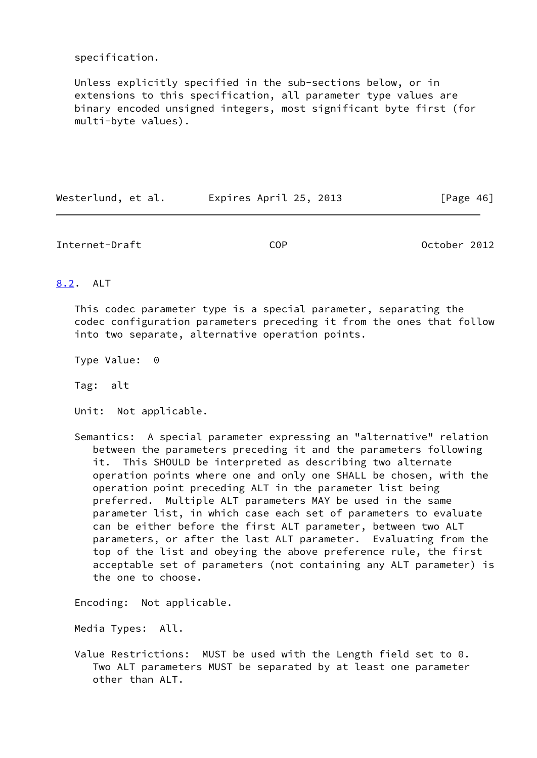specification.

 Unless explicitly specified in the sub-sections below, or in extensions to this specification, all parameter type values are binary encoded unsigned integers, most significant byte first (for multi-byte values).

Westerlund, et al. Expires April 25, 2013 [Page 46]

Internet-Draft COP October 2012

# <span id="page-52-0"></span>[8.2](#page-52-0). ALT

 This codec parameter type is a special parameter, separating the codec configuration parameters preceding it from the ones that follow into two separate, alternative operation points.

Type Value: 0

Tag: alt

Unit: Not applicable.

 Semantics: A special parameter expressing an "alternative" relation between the parameters preceding it and the parameters following it. This SHOULD be interpreted as describing two alternate operation points where one and only one SHALL be chosen, with the operation point preceding ALT in the parameter list being preferred. Multiple ALT parameters MAY be used in the same parameter list, in which case each set of parameters to evaluate can be either before the first ALT parameter, between two ALT parameters, or after the last ALT parameter. Evaluating from the top of the list and obeying the above preference rule, the first acceptable set of parameters (not containing any ALT parameter) is the one to choose.

Encoding: Not applicable.

Media Types: All.

 Value Restrictions: MUST be used with the Length field set to 0. Two ALT parameters MUST be separated by at least one parameter other than ALT.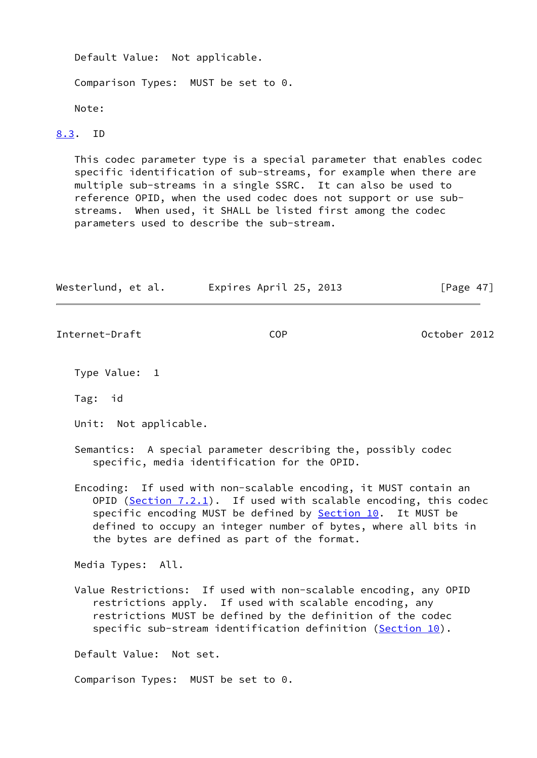Default Value: Not applicable.

Comparison Types: MUST be set to 0.

Note:

# <span id="page-53-0"></span>[8.3](#page-53-0). ID

 This codec parameter type is a special parameter that enables codec specific identification of sub-streams, for example when there are multiple sub-streams in a single SSRC. It can also be used to reference OPID, when the used codec does not support or use sub streams. When used, it SHALL be listed first among the codec parameters used to describe the sub-stream.

| Westerlund, et al.                  | Expires April 25, 2013                                                                                                                                                                                                                                                                                                    | [Page $47$ ] |
|-------------------------------------|---------------------------------------------------------------------------------------------------------------------------------------------------------------------------------------------------------------------------------------------------------------------------------------------------------------------------|--------------|
| Internet-Draft                      | <b>COP</b>                                                                                                                                                                                                                                                                                                                | October 2012 |
| Type Value: 1                       |                                                                                                                                                                                                                                                                                                                           |              |
| Tag: id                             |                                                                                                                                                                                                                                                                                                                           |              |
| Unit: Not applicable.               |                                                                                                                                                                                                                                                                                                                           |              |
|                                     | Semantics: A special parameter describing the, possibly codec<br>specific, media identification for the OPID.                                                                                                                                                                                                             |              |
|                                     | Encoding: If used with non-scalable encoding, it MUST contain an<br>OPID (Section $7.2.1$ ). If used with scalable encoding, this codec<br>specific encoding MUST be defined by Section 10. It MUST be<br>defined to occupy an integer number of bytes, where all bits in<br>the bytes are defined as part of the format. |              |
| Media Types: All.                   |                                                                                                                                                                                                                                                                                                                           |              |
|                                     | Value Restrictions: If used with non-scalable encoding, any OPID<br>restrictions apply. If used with scalable encoding, any<br>restrictions MUST be defined by the definition of the codec<br>specific sub-stream identification definition (Section 10).                                                                 |              |
| Default Value: Not set.             |                                                                                                                                                                                                                                                                                                                           |              |
| Comparison Types: MUST be set to 0. |                                                                                                                                                                                                                                                                                                                           |              |
|                                     |                                                                                                                                                                                                                                                                                                                           |              |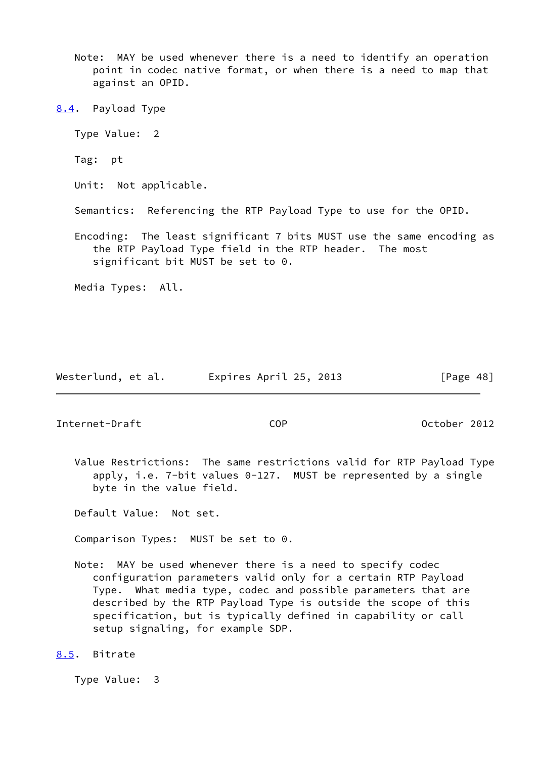- Note: MAY be used whenever there is a need to identify an operation point in codec native format, or when there is a need to map that against an OPID.
- <span id="page-54-0"></span>[8.4](#page-54-0). Payload Type
	- Type Value: 2
	- Tag: pt
	- Unit: Not applicable.
	- Semantics: Referencing the RTP Payload Type to use for the OPID.
	- Encoding: The least significant 7 bits MUST use the same encoding as the RTP Payload Type field in the RTP header. The most significant bit MUST be set to 0.
	- Media Types: All.

|  | Westerlund, et al. | Expires April 25, 2013 | [Page 48] |
|--|--------------------|------------------------|-----------|
|--|--------------------|------------------------|-----------|

Internet-Draft COP October 2012

 Value Restrictions: The same restrictions valid for RTP Payload Type apply, i.e. 7-bit values 0-127. MUST be represented by a single byte in the value field.

Default Value: Not set.

Comparison Types: MUST be set to 0.

- Note: MAY be used whenever there is a need to specify codec configuration parameters valid only for a certain RTP Payload Type. What media type, codec and possible parameters that are described by the RTP Payload Type is outside the scope of this specification, but is typically defined in capability or call setup signaling, for example SDP.
- <span id="page-54-1"></span>[8.5](#page-54-1). Bitrate

Type Value: 3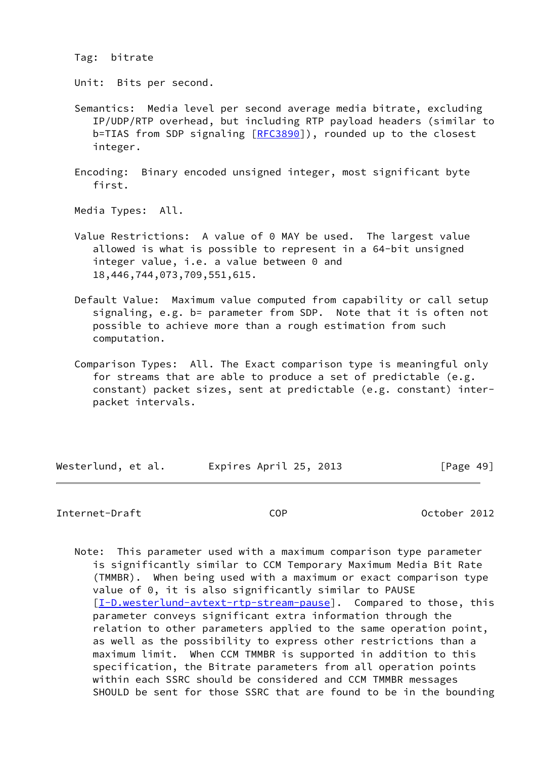Tag: bitrate

Unit: Bits per second.

 Semantics: Media level per second average media bitrate, excluding IP/UDP/RTP overhead, but including RTP payload headers (similar to b=TIAS from SDP signaling [\[RFC3890](https://datatracker.ietf.org/doc/pdf/rfc3890)]), rounded up to the closest integer.

 Encoding: Binary encoded unsigned integer, most significant byte first.

Media Types: All.

- Value Restrictions: A value of 0 MAY be used. The largest value allowed is what is possible to represent in a 64-bit unsigned integer value, i.e. a value between 0 and 18,446,744,073,709,551,615.
- Default Value: Maximum value computed from capability or call setup signaling, e.g. b= parameter from SDP. Note that it is often not possible to achieve more than a rough estimation from such computation.
- Comparison Types: All. The Exact comparison type is meaningful only for streams that are able to produce a set of predictable (e.g. constant) packet sizes, sent at predictable (e.g. constant) inter packet intervals.

| Westerlund, et al. | Expires April 25, 2013 | [Page 49] |
|--------------------|------------------------|-----------|
|                    |                        |           |

#### Internet-Draft COP October 2012

 Note: This parameter used with a maximum comparison type parameter is significantly similar to CCM Temporary Maximum Media Bit Rate (TMMBR). When being used with a maximum or exact comparison type value of 0, it is also significantly similar to PAUSE [[I-D.westerlund-avtext-rtp-stream-pause](#page-83-0)]. Compared to those, this parameter conveys significant extra information through the relation to other parameters applied to the same operation point, as well as the possibility to express other restrictions than a maximum limit. When CCM TMMBR is supported in addition to this specification, the Bitrate parameters from all operation points within each SSRC should be considered and CCM TMMBR messages SHOULD be sent for those SSRC that are found to be in the bounding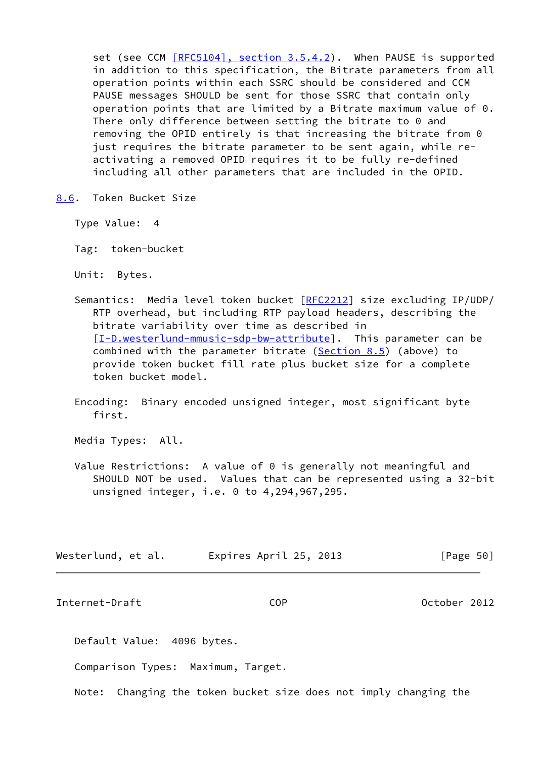set (see CCM [\[RFC5104\], section](https://datatracker.ietf.org/doc/pdf/rfc5104#section-3.5.4.2) 3.5.4.2). When PAUSE is supported in addition to this specification, the Bitrate parameters from all operation points within each SSRC should be considered and CCM PAUSE messages SHOULD be sent for those SSRC that contain only operation points that are limited by a Bitrate maximum value of 0. There only difference between setting the bitrate to 0 and removing the OPID entirely is that increasing the bitrate from 0 just requires the bitrate parameter to be sent again, while re activating a removed OPID requires it to be fully re-defined including all other parameters that are included in the OPID.

<span id="page-56-0"></span>[8.6](#page-56-0). Token Bucket Size

Type Value: 4

Tag: token-bucket

Unit: Bytes.

- Semantics: Media level token bucket [\[RFC2212](https://datatracker.ietf.org/doc/pdf/rfc2212)] size excluding IP/UDP/ RTP overhead, but including RTP payload headers, describing the bitrate variability over time as described in [[I-D.westerlund-mmusic-sdp-bw-attribute](#page-83-1)]. This parameter can be combined with the parameter bitrate [\(Section 8.5](#page-54-1)) (above) to provide token bucket fill rate plus bucket size for a complete token bucket model.
- Encoding: Binary encoded unsigned integer, most significant byte first.

Media Types: All.

Value Restrictions: A value of 0 is generally not meaningful and SHOULD NOT be used. Values that can be represented using a 32-bit unsigned integer, i.e. 0 to 4,294,967,295.

| Westerlund, et al. | Expires April 25, 2013 | [Page 50] |
|--------------------|------------------------|-----------|
|--------------------|------------------------|-----------|

Internet-Draft COP October 2012

Default Value: 4096 bytes.

Comparison Types: Maximum, Target.

Note: Changing the token bucket size does not imply changing the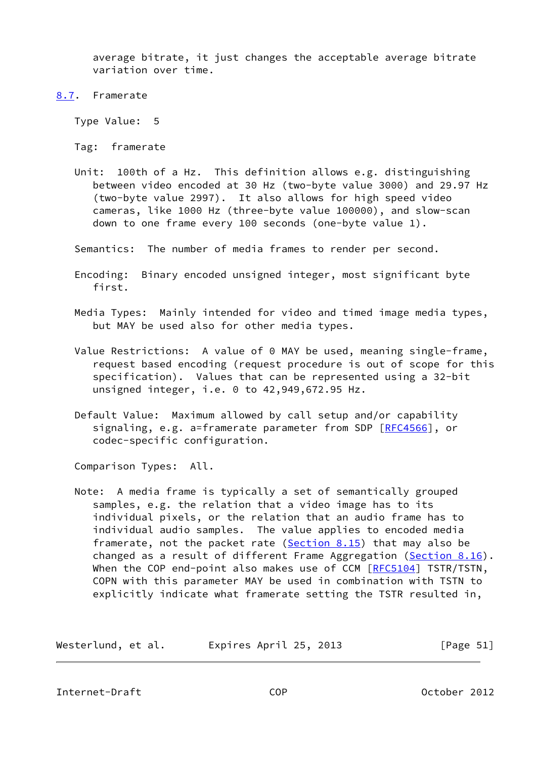average bitrate, it just changes the acceptable average bitrate variation over time.

<span id="page-57-0"></span>[8.7](#page-57-0). Framerate

Type Value: 5

Tag: framerate

 Unit: 100th of a Hz. This definition allows e.g. distinguishing between video encoded at 30 Hz (two-byte value 3000) and 29.97 Hz (two-byte value 2997). It also allows for high speed video cameras, like 1000 Hz (three-byte value 100000), and slow-scan down to one frame every 100 seconds (one-byte value 1).

Semantics: The number of media frames to render per second.

- Encoding: Binary encoded unsigned integer, most significant byte first.
- Media Types: Mainly intended for video and timed image media types, but MAY be used also for other media types.
- Value Restrictions: A value of 0 MAY be used, meaning single-frame, request based encoding (request procedure is out of scope for this specification). Values that can be represented using a 32-bit unsigned integer, i.e. 0 to 42,949,672.95 Hz.
- Default Value: Maximum allowed by call setup and/or capability signaling, e.g. a=framerate parameter from SDP [[RFC4566](https://datatracker.ietf.org/doc/pdf/rfc4566)], or codec-specific configuration.

Comparison Types: All.

 Note: A media frame is typically a set of semantically grouped samples, e.g. the relation that a video image has to its individual pixels, or the relation that an audio frame has to individual audio samples. The value applies to encoded media framerate, not the packet rate ([Section 8.15\)](#page-64-0) that may also be changed as a result of different Frame Aggregation ([Section 8.16\)](#page-65-0). When the COP end-point also makes use of CCM [\[RFC5104](https://datatracker.ietf.org/doc/pdf/rfc5104)] TSTR/TSTN, COPN with this parameter MAY be used in combination with TSTN to explicitly indicate what framerate setting the TSTR resulted in,

| Westerlund, et al. | Expires April 25, 2013 | [Page 51] |
|--------------------|------------------------|-----------|
|--------------------|------------------------|-----------|

Internet-Draft COP October 2012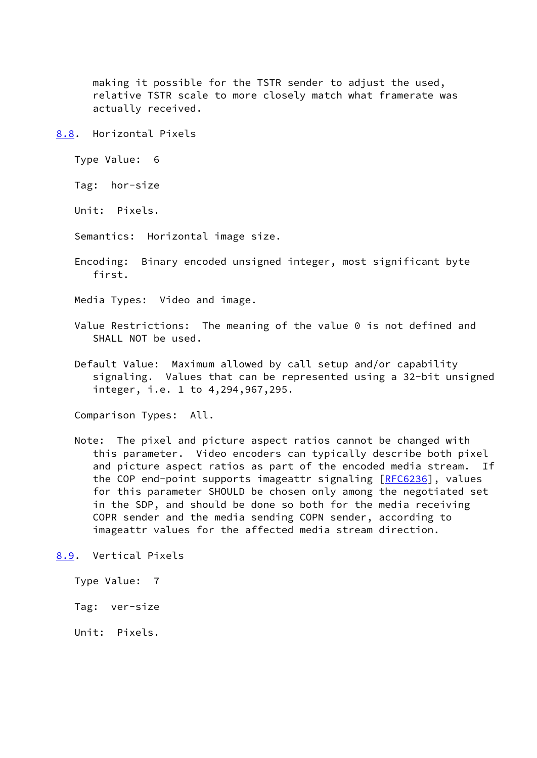making it possible for the TSTR sender to adjust the used, relative TSTR scale to more closely match what framerate was actually received.

<span id="page-58-0"></span>[8.8](#page-58-0). Horizontal Pixels

Type Value: 6

Tag: hor-size

Unit: Pixels.

Semantics: Horizontal image size.

 Encoding: Binary encoded unsigned integer, most significant byte first.

Media Types: Video and image.

- Value Restrictions: The meaning of the value 0 is not defined and SHALL NOT be used.
- Default Value: Maximum allowed by call setup and/or capability signaling. Values that can be represented using a 32-bit unsigned integer, i.e. 1 to 4,294,967,295.

Comparison Types: All.

 Note: The pixel and picture aspect ratios cannot be changed with this parameter. Video encoders can typically describe both pixel and picture aspect ratios as part of the encoded media stream. If the COP end-point supports imageattr signaling  $[REC6236]$ , values for this parameter SHOULD be chosen only among the negotiated set in the SDP, and should be done so both for the media receiving COPR sender and the media sending COPN sender, according to imageattr values for the affected media stream direction.

<span id="page-58-1"></span>[8.9](#page-58-1). Vertical Pixels

Type Value: 7

Tag: ver-size

Unit: Pixels.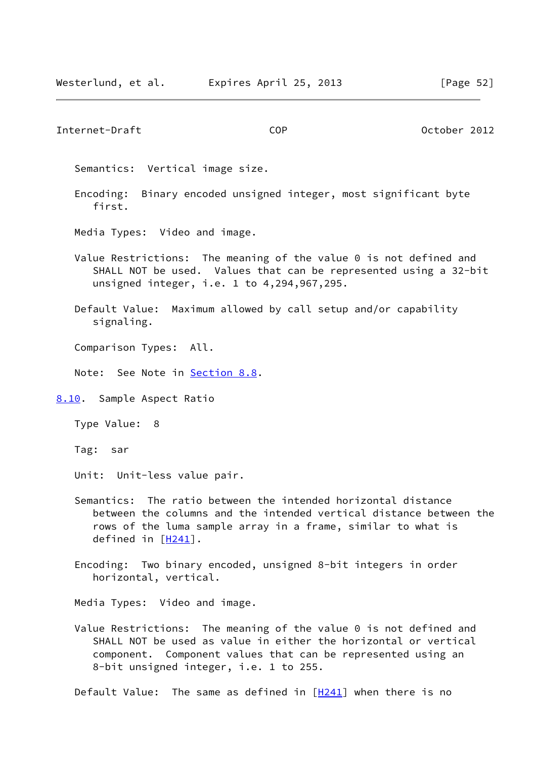### Internet-Draft COP October 2012

Semantics: Vertical image size.

- Encoding: Binary encoded unsigned integer, most significant byte first.
- Media Types: Video and image.
- Value Restrictions: The meaning of the value 0 is not defined and SHALL NOT be used. Values that can be represented using a 32-bit unsigned integer, i.e. 1 to 4,294,967,295.
- Default Value: Maximum allowed by call setup and/or capability signaling.

Comparison Types: All.

Note: See Note in **[Section 8.8](#page-58-0)**.

<span id="page-59-0"></span>[8.10](#page-59-0). Sample Aspect Ratio

Type Value: 8

Tag: sar

Unit: Unit-less value pair.

- Semantics: The ratio between the intended horizontal distance between the columns and the intended vertical distance between the rows of the luma sample array in a frame, similar to what is defined in  $[H241]$  $[H241]$ .
- Encoding: Two binary encoded, unsigned 8-bit integers in order horizontal, vertical.

Media Types: Video and image.

 Value Restrictions: The meaning of the value 0 is not defined and SHALL NOT be used as value in either the horizontal or vertical component. Component values that can be represented using an 8-bit unsigned integer, i.e. 1 to 255.

Default Value: The same as defined in  $[H241]$  $[H241]$  when there is no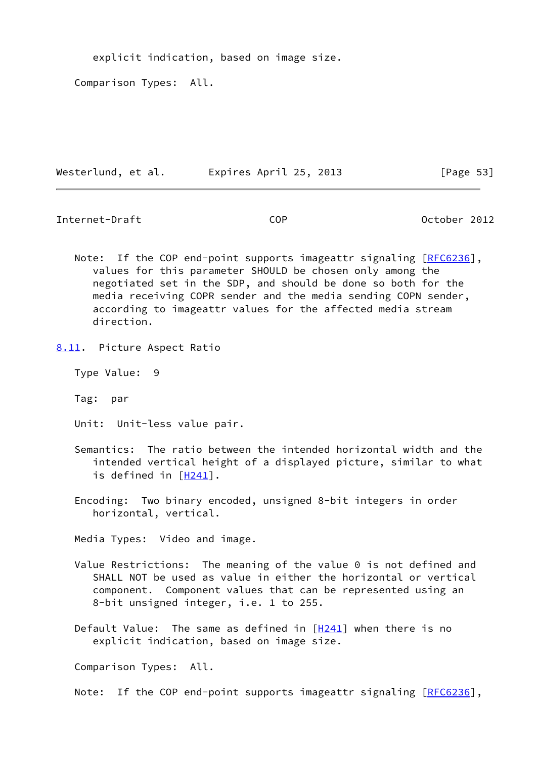explicit indication, based on image size.

Comparison Types: All.

Westerlund, et al. Expires April 25, 2013 [Page 53]

Internet-Draft COP October 2012

Note: If the COP end-point supports imageattr signaling [\[RFC6236](https://datatracker.ietf.org/doc/pdf/rfc6236)], values for this parameter SHOULD be chosen only among the negotiated set in the SDP, and should be done so both for the media receiving COPR sender and the media sending COPN sender, according to imageattr values for the affected media stream direction.

Type Value: 9

Tag: par

Unit: Unit-less value pair.

 Semantics: The ratio between the intended horizontal width and the intended vertical height of a displayed picture, similar to what is defined in [\[H241](#page-82-0)].

 Encoding: Two binary encoded, unsigned 8-bit integers in order horizontal, vertical.

Media Types: Video and image.

- Value Restrictions: The meaning of the value 0 is not defined and SHALL NOT be used as value in either the horizontal or vertical component. Component values that can be represented using an 8-bit unsigned integer, i.e. 1 to 255.
- Default Value: The same as defined in [\[H241](#page-82-0)] when there is no explicit indication, based on image size.

Comparison Types: All.

Note: If the COP end-point supports imageattr signaling [\[RFC6236](https://datatracker.ietf.org/doc/pdf/rfc6236)],

<span id="page-60-0"></span>[<sup>8.11</sup>](#page-60-0). Picture Aspect Ratio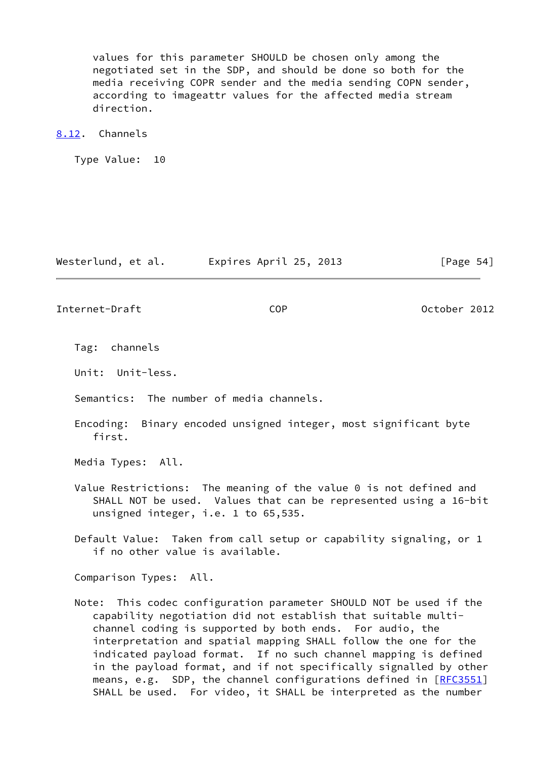values for this parameter SHOULD be chosen only among the negotiated set in the SDP, and should be done so both for the media receiving COPR sender and the media sending COPN sender, according to imageattr values for the affected media stream direction.

## <span id="page-61-0"></span>[8.12](#page-61-0). Channels

Type Value: 10

Westerlund, et al. Expires April 25, 2013 [Page 54]

Internet-Draft COP October 2012

Tag: channels

Unit: Unit-less.

Semantics: The number of media channels.

 Encoding: Binary encoded unsigned integer, most significant byte first.

Media Types: All.

 Value Restrictions: The meaning of the value 0 is not defined and SHALL NOT be used. Values that can be represented using a 16-bit unsigned integer, i.e. 1 to 65,535.

 Default Value: Taken from call setup or capability signaling, or 1 if no other value is available.

Comparison Types: All.

 Note: This codec configuration parameter SHOULD NOT be used if the capability negotiation did not establish that suitable multi channel coding is supported by both ends. For audio, the interpretation and spatial mapping SHALL follow the one for the indicated payload format. If no such channel mapping is defined in the payload format, and if not specifically signalled by other means, e.g. SDP, the channel configurations defined in [[RFC3551\]](https://datatracker.ietf.org/doc/pdf/rfc3551) SHALL be used. For video, it SHALL be interpreted as the number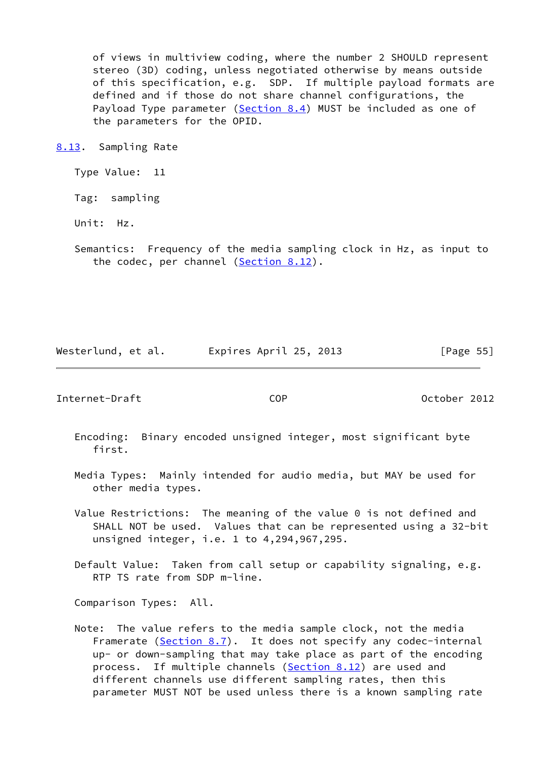of views in multiview coding, where the number 2 SHOULD represent stereo (3D) coding, unless negotiated otherwise by means outside of this specification, e.g. SDP. If multiple payload formats are defined and if those do not share channel configurations, the Payload Type parameter ([Section 8.4](#page-54-0)) MUST be included as one of the parameters for the OPID.

<span id="page-62-0"></span>[8.13](#page-62-0). Sampling Rate

Type Value: 11

Tag: sampling

Unit: Hz.

 Semantics: Frequency of the media sampling clock in Hz, as input to the codec, per channel ([Section 8.12\)](#page-61-0).

Westerlund, et al. Expires April 25, 2013 [Page 55]

Internet-Draft COP October 2012

- Encoding: Binary encoded unsigned integer, most significant byte first.
- Media Types: Mainly intended for audio media, but MAY be used for other media types.
- Value Restrictions: The meaning of the value 0 is not defined and SHALL NOT be used. Values that can be represented using a 32-bit unsigned integer, i.e. 1 to 4,294,967,295.
- Default Value: Taken from call setup or capability signaling, e.g. RTP TS rate from SDP m-line.

Comparison Types: All.

 Note: The value refers to the media sample clock, not the media Framerate [\(Section 8.7](#page-57-0)). It does not specify any codec-internal up- or down-sampling that may take place as part of the encoding process. If multiple channels ([Section 8.12\)](#page-61-0) are used and different channels use different sampling rates, then this parameter MUST NOT be used unless there is a known sampling rate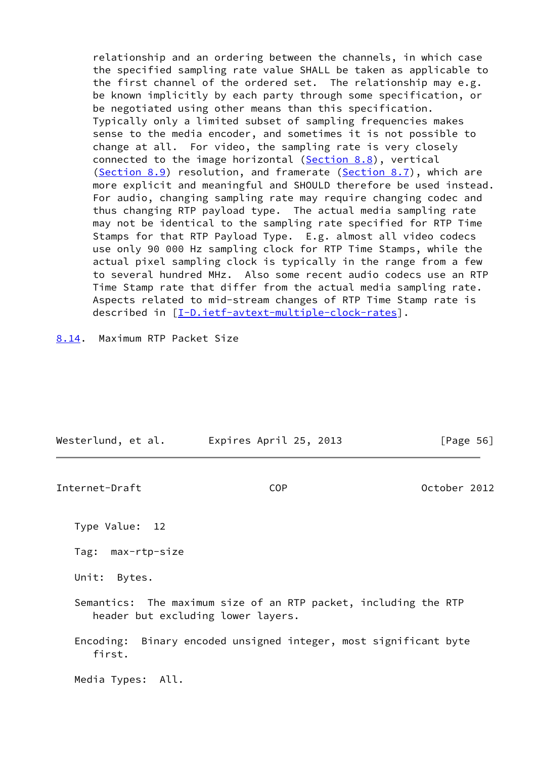relationship and an ordering between the channels, in which case the specified sampling rate value SHALL be taken as applicable to the first channel of the ordered set. The relationship may e.g. be known implicitly by each party through some specification, or be negotiated using other means than this specification. Typically only a limited subset of sampling frequencies makes sense to the media encoder, and sometimes it is not possible to change at all. For video, the sampling rate is very closely connected to the image horizontal [\(Section 8.8](#page-58-0)), vertical ([Section 8.9\)](#page-58-1) resolution, and framerate ([Section 8.7\)](#page-57-0), which are more explicit and meaningful and SHOULD therefore be used instead. For audio, changing sampling rate may require changing codec and thus changing RTP payload type. The actual media sampling rate may not be identical to the sampling rate specified for RTP Time Stamps for that RTP Payload Type. E.g. almost all video codecs use only 90 000 Hz sampling clock for RTP Time Stamps, while the actual pixel sampling clock is typically in the range from a few to several hundred MHz. Also some recent audio codecs use an RTP Time Stamp rate that differ from the actual media sampling rate. Aspects related to mid-stream changes of RTP Time Stamp rate is described in [\[I-D.ietf-avtext-multiple-clock-rates](#page-83-2)].

<span id="page-63-0"></span>[8.14](#page-63-0). Maximum RTP Packet Size

| Westerlund, et al. | Expires April 25, 2013 | [Page 56] |
|--------------------|------------------------|-----------|
|                    |                        |           |

Internet-Draft COP October 2012

Type Value: 12

Tag: max-rtp-size

Unit: Bytes.

 Semantics: The maximum size of an RTP packet, including the RTP header but excluding lower layers.

 Encoding: Binary encoded unsigned integer, most significant byte first.

Media Types: All.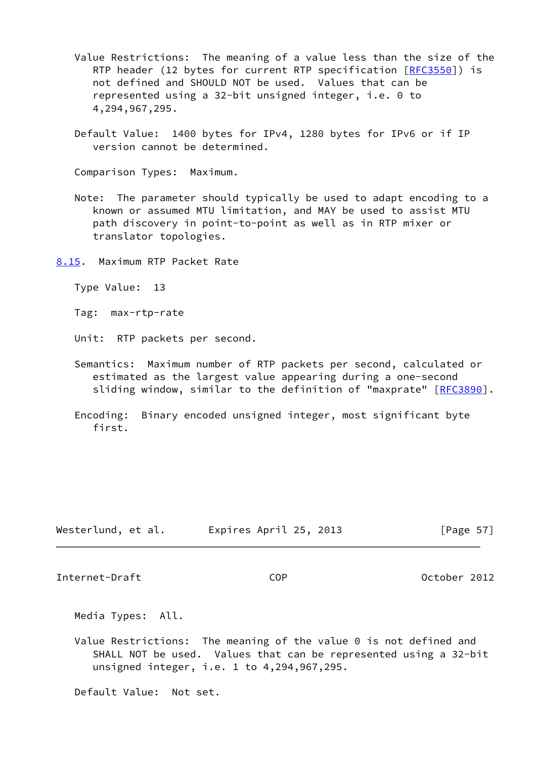- Value Restrictions: The meaning of a value less than the size of the RTP header (12 bytes for current RTP specification [[RFC3550](https://datatracker.ietf.org/doc/pdf/rfc3550)]) is not defined and SHOULD NOT be used. Values that can be represented using a 32-bit unsigned integer, i.e. 0 to 4,294,967,295.
- Default Value: 1400 bytes for IPv4, 1280 bytes for IPv6 or if IP version cannot be determined.

Comparison Types: Maximum.

 Note: The parameter should typically be used to adapt encoding to a known or assumed MTU limitation, and MAY be used to assist MTU path discovery in point-to-point as well as in RTP mixer or translator topologies.

<span id="page-64-0"></span>[8.15](#page-64-0). Maximum RTP Packet Rate

Type Value: 13

Tag: max-rtp-rate

Unit: RTP packets per second.

- Semantics: Maximum number of RTP packets per second, calculated or estimated as the largest value appearing during a one-second sliding window, similar to the definition of "maxprate" [[RFC3890\]](https://datatracker.ietf.org/doc/pdf/rfc3890).
- Encoding: Binary encoded unsigned integer, most significant byte first.

| Westerlund, et al. | Expires April 25, 2013 | [Page $57$ ] |
|--------------------|------------------------|--------------|
|--------------------|------------------------|--------------|

Internet-Draft COP October 2012

Media Types: All.

 Value Restrictions: The meaning of the value 0 is not defined and SHALL NOT be used. Values that can be represented using a 32-bit unsigned integer, i.e. 1 to 4,294,967,295.

Default Value: Not set.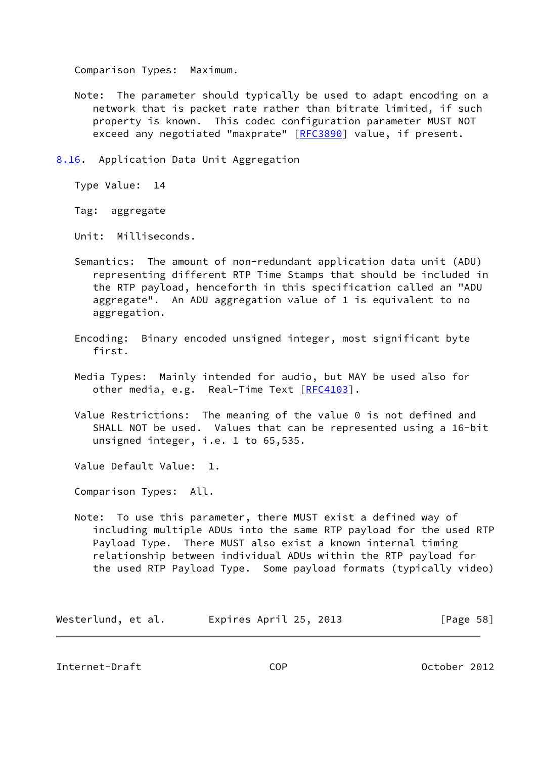Comparison Types: Maximum.

 Note: The parameter should typically be used to adapt encoding on a network that is packet rate rather than bitrate limited, if such property is known. This codec configuration parameter MUST NOT exceed any negotiated "maxprate" [\[RFC3890](https://datatracker.ietf.org/doc/pdf/rfc3890)] value, if present.

<span id="page-65-0"></span>[8.16](#page-65-0). Application Data Unit Aggregation

Type Value: 14

Tag: aggregate

Unit: Milliseconds.

- Semantics: The amount of non-redundant application data unit (ADU) representing different RTP Time Stamps that should be included in the RTP payload, henceforth in this specification called an "ADU aggregate". An ADU aggregation value of 1 is equivalent to no aggregation.
- Encoding: Binary encoded unsigned integer, most significant byte first.
- Media Types: Mainly intended for audio, but MAY be used also for other media, e.g. Real-Time Text [\[RFC4103](https://datatracker.ietf.org/doc/pdf/rfc4103)].
- Value Restrictions: The meaning of the value 0 is not defined and SHALL NOT be used. Values that can be represented using a 16-bit unsigned integer, i.e. 1 to 65,535.

Value Default Value: 1.

Comparison Types: All.

 Note: To use this parameter, there MUST exist a defined way of including multiple ADUs into the same RTP payload for the used RTP Payload Type. There MUST also exist a known internal timing relationship between individual ADUs within the RTP payload for the used RTP Payload Type. Some payload formats (typically video)

Westerlund, et al. Expires April 25, 2013 [Page 58]

Internet-Draft COP October 2012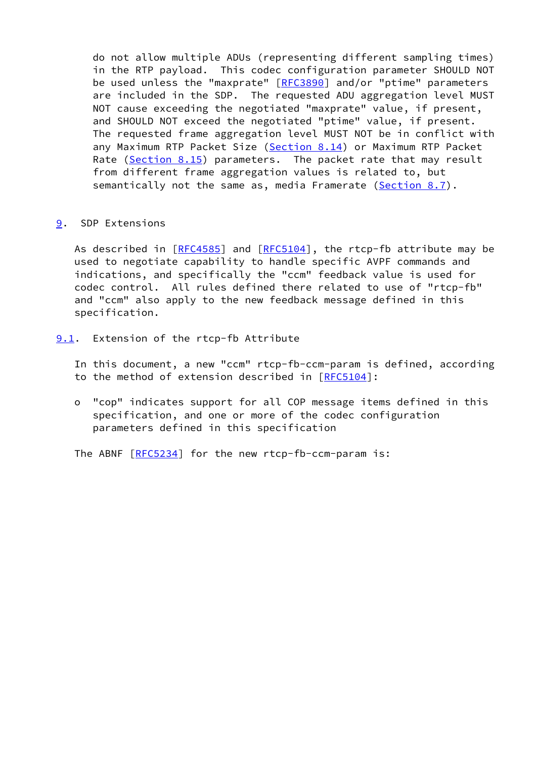do not allow multiple ADUs (representing different sampling times) in the RTP payload. This codec configuration parameter SHOULD NOT be used unless the "maxprate" [\[RFC3890](https://datatracker.ietf.org/doc/pdf/rfc3890)] and/or "ptime" parameters are included in the SDP. The requested ADU aggregation level MUST NOT cause exceeding the negotiated "maxprate" value, if present, and SHOULD NOT exceed the negotiated "ptime" value, if present. The requested frame aggregation level MUST NOT be in conflict with any Maximum RTP Packet Size [\(Section 8.14](#page-63-0)) or Maximum RTP Packet Rate [\(Section 8.15](#page-64-0)) parameters. The packet rate that may result from different frame aggregation values is related to, but semantically not the same as, media Framerate [\(Section 8.7](#page-57-0)).

# <span id="page-66-0"></span>[9](#page-66-0). SDP Extensions

 As described in [\[RFC4585](https://datatracker.ietf.org/doc/pdf/rfc4585)] and [[RFC5104](https://datatracker.ietf.org/doc/pdf/rfc5104)], the rtcp-fb attribute may be used to negotiate capability to handle specific AVPF commands and indications, and specifically the "ccm" feedback value is used for codec control. All rules defined there related to use of "rtcp-fb" and "ccm" also apply to the new feedback message defined in this specification.

- <span id="page-66-1"></span>[9.1](#page-66-1). Extension of the rtcp-fb Attribute
	- In this document, a new "ccm" rtcp-fb-ccm-param is defined, according to the method of extension described in [\[RFC5104](https://datatracker.ietf.org/doc/pdf/rfc5104)]:
	- o "cop" indicates support for all COP message items defined in this specification, and one or more of the codec configuration parameters defined in this specification

The ABNF [\[RFC5234](https://datatracker.ietf.org/doc/pdf/rfc5234)] for the new rtcp-fb-ccm-param is: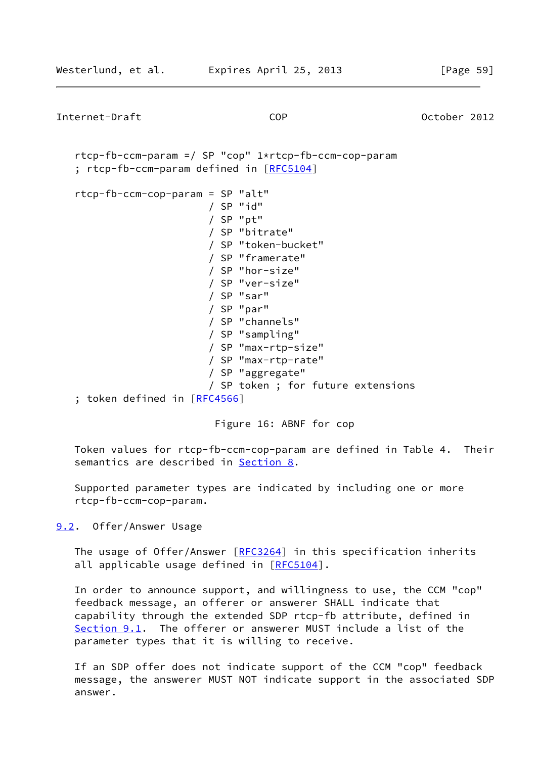Internet-Draft COP October 2012 rtcp-fb-ccm-param =/ SP "cop" 1\*rtcp-fb-ccm-cop-param ; rtcp-fb-ccm-param defined in [\[RFC5104](https://datatracker.ietf.org/doc/pdf/rfc5104)] rtcp-fb-ccm-cop-param = SP "alt" / SP "id" / SP "pt" / SP "bitrate" / SP "token-bucket" / SP "framerate" / SP "hor-size" / SP "ver-size" / SP "sar" / SP "par" / SP "channels" / SP "sampling" / SP "max-rtp-size" / SP "max-rtp-rate" / SP "aggregate" / SP token ; for future extensions ; token defined in [[RFC4566\]](https://datatracker.ietf.org/doc/pdf/rfc4566)

## Figure 16: ABNF for cop

 Token values for rtcp-fb-ccm-cop-param are defined in Table 4. Their semantics are described in [Section 8.](#page-48-0)

 Supported parameter types are indicated by including one or more rtcp-fb-ccm-cop-param.

<span id="page-67-0"></span>[9.2](#page-67-0). Offer/Answer Usage

The usage of Offer/Answer [[RFC3264](https://datatracker.ietf.org/doc/pdf/rfc3264)] in this specification inherits all applicable usage defined in [\[RFC5104](https://datatracker.ietf.org/doc/pdf/rfc5104)].

 In order to announce support, and willingness to use, the CCM "cop" feedback message, an offerer or answerer SHALL indicate that capability through the extended SDP rtcp-fb attribute, defined in [Section 9.1](#page-66-1). The offerer or answerer MUST include a list of the parameter types that it is willing to receive.

 If an SDP offer does not indicate support of the CCM "cop" feedback message, the answerer MUST NOT indicate support in the associated SDP answer.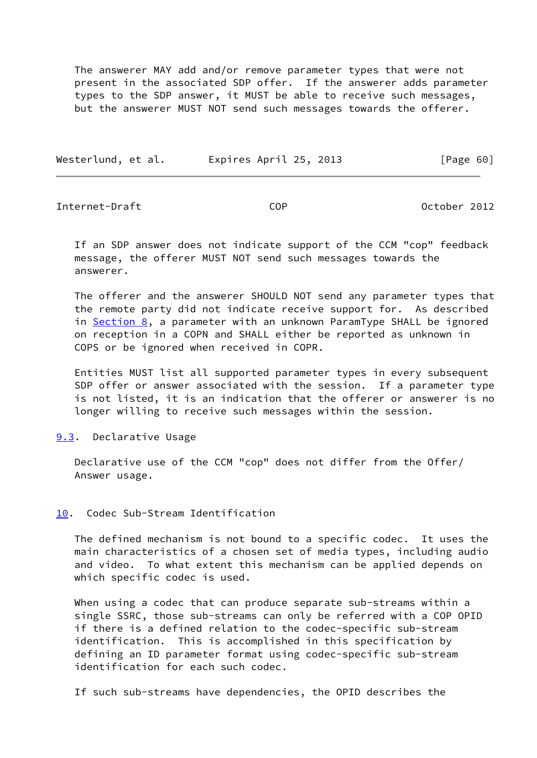The answerer MAY add and/or remove parameter types that were not present in the associated SDP offer. If the answerer adds parameter types to the SDP answer, it MUST be able to receive such messages, but the answerer MUST NOT send such messages towards the offerer.

| Westerlund, et al. | Expires April 25, 2013 | [Page 60] |
|--------------------|------------------------|-----------|
|                    |                        |           |

Internet-Draft COP October 2012

 If an SDP answer does not indicate support of the CCM "cop" feedback message, the offerer MUST NOT send such messages towards the answerer.

 The offerer and the answerer SHOULD NOT send any parameter types that the remote party did not indicate receive support for. As described in [Section 8,](#page-48-0) a parameter with an unknown ParamType SHALL be ignored on reception in a COPN and SHALL either be reported as unknown in COPS or be ignored when received in COPR.

 Entities MUST list all supported parameter types in every subsequent SDP offer or answer associated with the session. If a parameter type is not listed, it is an indication that the offerer or answerer is no longer willing to receive such messages within the session.

### <span id="page-68-1"></span>[9.3](#page-68-1). Declarative Usage

 Declarative use of the CCM "cop" does not differ from the Offer/ Answer usage.

# <span id="page-68-0"></span>[10.](#page-68-0) Codec Sub-Stream Identification

 The defined mechanism is not bound to a specific codec. It uses the main characteristics of a chosen set of media types, including audio and video. To what extent this mechanism can be applied depends on which specific codec is used.

 When using a codec that can produce separate sub-streams within a single SSRC, those sub-streams can only be referred with a COP OPID if there is a defined relation to the codec-specific sub-stream identification. This is accomplished in this specification by defining an ID parameter format using codec-specific sub-stream identification for each such codec.

If such sub-streams have dependencies, the OPID describes the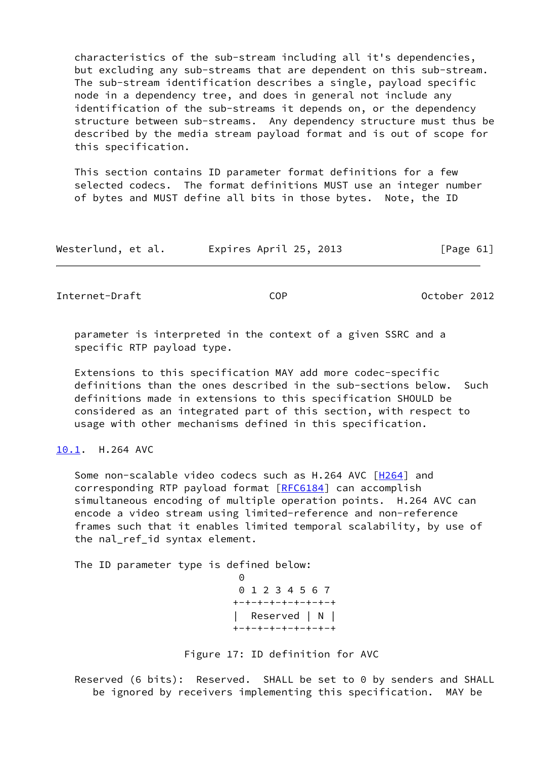characteristics of the sub-stream including all it's dependencies, but excluding any sub-streams that are dependent on this sub-stream. The sub-stream identification describes a single, payload specific node in a dependency tree, and does in general not include any identification of the sub-streams it depends on, or the dependency structure between sub-streams. Any dependency structure must thus be described by the media stream payload format and is out of scope for this specification.

 This section contains ID parameter format definitions for a few selected codecs. The format definitions MUST use an integer number of bytes and MUST define all bits in those bytes. Note, the ID

| Westerlund, et al. | Expires April 25, 2013 | [Page 61] |
|--------------------|------------------------|-----------|
|--------------------|------------------------|-----------|

Internet-Draft COP October 2012

 parameter is interpreted in the context of a given SSRC and a specific RTP payload type.

 Extensions to this specification MAY add more codec-specific definitions than the ones described in the sub-sections below. Such definitions made in extensions to this specification SHOULD be considered as an integrated part of this section, with respect to usage with other mechanisms defined in this specification.

# <span id="page-69-0"></span>[10.1](#page-69-0). H.264 AVC

 Some non-scalable video codecs such as H.264 AVC [\[H264](#page-82-1)] and corresponding RTP payload format [\[RFC6184](https://datatracker.ietf.org/doc/pdf/rfc6184)] can accomplish simultaneous encoding of multiple operation points. H.264 AVC can encode a video stream using limited-reference and non-reference frames such that it enables limited temporal scalability, by use of the nal\_ref\_id syntax element.

The ID parameter type is defined below:

<u>0</u> 0 1 2 3 4 5 6 7 +-+-+-+-+-+-+-+-+ Reserved | N | +-+-+-+-+-+-+-+-+

Figure 17: ID definition for AVC

 Reserved (6 bits): Reserved. SHALL be set to 0 by senders and SHALL be ignored by receivers implementing this specification. MAY be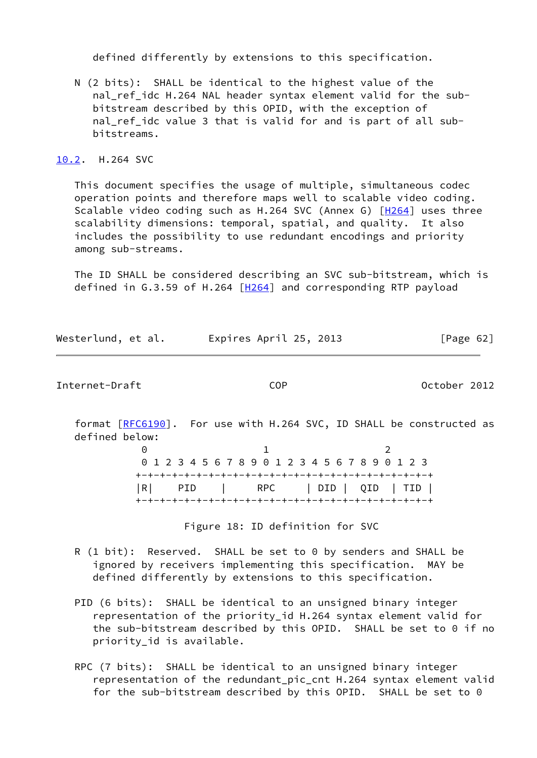defined differently by extensions to this specification.

 N (2 bits): SHALL be identical to the highest value of the nal\_ref\_idc H.264 NAL header syntax element valid for the sub bitstream described by this OPID, with the exception of nal\_ref\_idc value 3 that is valid for and is part of all sub bitstreams.

# <span id="page-70-0"></span>[10.2](#page-70-0). H.264 SVC

 This document specifies the usage of multiple, simultaneous codec operation points and therefore maps well to scalable video coding. Scalable video coding such as H.264 SVC (Annex G) [[H264\]](#page-82-1) uses three scalability dimensions: temporal, spatial, and quality. It also includes the possibility to use redundant encodings and priority among sub-streams.

 The ID SHALL be considered describing an SVC sub-bitstream, which is defined in G.3.59 of H.264 [[H264\]](#page-82-1) and corresponding RTP payload

|  | Westerlund, et al. | Expires April 25, 2013 | [Page 62] |
|--|--------------------|------------------------|-----------|
|--|--------------------|------------------------|-----------|

Internet-Draft COP October 2012

format [\[RFC6190](https://datatracker.ietf.org/doc/pdf/rfc6190)]. For use with H.264 SVC, ID SHALL be constructed as defined below:

 $\begin{array}{ccc} 0 & 1 & 2 \end{array}$  0 1 2 3 4 5 6 7 8 9 0 1 2 3 4 5 6 7 8 9 0 1 2 3 +-+-+-+-+-+-+-+-+-+-+-+-+-+-+-+-+-+-+-+-+-+-+-+-+ |R| PID | RPC | DID | QID | TID | +-+-+-+-+-+-+-+-+-+-+-+-+-+-+-+-+-+-+-+-+-+-+-+-+

Figure 18: ID definition for SVC

- R (1 bit): Reserved. SHALL be set to 0 by senders and SHALL be ignored by receivers implementing this specification. MAY be defined differently by extensions to this specification.
- PID (6 bits): SHALL be identical to an unsigned binary integer representation of the priority\_id H.264 syntax element valid for the sub-bitstream described by this OPID. SHALL be set to 0 if no priority\_id is available.
- RPC (7 bits): SHALL be identical to an unsigned binary integer representation of the redundant\_pic\_cnt H.264 syntax element valid for the sub-bitstream described by this OPID. SHALL be set to 0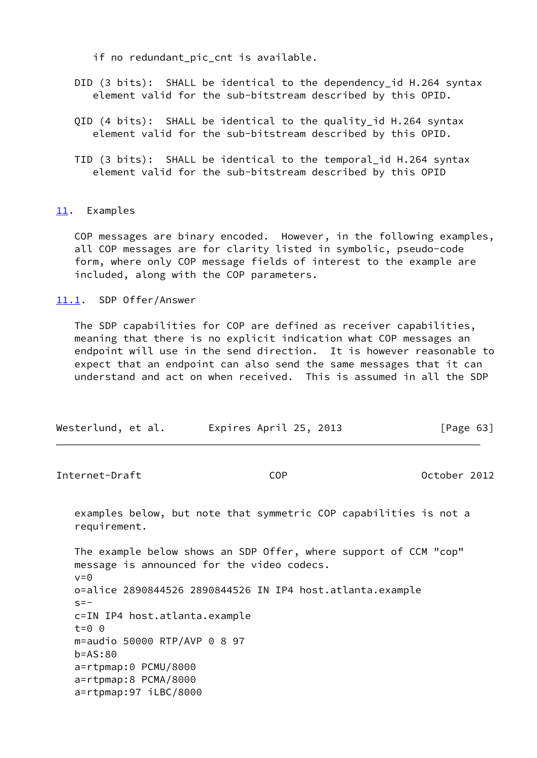if no redundant\_pic\_cnt is available.

- DID (3 bits): SHALL be identical to the dependency id H.264 syntax element valid for the sub-bitstream described by this OPID.
- QID (4 bits): SHALL be identical to the quality id H.264 syntax element valid for the sub-bitstream described by this OPID.
- TID (3 bits): SHALL be identical to the temporal\_id H.264 syntax element valid for the sub-bitstream described by this OPID

# <span id="page-71-0"></span>[11.](#page-71-0) Examples

 COP messages are binary encoded. However, in the following examples, all COP messages are for clarity listed in symbolic, pseudo-code form, where only COP message fields of interest to the example are included, along with the COP parameters.

## <span id="page-71-1"></span>[11.1](#page-71-1). SDP Offer/Answer

 The SDP capabilities for COP are defined as receiver capabilities, meaning that there is no explicit indication what COP messages an endpoint will use in the send direction. It is however reasonable to expect that an endpoint can also send the same messages that it can understand and act on when received. This is assumed in all the SDP

| Westerlund, et al. | Expires April 25, 2013 | [Page 63] |
|--------------------|------------------------|-----------|
|--------------------|------------------------|-----------|

Internet-Draft COP October 2012

 examples below, but note that symmetric COP capabilities is not a requirement.

 The example below shows an SDP Offer, where support of CCM "cop" message is announced for the video codecs.  $v=0$  o=alice 2890844526 2890844526 IN IP4 host.atlanta.example  $s=$  c=IN IP4 host.atlanta.example t=0 0 m=audio 50000 RTP/AVP 0 8 97 b=AS:80 a=rtpmap:0 PCMU/8000 a=rtpmap:8 PCMA/8000 a=rtpmap:97 iLBC/8000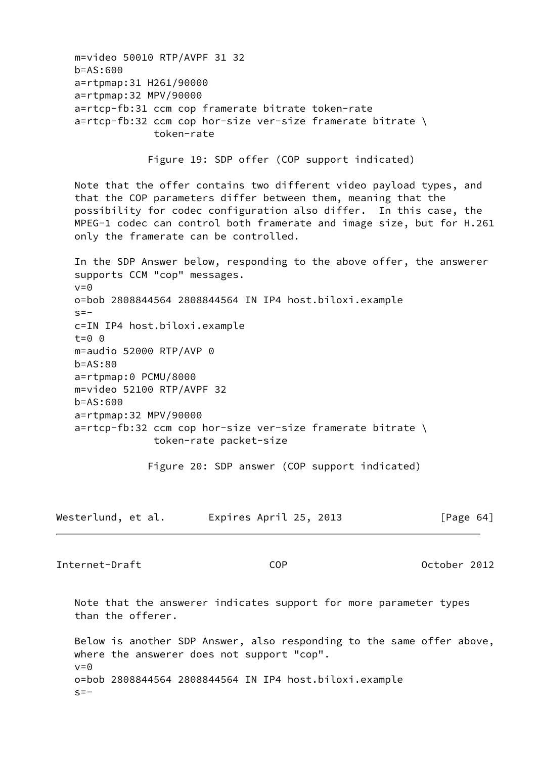m=video 50010 RTP/AVPF 31 32 b=AS:600 a=rtpmap:31 H261/90000 a=rtpmap:32 MPV/90000 a=rtcp-fb:31 ccm cop framerate bitrate token-rate a=rtcp-fb:32 ccm cop hor-size ver-size framerate bitrate \ token-rate Figure 19: SDP offer (COP support indicated) Note that the offer contains two different video payload types, and that the COP parameters differ between them, meaning that the possibility for codec configuration also differ. In this case, the MPEG-1 codec can control both framerate and image size, but for H.261 only the framerate can be controlled. In the SDP Answer below, responding to the above offer, the answerer supports CCM "cop" messages.  $v=0$  o=bob 2808844564 2808844564 IN IP4 host.biloxi.example  $s=$  c=IN IP4 host.biloxi.example t=0 0 m=audio 52000 RTP/AVP 0 b=AS:80 a=rtpmap:0 PCMU/8000 m=video 52100 RTP/AVPF 32 b=AS:600 a=rtpmap:32 MPV/90000 a=rtcp-fb:32 ccm cop hor-size ver-size framerate bitrate \ token-rate packet-size Figure 20: SDP answer (COP support indicated) Westerlund, et al. Expires April 25, 2013 [Page 64] Internet-Draft COP October 2012 Note that the answerer indicates support for more parameter types than the offerer. Below is another SDP Answer, also responding to the same offer above, where the answerer does not support "cop".  $v=0$ 

 o=bob 2808844564 2808844564 IN IP4 host.biloxi.example  $s=-$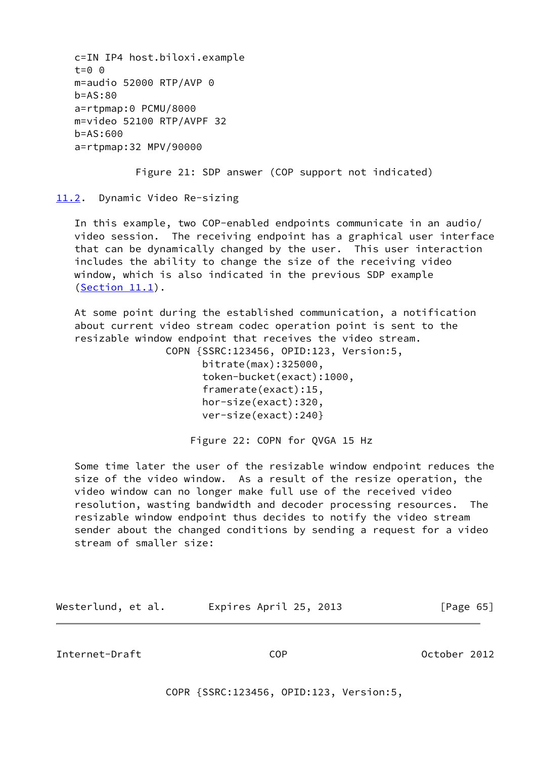c=IN IP4 host.biloxi.example t=0 0 m=audio 52000 RTP/AVP 0 b=AS:80 a=rtpmap:0 PCMU/8000 m=video 52100 RTP/AVPF 32  $h = AS:600$ a=rtpmap:32 MPV/90000

Figure 21: SDP answer (COP support not indicated)

<span id="page-73-0"></span>[11.2](#page-73-0). Dynamic Video Re-sizing

 In this example, two COP-enabled endpoints communicate in an audio/ video session. The receiving endpoint has a graphical user interface that can be dynamically changed by the user. This user interaction includes the ability to change the size of the receiving video window, which is also indicated in the previous SDP example [\(Section 11.1](#page-71-0)).

 At some point during the established communication, a notification about current video stream codec operation point is sent to the resizable window endpoint that receives the video stream.

> COPN {SSRC:123456, OPID:123, Version:5, bitrate(max):325000, token-bucket(exact):1000, framerate(exact):15, hor-size(exact):320, ver-size(exact):240}

> > Figure 22: COPN for QVGA 15 Hz

 Some time later the user of the resizable window endpoint reduces the size of the video window. As a result of the resize operation, the video window can no longer make full use of the received video resolution, wasting bandwidth and decoder processing resources. The resizable window endpoint thus decides to notify the video stream sender about the changed conditions by sending a request for a video stream of smaller size:

Westerlund, et al. Expires April 25, 2013 [Page 65]

Internet-Draft COP October 2012

COPR {SSRC:123456, OPID:123, Version:5,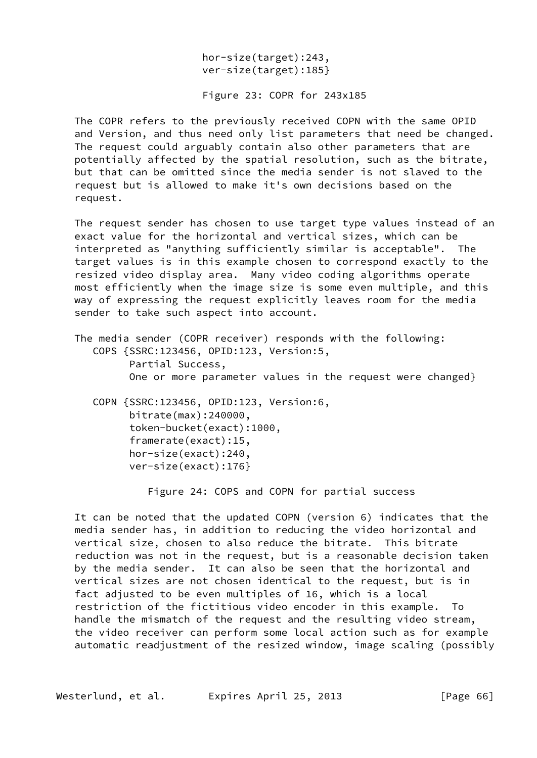hor-size(target):243, ver-size(target):185}

Figure 23: COPR for 243x185

 The COPR refers to the previously received COPN with the same OPID and Version, and thus need only list parameters that need be changed. The request could arguably contain also other parameters that are potentially affected by the spatial resolution, such as the bitrate, but that can be omitted since the media sender is not slaved to the request but is allowed to make it's own decisions based on the request.

 The request sender has chosen to use target type values instead of an exact value for the horizontal and vertical sizes, which can be interpreted as "anything sufficiently similar is acceptable". The target values is in this example chosen to correspond exactly to the resized video display area. Many video coding algorithms operate most efficiently when the image size is some even multiple, and this way of expressing the request explicitly leaves room for the media sender to take such aspect into account.

 The media sender (COPR receiver) responds with the following: COPS {SSRC:123456, OPID:123, Version:5, Partial Success, One or more parameter values in the request were changed} COPN {SSRC:123456, OPID:123, Version:6, bitrate(max):240000, token-bucket(exact):1000, framerate(exact):15, hor-size(exact):240,

Figure 24: COPS and COPN for partial success

 It can be noted that the updated COPN (version 6) indicates that the media sender has, in addition to reducing the video horizontal and vertical size, chosen to also reduce the bitrate. This bitrate reduction was not in the request, but is a reasonable decision taken by the media sender. It can also be seen that the horizontal and vertical sizes are not chosen identical to the request, but is in fact adjusted to be even multiples of 16, which is a local restriction of the fictitious video encoder in this example. To handle the mismatch of the request and the resulting video stream, the video receiver can perform some local action such as for example automatic readjustment of the resized window, image scaling (possibly

Westerlund, et al. Expires April 25, 2013 [Page 66]

ver-size(exact):176}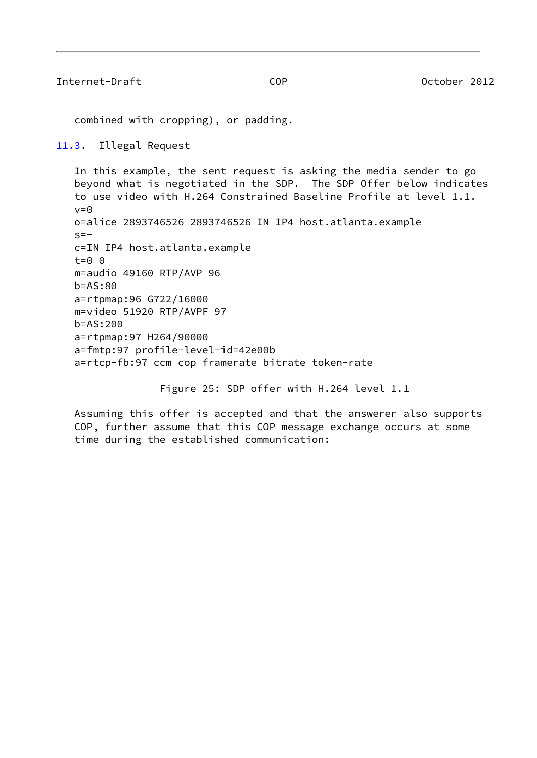Internet-Draft COP October 2012

combined with cropping), or padding.

<span id="page-75-0"></span>[11.3](#page-75-0). Illegal Request

 In this example, the sent request is asking the media sender to go beyond what is negotiated in the SDP. The SDP Offer below indicates to use video with H.264 Constrained Baseline Profile at level 1.1.  $v=0$  o=alice 2893746526 2893746526 IN IP4 host.atlanta.example  $s=$  c=IN IP4 host.atlanta.example  $t=0$   $\theta$  m=audio 49160 RTP/AVP 96 b=AS:80 a=rtpmap:96 G722/16000 m=video 51920 RTP/AVPF 97 b=AS:200 a=rtpmap:97 H264/90000 a=fmtp:97 profile-level-id=42e00b a=rtcp-fb:97 ccm cop framerate bitrate token-rate

Figure 25: SDP offer with H.264 level 1.1

 Assuming this offer is accepted and that the answerer also supports COP, further assume that this COP message exchange occurs at some time during the established communication: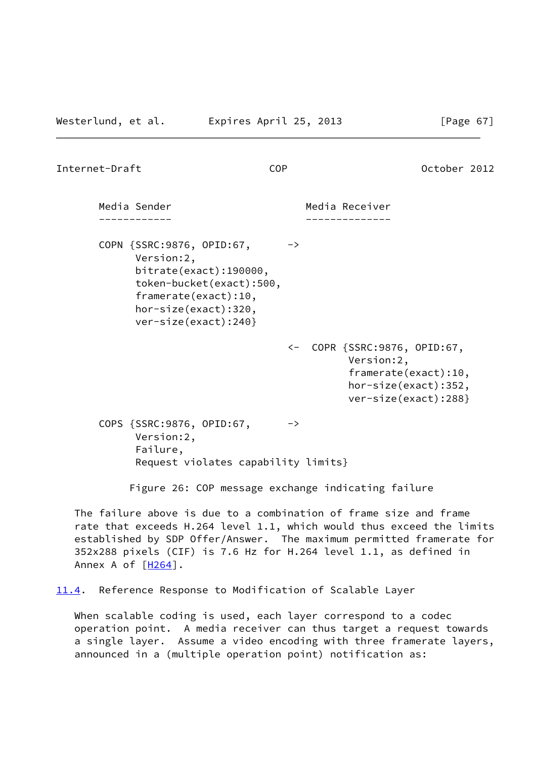Internet-Draft COP October 2012

Media Sender **Media Receiver**  ------------ -------------- COPN {SSRC:9876, OPID:67, -> Version:2, bitrate(exact):190000, token-bucket(exact):500, framerate(exact):10, hor-size(exact):320, ver-size(exact):240} <- COPR {SSRC:9876, OPID:67, Version:2, framerate(exact):10, hor-size(exact):352, ver-size(exact):288}

COPS {SSRC:9876, OPID:67, -> Version:2, Failure, Request violates capability limits}

Figure 26: COP message exchange indicating failure

 The failure above is due to a combination of frame size and frame rate that exceeds H.264 level 1.1, which would thus exceed the limits established by SDP Offer/Answer. The maximum permitted framerate for 352x288 pixels (CIF) is 7.6 Hz for H.264 level 1.1, as defined in Annex A of  $[H264]$  $[H264]$ .

<span id="page-76-0"></span>[11.4](#page-76-0). Reference Response to Modification of Scalable Layer

 When scalable coding is used, each layer correspond to a codec operation point. A media receiver can thus target a request towards a single layer. Assume a video encoding with three framerate layers, announced in a (multiple operation point) notification as: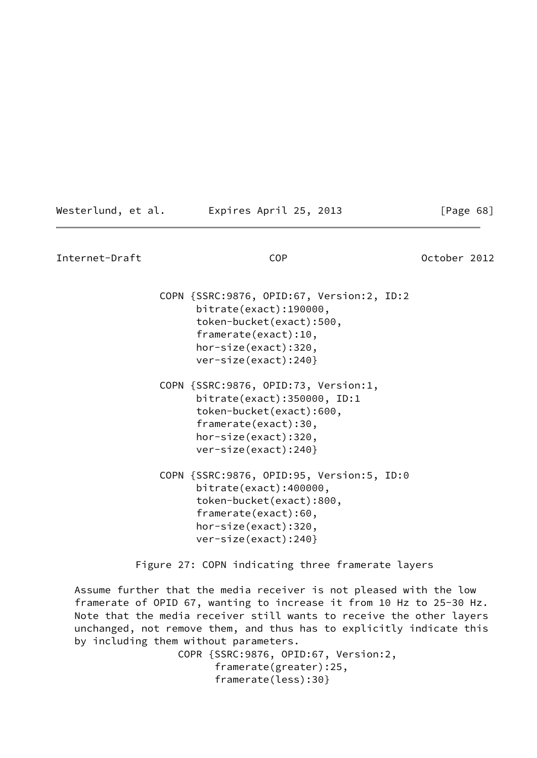| Westerlund, et al. | Expires April 25, 2013 |  |
|--------------------|------------------------|--|
|--------------------|------------------------|--|

Internet-Draft COP October 2012 COPN {SSRC:9876, OPID:67, Version:2, ID:2 bitrate(exact):190000, token-bucket(exact):500, framerate(exact):10, hor-size(exact):320, ver-size(exact):240} COPN {SSRC:9876, OPID:73, Version:1, bitrate(exact):350000, ID:1 token-bucket(exact):600, framerate(exact):30, hor-size(exact):320, ver-size(exact):240} COPN {SSRC:9876, OPID:95, Version:5, ID:0 bitrate(exact):400000, token-bucket(exact):800, framerate(exact):60, hor-size(exact):320, ver-size(exact):240} Figure 27: COPN indicating three framerate layers

 $[Page 68]$ 

 Assume further that the media receiver is not pleased with the low framerate of OPID 67, wanting to increase it from 10 Hz to 25-30 Hz. Note that the media receiver still wants to receive the other layers unchanged, not remove them, and thus has to explicitly indicate this by including them without parameters.

> COPR {SSRC:9876, OPID:67, Version:2, framerate(greater):25, framerate(less):30}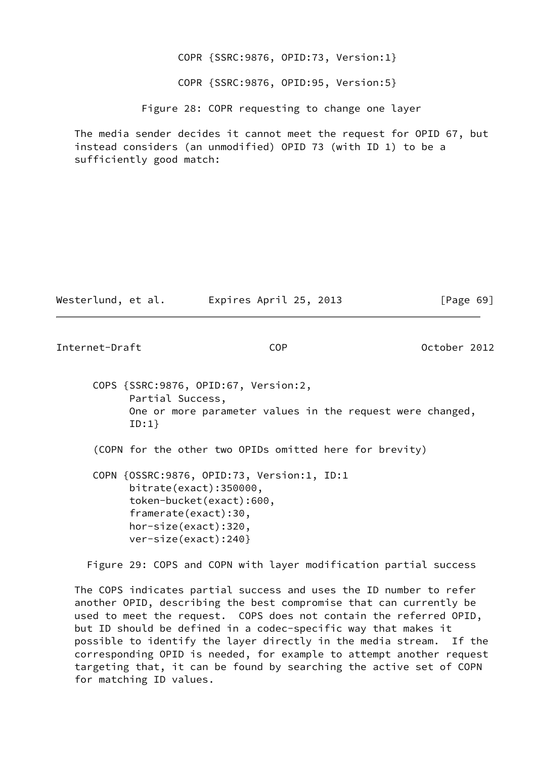COPR {SSRC:9876, OPID:73, Version:1} COPR {SSRC:9876, OPID:95, Version:5}

Figure 28: COPR requesting to change one layer

 The media sender decides it cannot meet the request for OPID 67, but instead considers (an unmodified) OPID 73 (with ID 1) to be a sufficiently good match:

| Westerlund, et al. | Expires April 25, 2013 | [Page 69] |
|--------------------|------------------------|-----------|
|--------------------|------------------------|-----------|

Internet-Draft COP COP 0ctober 2012

 COPS {SSRC:9876, OPID:67, Version:2, Partial Success, One or more parameter values in the request were changed, ID:1}

(COPN for the other two OPIDs omitted here for brevity)

 COPN {OSSRC:9876, OPID:73, Version:1, ID:1 bitrate(exact):350000, token-bucket(exact):600, framerate(exact):30, hor-size(exact):320, ver-size(exact):240}

Figure 29: COPS and COPN with layer modification partial success

 The COPS indicates partial success and uses the ID number to refer another OPID, describing the best compromise that can currently be used to meet the request. COPS does not contain the referred OPID, but ID should be defined in a codec-specific way that makes it possible to identify the layer directly in the media stream. If the corresponding OPID is needed, for example to attempt another request targeting that, it can be found by searching the active set of COPN for matching ID values.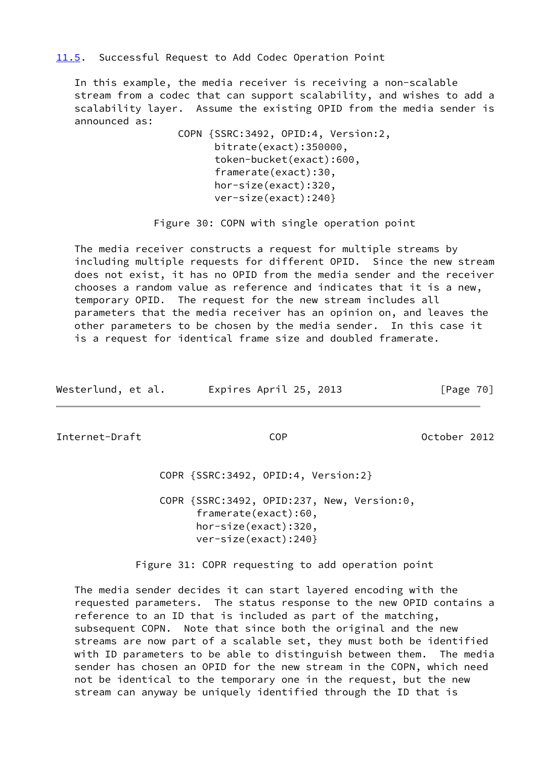<span id="page-79-0"></span>[11.5](#page-79-0). Successful Request to Add Codec Operation Point

 In this example, the media receiver is receiving a non-scalable stream from a codec that can support scalability, and wishes to add a scalability layer. Assume the existing OPID from the media sender is announced as:

> COPN {SSRC:3492, OPID:4, Version:2, bitrate(exact):350000, token-bucket(exact):600, framerate(exact):30, hor-size(exact):320, ver-size(exact):240}

Figure 30: COPN with single operation point

 The media receiver constructs a request for multiple streams by including multiple requests for different OPID. Since the new stream does not exist, it has no OPID from the media sender and the receiver chooses a random value as reference and indicates that it is a new, temporary OPID. The request for the new stream includes all parameters that the media receiver has an opinion on, and leaves the other parameters to be chosen by the media sender. In this case it is a request for identical frame size and doubled framerate.

| Westerlund, et al. | Expires April 25, 2013 | [Page 70] |
|--------------------|------------------------|-----------|
|                    |                        |           |

Internet-Draft COP October 2012

COPR {SSRC:3492, OPID:4, Version:2}

 COPR {SSRC:3492, OPID:237, New, Version:0, framerate(exact):60, hor-size(exact):320, ver-size(exact):240}

Figure 31: COPR requesting to add operation point

 The media sender decides it can start layered encoding with the requested parameters. The status response to the new OPID contains a reference to an ID that is included as part of the matching, subsequent COPN. Note that since both the original and the new streams are now part of a scalable set, they must both be identified with ID parameters to be able to distinguish between them. The media sender has chosen an OPID for the new stream in the COPN, which need not be identical to the temporary one in the request, but the new stream can anyway be uniquely identified through the ID that is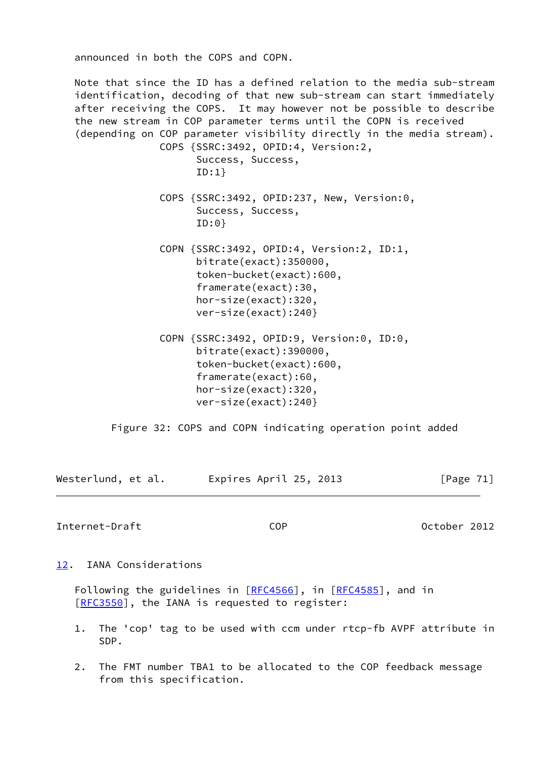announced in both the COPS and COPN.

 Note that since the ID has a defined relation to the media sub-stream identification, decoding of that new sub-stream can start immediately after receiving the COPS. It may however not be possible to describe the new stream in COP parameter terms until the COPN is received (depending on COP parameter visibility directly in the media stream). COPS {SSRC:3492, OPID:4, Version:2, Success, Success, ID:1} COPS {SSRC:3492, OPID:237, New, Version:0, Success, Success, ID:0} COPN {SSRC:3492, OPID:4, Version:2, ID:1, bitrate(exact):350000, token-bucket(exact):600, framerate(exact):30, hor-size(exact):320, ver-size(exact):240} COPN {SSRC:3492, OPID:9, Version:0, ID:0, bitrate(exact):390000, token-bucket(exact):600, framerate(exact):60, hor-size(exact):320, ver-size(exact):240}

Figure 32: COPS and COPN indicating operation point added

Westerlund, et al. Expires April 25, 2013 [Page 71]

Internet-Draft COP October 2012

<span id="page-80-0"></span>[12.](#page-80-0) IANA Considerations

Following the guidelines in [\[RFC4566](https://datatracker.ietf.org/doc/pdf/rfc4566)], in [[RFC4585](https://datatracker.ietf.org/doc/pdf/rfc4585)], and in [\[RFC3550](https://datatracker.ietf.org/doc/pdf/rfc3550)], the IANA is requested to register:

- 1. The 'cop' tag to be used with ccm under rtcp-fb AVPF attribute in SDP.
- 2. The FMT number TBA1 to be allocated to the COP feedback message from this specification.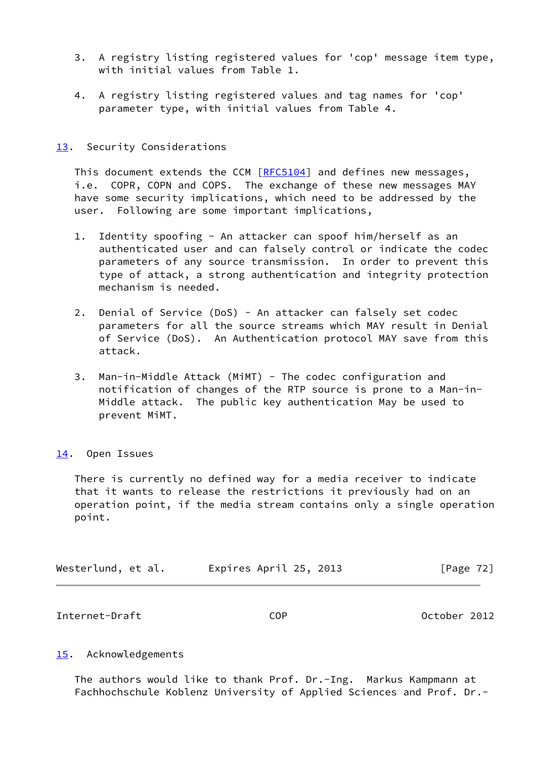- 3. A registry listing registered values for 'cop' message item type, with initial values from Table 1.
- 4. A registry listing registered values and tag names for 'cop' parameter type, with initial values from Table 4.

## <span id="page-81-0"></span>[13.](#page-81-0) Security Considerations

This document extends the CCM [[RFC5104](https://datatracker.ietf.org/doc/pdf/rfc5104)] and defines new messages, i.e. COPR, COPN and COPS. The exchange of these new messages MAY have some security implications, which need to be addressed by the user. Following are some important implications,

- 1. Identity spoofing An attacker can spoof him/herself as an authenticated user and can falsely control or indicate the codec parameters of any source transmission. In order to prevent this type of attack, a strong authentication and integrity protection mechanism is needed.
- 2. Denial of Service (DoS) An attacker can falsely set codec parameters for all the source streams which MAY result in Denial of Service (DoS). An Authentication protocol MAY save from this attack.
- 3. Man-in-Middle Attack (MiMT) The codec configuration and notification of changes of the RTP source is prone to a Man-in- Middle attack. The public key authentication May be used to prevent MiMT.

## <span id="page-81-1"></span>[14.](#page-81-1) Open Issues

 There is currently no defined way for a media receiver to indicate that it wants to release the restrictions it previously had on an operation point, if the media stream contains only a single operation point.

| Expires April 25, 2013<br>Westerlund, et al. | [Page 72] |  |
|----------------------------------------------|-----------|--|
|----------------------------------------------|-----------|--|

Internet-Draft COP October 2012

## <span id="page-81-2"></span>[15.](#page-81-2) Acknowledgements

 The authors would like to thank Prof. Dr.-Ing. Markus Kampmann at Fachhochschule Koblenz University of Applied Sciences and Prof. Dr.-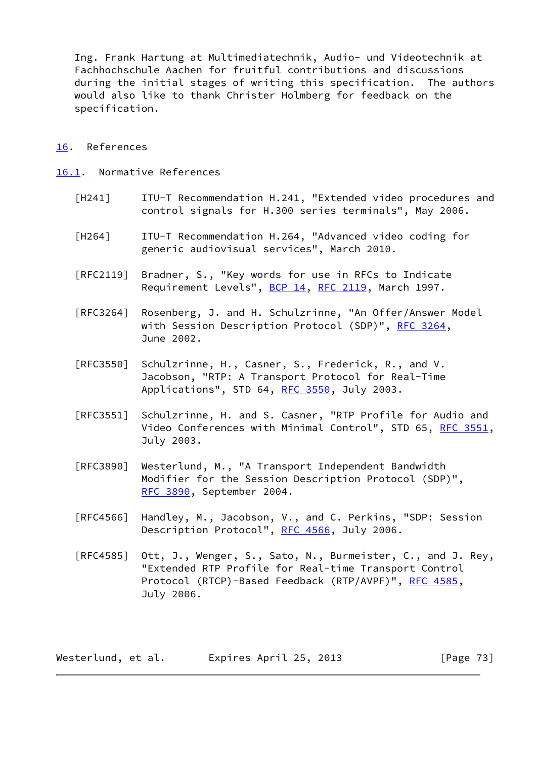Ing. Frank Hartung at Multimediatechnik, Audio- und Videotechnik at Fachhochschule Aachen for fruitful contributions and discussions during the initial stages of writing this specification. The authors would also like to thank Christer Holmberg for feedback on the specification.

## <span id="page-82-1"></span>[16.](#page-82-1) References

- <span id="page-82-2"></span><span id="page-82-0"></span>[16.1](#page-82-2). Normative References
	- [H241] ITU-T Recommendation H.241, "Extended video procedures and control signals for H.300 series terminals", May 2006.
	- [H264] ITU-T Recommendation H.264, "Advanced video coding for generic audiovisual services", March 2010.
	- [RFC2119] Bradner, S., "Key words for use in RFCs to Indicate Requirement Levels", [BCP 14](https://datatracker.ietf.org/doc/pdf/bcp14), [RFC 2119](https://datatracker.ietf.org/doc/pdf/rfc2119), March 1997.
	- [RFC3264] Rosenberg, J. and H. Schulzrinne, "An Offer/Answer Model with Session Description Protocol (SDP)", [RFC 3264](https://datatracker.ietf.org/doc/pdf/rfc3264), June 2002.
	- [RFC3550] Schulzrinne, H., Casner, S., Frederick, R., and V. Jacobson, "RTP: A Transport Protocol for Real-Time Applications", STD 64, [RFC 3550](https://datatracker.ietf.org/doc/pdf/rfc3550), July 2003.
	- [RFC3551] Schulzrinne, H. and S. Casner, "RTP Profile for Audio and Video Conferences with Minimal Control", STD 65, [RFC 3551,](https://datatracker.ietf.org/doc/pdf/rfc3551) July 2003.
	- [RFC3890] Westerlund, M., "A Transport Independent Bandwidth Modifier for the Session Description Protocol (SDP)", [RFC 3890,](https://datatracker.ietf.org/doc/pdf/rfc3890) September 2004.
	- [RFC4566] Handley, M., Jacobson, V., and C. Perkins, "SDP: Session Description Protocol", [RFC 4566](https://datatracker.ietf.org/doc/pdf/rfc4566), July 2006.
	- [RFC4585] Ott, J., Wenger, S., Sato, N., Burmeister, C., and J. Rey, "Extended RTP Profile for Real-time Transport Control Protocol (RTCP)-Based Feedback (RTP/AVPF)", [RFC 4585,](https://datatracker.ietf.org/doc/pdf/rfc4585) July 2006.

| Westerlund, et al. | Expires April 25, 2013 | [Page 73] |
|--------------------|------------------------|-----------|
|--------------------|------------------------|-----------|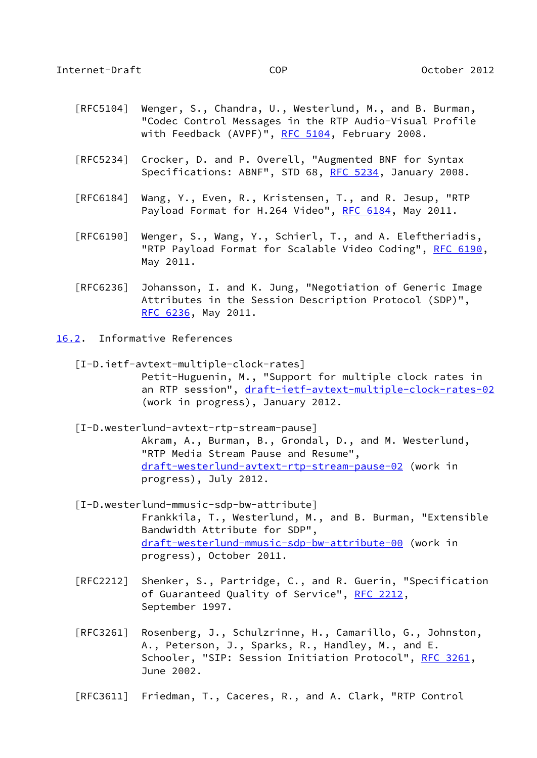- [RFC5104] Wenger, S., Chandra, U., Westerlund, M., and B. Burman, "Codec Control Messages in the RTP Audio-Visual Profile with Feedback (AVPF)", [RFC 5104](https://datatracker.ietf.org/doc/pdf/rfc5104), February 2008.
- [RFC5234] Crocker, D. and P. Overell, "Augmented BNF for Syntax Specifications: ABNF", STD 68, [RFC 5234](https://datatracker.ietf.org/doc/pdf/rfc5234), January 2008.
- [RFC6184] Wang, Y., Even, R., Kristensen, T., and R. Jesup, "RTP Payload Format for H.264 Video", [RFC 6184,](https://datatracker.ietf.org/doc/pdf/rfc6184) May 2011.
- [RFC6190] Wenger, S., Wang, Y., Schierl, T., and A. Eleftheriadis, "RTP Payload Format for Scalable Video Coding", [RFC 6190,](https://datatracker.ietf.org/doc/pdf/rfc6190) May 2011.
- [RFC6236] Johansson, I. and K. Jung, "Negotiation of Generic Image Attributes in the Session Description Protocol (SDP)", [RFC 6236,](https://datatracker.ietf.org/doc/pdf/rfc6236) May 2011.
- <span id="page-83-0"></span>[16.2](#page-83-0). Informative References
	- [I-D.ietf-avtext-multiple-clock-rates] Petit-Huguenin, M., "Support for multiple clock rates in an RTP session", [draft-ietf-avtext-multiple-clock-rates-02](https://datatracker.ietf.org/doc/pdf/draft-ietf-avtext-multiple-clock-rates-02) (work in progress), January 2012.
	- [I-D.westerlund-avtext-rtp-stream-pause] Akram, A., Burman, B., Grondal, D., and M. Westerlund, "RTP Media Stream Pause and Resume", [draft-westerlund-avtext-rtp-stream-pause-02](https://datatracker.ietf.org/doc/pdf/draft-westerlund-avtext-rtp-stream-pause-02) (work in progress), July 2012.
	- [I-D.westerlund-mmusic-sdp-bw-attribute] Frankkila, T., Westerlund, M., and B. Burman, "Extensible Bandwidth Attribute for SDP", [draft-westerlund-mmusic-sdp-bw-attribute-00](https://datatracker.ietf.org/doc/pdf/draft-westerlund-mmusic-sdp-bw-attribute-00) (work in progress), October 2011.
	- [RFC2212] Shenker, S., Partridge, C., and R. Guerin, "Specification of Guaranteed Quality of Service", [RFC 2212](https://datatracker.ietf.org/doc/pdf/rfc2212), September 1997.
	- [RFC3261] Rosenberg, J., Schulzrinne, H., Camarillo, G., Johnston, A., Peterson, J., Sparks, R., Handley, M., and E. Schooler, "SIP: Session Initiation Protocol", [RFC 3261](https://datatracker.ietf.org/doc/pdf/rfc3261), June 2002.
	- [RFC3611] Friedman, T., Caceres, R., and A. Clark, "RTP Control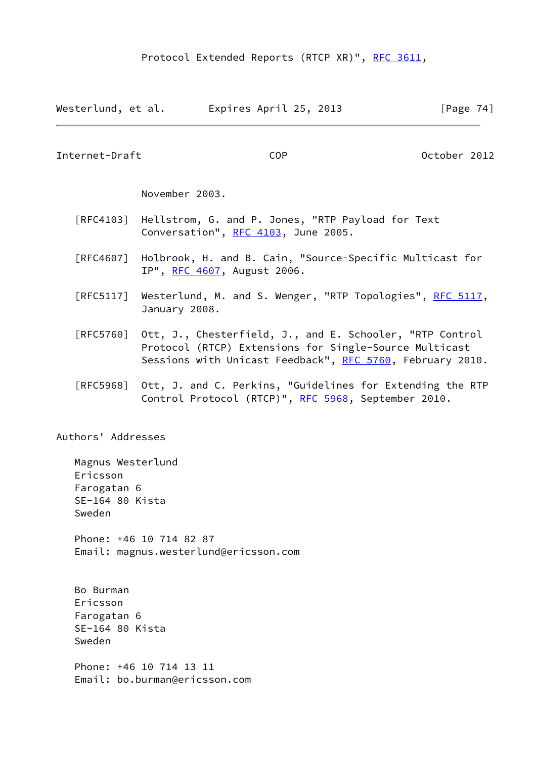| Westerlund, et al. | Expires April 25, 2013 | [Page 74] |  |
|--------------------|------------------------|-----------|--|
|                    |                        |           |  |

Internet-Draft COP October 2012

November 2003.

- [RFC4103] Hellstrom, G. and P. Jones, "RTP Payload for Text Conversation", [RFC 4103](https://datatracker.ietf.org/doc/pdf/rfc4103), June 2005.
- [RFC4607] Holbrook, H. and B. Cain, "Source-Specific Multicast for IP", [RFC 4607](https://datatracker.ietf.org/doc/pdf/rfc4607), August 2006.
- [RFC5117] Westerlund, M. and S. Wenger, "RTP Topologies", [RFC 5117,](https://datatracker.ietf.org/doc/pdf/rfc5117) January 2008.
- [RFC5760] Ott, J., Chesterfield, J., and E. Schooler, "RTP Control Protocol (RTCP) Extensions for Single-Source Multicast Sessions with Unicast Feedback", [RFC 5760,](https://datatracker.ietf.org/doc/pdf/rfc5760) February 2010.
- [RFC5968] Ott, J. and C. Perkins, "Guidelines for Extending the RTP Control Protocol (RTCP)", [RFC 5968](https://datatracker.ietf.org/doc/pdf/rfc5968), September 2010.

Authors' Addresses

 Magnus Westerlund Ericsson Farogatan 6 SE-164 80 Kista Sweden Phone: +46 10 714 82 87 Email: magnus.westerlund@ericsson.com Bo Burman Ericsson Farogatan 6 SE-164 80 Kista Sweden

 Phone: +46 10 714 13 11 Email: bo.burman@ericsson.com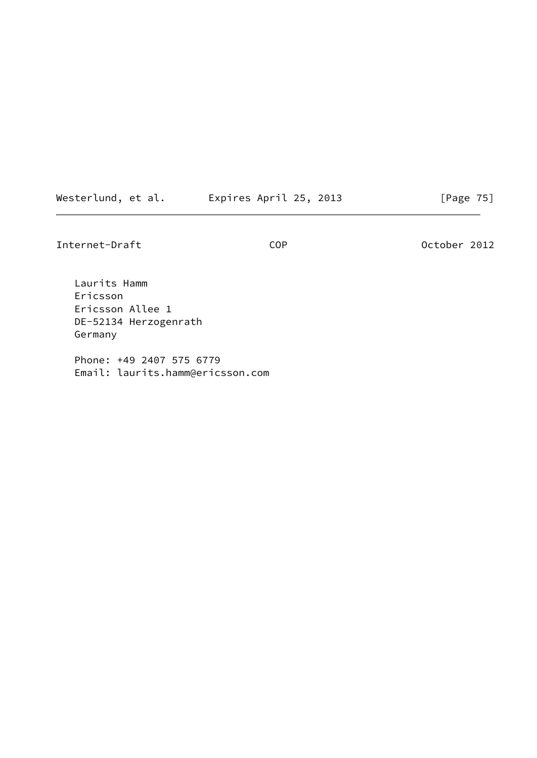Westerlund, et al. Expires April 25, 2013 [Page 75]

Internet-Draft COP COP October 2012

 Laurits Hamm Ericsson Ericsson Allee 1 DE-52134 Herzogenrath Germany

 Phone: +49 2407 575 6779 Email: laurits.hamm@ericsson.com